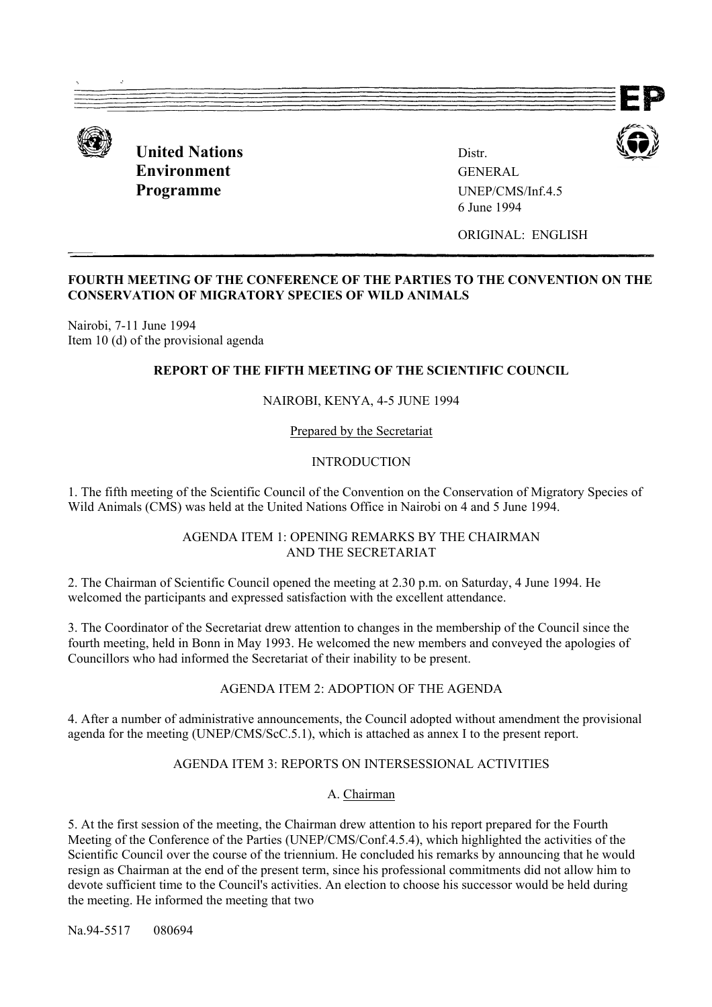

**United Nations** Distr **Environment** GENERAL **Programme** UNEP/CMS/Inf.4.5

6 June 1994

ORIGINAL: ENGLISH

### **FOURTH MEETING OF THE CONFERENCE OF THE PARTIES TO THE CONVENTION ON THE CONSERVATION OF MIGRATORY SPECIES OF WILD ANIMALS**

Nairobi, 7-11 June 1994 Item 10 (d) of the provisional agenda

# **REPORT OF THE FIFTH MEETING OF THE SCIENTIFIC COUNCIL**

#### NAIROBI, KENYA, 4-5 JUNE 1994

Prepared by the Secretariat

#### INTRODUCTION

1. The fifth meeting of the Scientific Council of the Convention on the Conservation of Migratory Species of Wild Animals (CMS) was held at the United Nations Office in Nairobi on 4 and 5 June 1994.

#### AGENDA ITEM 1: OPENING REMARKS BY THE CHAIRMAN AND THE SECRETARIAT

2. The Chairman of Scientific Council opened the meeting at 2.30 p.m. on Saturday, 4 June 1994. He welcomed the participants and expressed satisfaction with the excellent attendance.

3. The Coordinator of the Secretariat drew attention to changes in the membership of the Council since the fourth meeting, held in Bonn in May 1993. He welcomed the new members and conveyed the apologies of Councillors who had informed the Secretariat of their inability to be present.

# AGENDA ITEM 2: ADOPTION OF THE AGENDA

4. After a number of administrative announcements, the Council adopted without amendment the provisional agenda for the meeting (UNEP/CMS/ScC.5.1), which is attached as annex I to the present report.

# AGENDA ITEM 3: REPORTS ON INTERSESSIONAL ACTIVITIES

#### A. Chairman

5. At the first session of the meeting, the Chairman drew attention to his report prepared for the Fourth Meeting of the Conference of the Parties (UNEP/CMS/Conf.4.5.4), which highlighted the activities of the Scientific Council over the course of the triennium. He concluded his remarks by announcing that he would resign as Chairman at the end of the present term, since his professional commitments did not allow him to devote sufficient time to the Council's activities. An election to choose his successor would be held during the meeting. He informed the meeting that two

Na. 94-5517 080694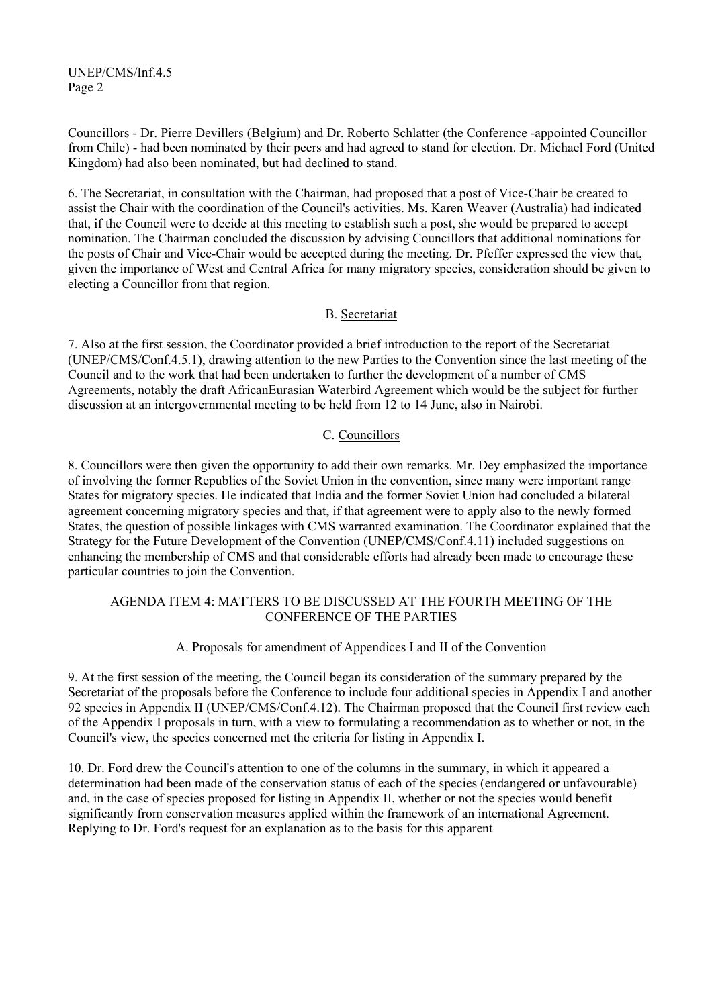Councillors - Dr. Pierre Devillers (Belgium) and Dr. Roberto Schlatter (the Conference -appointed Councillor from Chile) - had been nominated by their peers and had agreed to stand for election. Dr. Michael Ford (United Kingdom) had also been nominated, but had declined to stand.

6. The Secretariat, in consultation with the Chairman, had proposed that a post of Vice-Chair be created to assist the Chair with the coordination of the Council's activities. Ms. Karen Weaver (Australia) had indicated that, if the Council were to decide at this meeting to establish such a post, she would be prepared to accept nomination. The Chairman concluded the discussion by advising Councillors that additional nominations for the posts of Chair and Vice-Chair would be accepted during the meeting. Dr. Pfeffer expressed the view that, given the importance of West and Central Africa for many migratory species, consideration should be given to electing a Councillor from that region.

# B. Secretariat

7. Also at the first session, the Coordinator provided a brief introduction to the report of the Secretariat (UNEP/CMS/Conf.4.5.1), drawing attention to the new Parties to the Convention since the last meeting of the Council and to the work that had been undertaken to further the development of a number of CMS Agreements, notably the draft AfricanEurasian Waterbird Agreement which would be the subject for further discussion at an intergovernmental meeting to be held from 12 to 14 June, also in Nairobi.

# C. Councillors

8. Councillors were then given the opportunity to add their own remarks. Mr. Dey emphasized the importance of involving the former Republics of the Soviet Union in the convention, since many were important range States for migratory species. He indicated that India and the former Soviet Union had concluded a bilateral agreement concerning migratory species and that, if that agreement were to apply also to the newly formed States, the question of possible linkages with CMS warranted examination. The Coordinator explained that the Strategy for the Future Development of the Convention (UNEP/CMS/Conf.4.11) included suggestions on enhancing the membership of CMS and that considerable efforts had already been made to encourage these particular countries to join the Convention.

# AGENDA ITEM 4: MATTERS TO BE DISCUSSED AT THE FOURTH MEETING OF THE CONFERENCE OF THE PARTIES

# A. Proposals for amendment of Appendices I and II of the Convention

9. At the first session of the meeting, the Council began its consideration of the summary prepared by the Secretariat of the proposals before the Conference to include four additional species in Appendix I and another 92 species in Appendix II (UNEP/CMS/Conf.4.12). The Chairman proposed that the Council first review each of the Appendix I proposals in turn, with a view to formulating a recommendation as to whether or not, in the Council's view, the species concerned met the criteria for listing in Appendix I.

10. Dr. Ford drew the Council's attention to one of the columns in the summary, in which it appeared a determination had been made of the conservation status of each of the species (endangered or unfavourable) and, in the case of species proposed for listing in Appendix II, whether or not the species would benefit significantly from conservation measures applied within the framework of an international Agreement. Replying to Dr. Ford's request for an explanation as to the basis for this apparent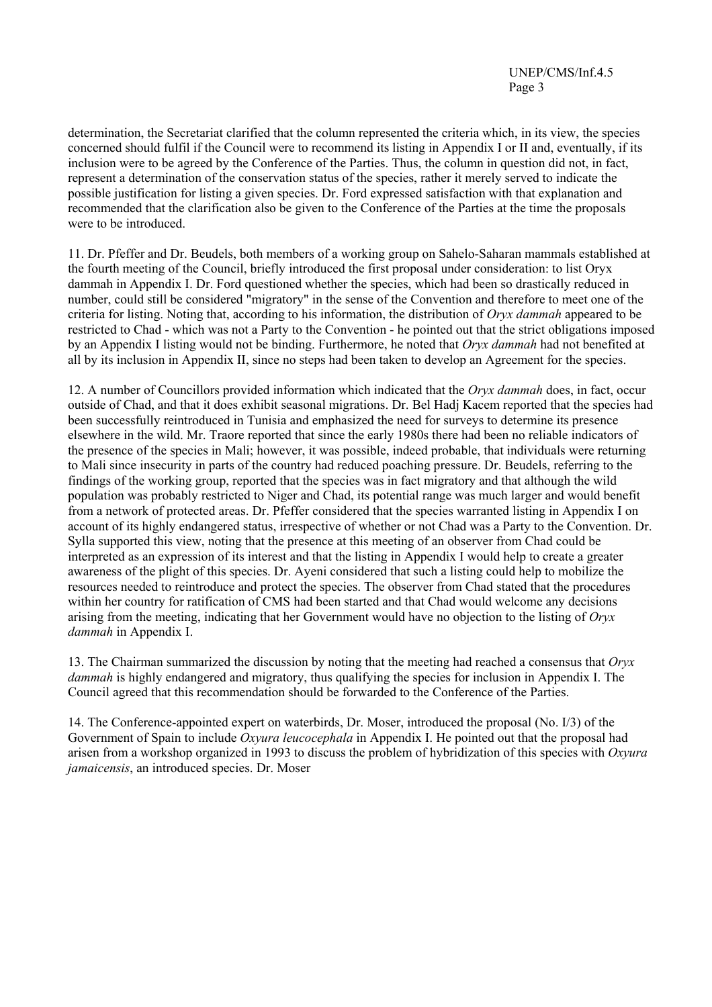determination, the Secretariat clarified that the column represented the criteria which, in its view, the species concerned should fulfil if the Council were to recommend its listing in Appendix I or II and, eventually, if its inclusion were to be agreed by the Conference of the Parties. Thus, the column in question did not, in fact, represent a determination of the conservation status of the species, rather it merely served to indicate the possible justification for listing a given species. Dr. Ford expressed satisfaction with that explanation and recommended that the clarification also be given to the Conference of the Parties at the time the proposals were to be introduced.

11. Dr. Pfeffer and Dr. Beudels, both members of a working group on Sahelo-Saharan mammals established at the fourth meeting of the Council, briefly introduced the first proposal under consideration: to list Oryx dammah in Appendix I. Dr. Ford questioned whether the species, which had been so drastically reduced in number, could still be considered "migratory" in the sense of the Convention and therefore to meet one of the criteria for listing. Noting that, according to his information, the distribution of *Oryx dammah* appeared to be restricted to Chad - which was not a Party to the Convention - he pointed out that the strict obligations imposed by an Appendix I listing would not be binding. Furthermore, he noted that *Oryx dammah* had not benefited at all by its inclusion in Appendix II, since no steps had been taken to develop an Agreement for the species.

12. A number of Councillors provided information which indicated that the *Oryx dammah* does, in fact, occur outside of Chad, and that it does exhibit seasonal migrations. Dr. Bel Hadj Kacem reported that the species had been successfully reintroduced in Tunisia and emphasized the need for surveys to determine its presence elsewhere in the wild. Mr. Traore reported that since the early 1980s there had been no reliable indicators of the presence of the species in Mali; however, it was possible, indeed probable, that individuals were returning to Mali since insecurity in parts of the country had reduced poaching pressure. Dr. Beudels, referring to the findings of the working group, reported that the species was in fact migratory and that although the wild population was probably restricted to Niger and Chad, its potential range was much larger and would benefit from a network of protected areas. Dr. Pfeffer considered that the species warranted listing in Appendix I on account of its highly endangered status, irrespective of whether or not Chad was a Party to the Convention. Dr. Sylla supported this view, noting that the presence at this meeting of an observer from Chad could be interpreted as an expression of its interest and that the listing in Appendix I would help to create a greater awareness of the plight of this species. Dr. Ayeni considered that such a listing could help to mobilize the resources needed to reintroduce and protect the species. The observer from Chad stated that the procedures within her country for ratification of CMS had been started and that Chad would welcome any decisions arising from the meeting, indicating that her Government would have no objection to the listing of *Oryx dammah* in Appendix I.

13. The Chairman summarized the discussion by noting that the meeting had reached a consensus that *Oryx dammah* is highly endangered and migratory, thus qualifying the species for inclusion in Appendix I. The Council agreed that this recommendation should be forwarded to the Conference of the Parties.

14. The Conference-appointed expert on waterbirds, Dr. Moser, introduced the proposal (No. I/3) of the Government of Spain to include *Oxyura leucocephala* in Appendix I. He pointed out that the proposal had arisen from a workshop organized in 1993 to discuss the problem of hybridization of this species with *Oxyura jamaicensis*, an introduced species. Dr. Moser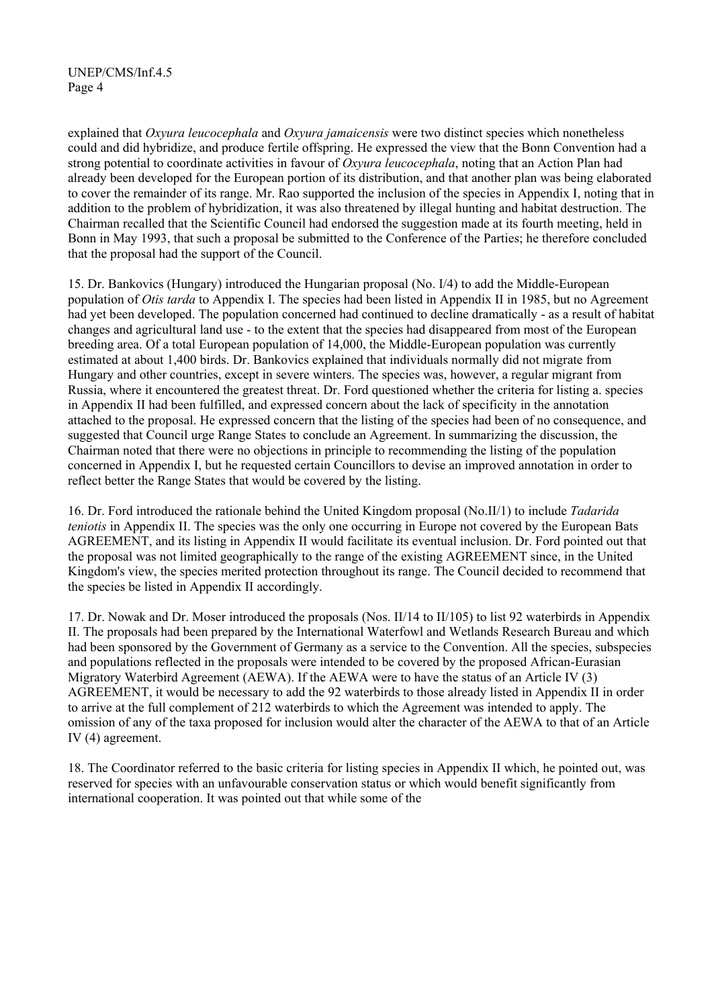explained that *Oxyura leucocephala* and *Oxyura jamaicensis* were two distinct species which nonetheless could and did hybridize, and produce fertile offspring. He expressed the view that the Bonn Convention had a strong potential to coordinate activities in favour of *Oxyura leucocephala*, noting that an Action Plan had already been developed for the European portion of its distribution, and that another plan was being elaborated to cover the remainder of its range. Mr. Rao supported the inclusion of the species in Appendix I, noting that in addition to the problem of hybridization, it was also threatened by illegal hunting and habitat destruction. The Chairman recalled that the Scientific Council had endorsed the suggestion made at its fourth meeting, held in Bonn in May 1993, that such a proposal be submitted to the Conference of the Parties; he therefore concluded that the proposal had the support of the Council.

15. Dr. Bankovics (Hungary) introduced the Hungarian proposal (No. I/4) to add the Middle-European population of *Otis tarda* to Appendix I. The species had been listed in Appendix II in 1985, but no Agreement had yet been developed. The population concerned had continued to decline dramatically - as a result of habitat changes and agricultural land use - to the extent that the species had disappeared from most of the European breeding area. Of a total European population of 14,000, the Middle-European population was currently estimated at about 1,400 birds. Dr. Bankovics explained that individuals normally did not migrate from Hungary and other countries, except in severe winters. The species was, however, a regular migrant from Russia, where it encountered the greatest threat. Dr. Ford questioned whether the criteria for listing a. species in Appendix II had been fulfilled, and expressed concern about the lack of specificity in the annotation attached to the proposal. He expressed concern that the listing of the species had been of no consequence, and suggested that Council urge Range States to conclude an Agreement. In summarizing the discussion, the Chairman noted that there were no objections in principle to recommending the listing of the population concerned in Appendix I, but he requested certain Councillors to devise an improved annotation in order to reflect better the Range States that would be covered by the listing.

16. Dr. Ford introduced the rationale behind the United Kingdom proposal (No.II/1) to include *Tadarida teniotis* in Appendix II. The species was the only one occurring in Europe not covered by the European Bats AGREEMENT, and its listing in Appendix II would facilitate its eventual inclusion. Dr. Ford pointed out that the proposal was not limited geographically to the range of the existing AGREEMENT since, in the United Kingdom's view, the species merited protection throughout its range. The Council decided to recommend that the species be listed in Appendix II accordingly.

17. Dr. Nowak and Dr. Moser introduced the proposals (Nos. II/14 to II/105) to list 92 waterbirds in Appendix II. The proposals had been prepared by the International Waterfowl and Wetlands Research Bureau and which had been sponsored by the Government of Germany as a service to the Convention. All the species, subspecies and populations reflected in the proposals were intended to be covered by the proposed African-Eurasian Migratory Waterbird Agreement (AEWA). If the AEWA were to have the status of an Article IV (3) AGREEMENT, it would be necessary to add the 92 waterbirds to those already listed in Appendix II in order to arrive at the full complement of 212 waterbirds to which the Agreement was intended to apply. The omission of any of the taxa proposed for inclusion would alter the character of the AEWA to that of an Article IV (4) agreement.

18. The Coordinator referred to the basic criteria for listing species in Appendix II which, he pointed out, was reserved for species with an unfavourable conservation status or which would benefit significantly from international cooperation. It was pointed out that while some of the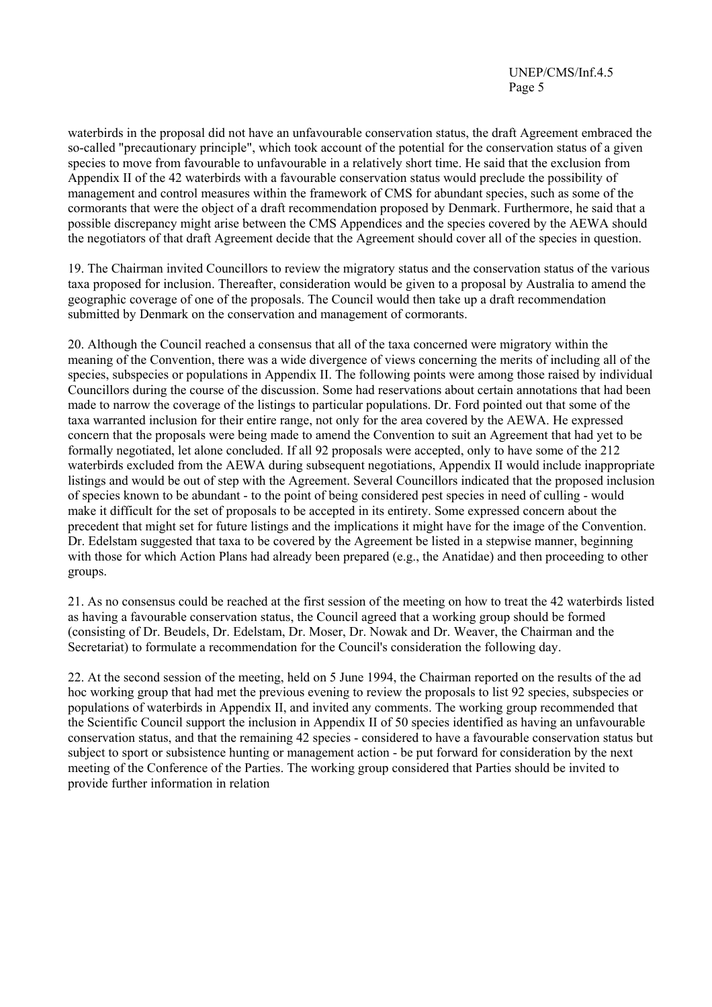waterbirds in the proposal did not have an unfavourable conservation status, the draft Agreement embraced the so-called "precautionary principle", which took account of the potential for the conservation status of a given species to move from favourable to unfavourable in a relatively short time. He said that the exclusion from Appendix II of the 42 waterbirds with a favourable conservation status would preclude the possibility of management and control measures within the framework of CMS for abundant species, such as some of the cormorants that were the object of a draft recommendation proposed by Denmark. Furthermore, he said that a possible discrepancy might arise between the CMS Appendices and the species covered by the AEWA should the negotiators of that draft Agreement decide that the Agreement should cover all of the species in question.

19. The Chairman invited Councillors to review the migratory status and the conservation status of the various taxa proposed for inclusion. Thereafter, consideration would be given to a proposal by Australia to amend the geographic coverage of one of the proposals. The Council would then take up a draft recommendation submitted by Denmark on the conservation and management of cormorants.

20. Although the Council reached a consensus that all of the taxa concerned were migratory within the meaning of the Convention, there was a wide divergence of views concerning the merits of including all of the species, subspecies or populations in Appendix II. The following points were among those raised by individual Councillors during the course of the discussion. Some had reservations about certain annotations that had been made to narrow the coverage of the listings to particular populations. Dr. Ford pointed out that some of the taxa warranted inclusion for their entire range, not only for the area covered by the AEWA. He expressed concern that the proposals were being made to amend the Convention to suit an Agreement that had yet to be formally negotiated, let alone concluded. If all 92 proposals were accepted, only to have some of the 212 waterbirds excluded from the AEWA during subsequent negotiations, Appendix II would include inappropriate listings and would be out of step with the Agreement. Several Councillors indicated that the proposed inclusion of species known to be abundant - to the point of being considered pest species in need of culling - would make it difficult for the set of proposals to be accepted in its entirety. Some expressed concern about the precedent that might set for future listings and the implications it might have for the image of the Convention. Dr. Edelstam suggested that taxa to be covered by the Agreement be listed in a stepwise manner, beginning with those for which Action Plans had already been prepared (e.g., the Anatidae) and then proceeding to other groups.

21. As no consensus could be reached at the first session of the meeting on how to treat the 42 waterbirds listed as having a favourable conservation status, the Council agreed that a working group should be formed (consisting of Dr. Beudels, Dr. Edelstam, Dr. Moser, Dr. Nowak and Dr. Weaver, the Chairman and the Secretariat) to formulate a recommendation for the Council's consideration the following day.

22. At the second session of the meeting, held on 5 June 1994, the Chairman reported on the results of the ad hoc working group that had met the previous evening to review the proposals to list 92 species, subspecies or populations of waterbirds in Appendix II, and invited any comments. The working group recommended that the Scientific Council support the inclusion in Appendix II of 50 species identified as having an unfavourable conservation status, and that the remaining 42 species - considered to have a favourable conservation status but subject to sport or subsistence hunting or management action - be put forward for consideration by the next meeting of the Conference of the Parties. The working group considered that Parties should be invited to provide further information in relation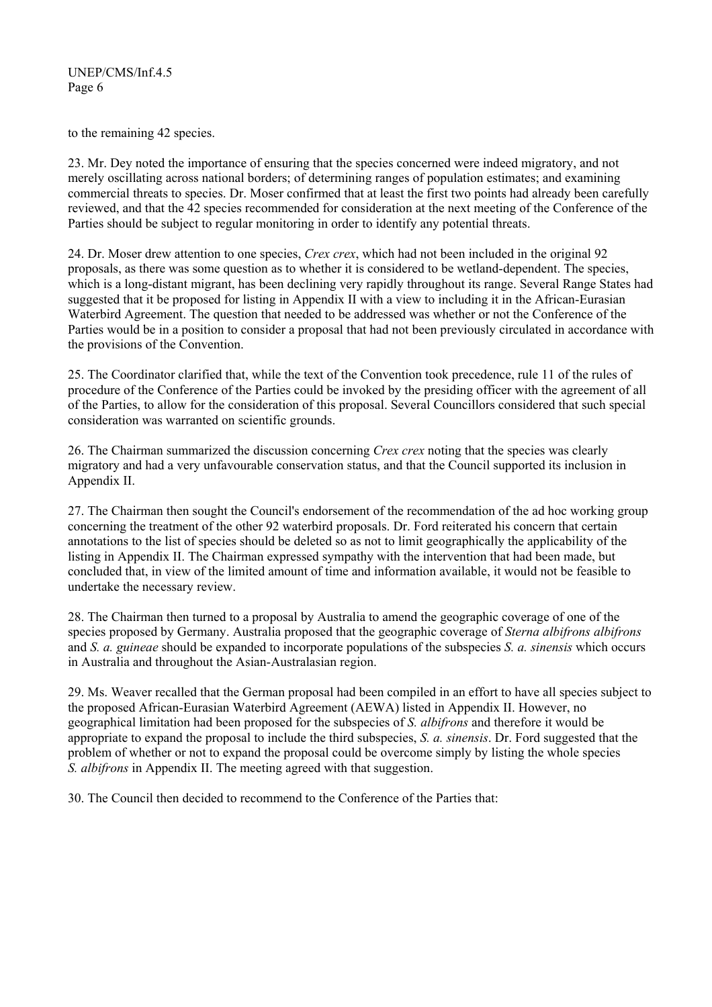to the remaining 42 species.

23. Mr. Dey noted the importance of ensuring that the species concerned were indeed migratory, and not merely oscillating across national borders; of determining ranges of population estimates; and examining commercial threats to species. Dr. Moser confirmed that at least the first two points had already been carefully reviewed, and that the 42 species recommended for consideration at the next meeting of the Conference of the Parties should be subject to regular monitoring in order to identify any potential threats.

24. Dr. Moser drew attention to one species, *Crex crex*, which had not been included in the original 92 proposals, as there was some question as to whether it is considered to be wetland-dependent. The species, which is a long-distant migrant, has been declining very rapidly throughout its range. Several Range States had suggested that it be proposed for listing in Appendix II with a view to including it in the African-Eurasian Waterbird Agreement. The question that needed to be addressed was whether or not the Conference of the Parties would be in a position to consider a proposal that had not been previously circulated in accordance with the provisions of the Convention.

25. The Coordinator clarified that, while the text of the Convention took precedence, rule 11 of the rules of procedure of the Conference of the Parties could be invoked by the presiding officer with the agreement of all of the Parties, to allow for the consideration of this proposal. Several Councillors considered that such special consideration was warranted on scientific grounds.

26. The Chairman summarized the discussion concerning *Crex crex* noting that the species was clearly migratory and had a very unfavourable conservation status, and that the Council supported its inclusion in Appendix II.

27. The Chairman then sought the Council's endorsement of the recommendation of the ad hoc working group concerning the treatment of the other 92 waterbird proposals. Dr. Ford reiterated his concern that certain annotations to the list of species should be deleted so as not to limit geographically the applicability of the listing in Appendix II. The Chairman expressed sympathy with the intervention that had been made, but concluded that, in view of the limited amount of time and information available, it would not be feasible to undertake the necessary review.

28. The Chairman then turned to a proposal by Australia to amend the geographic coverage of one of the species proposed by Germany. Australia proposed that the geographic coverage of *Sterna albifrons albifrons* and *S. a. guineae* should be expanded to incorporate populations of the subspecies *S. a. sinensis* which occurs in Australia and throughout the Asian-Australasian region.

29. Ms. Weaver recalled that the German proposal had been compiled in an effort to have all species subject to the proposed African-Eurasian Waterbird Agreement (AEWA) listed in Appendix II. However, no geographical limitation had been proposed for the subspecies of *S. albifrons* and therefore it would be appropriate to expand the proposal to include the third subspecies, *S. a. sinensis*. Dr. Ford suggested that the problem of whether or not to expand the proposal could be overcome simply by listing the whole species *S. albifrons* in Appendix II. The meeting agreed with that suggestion.

30. The Council then decided to recommend to the Conference of the Parties that: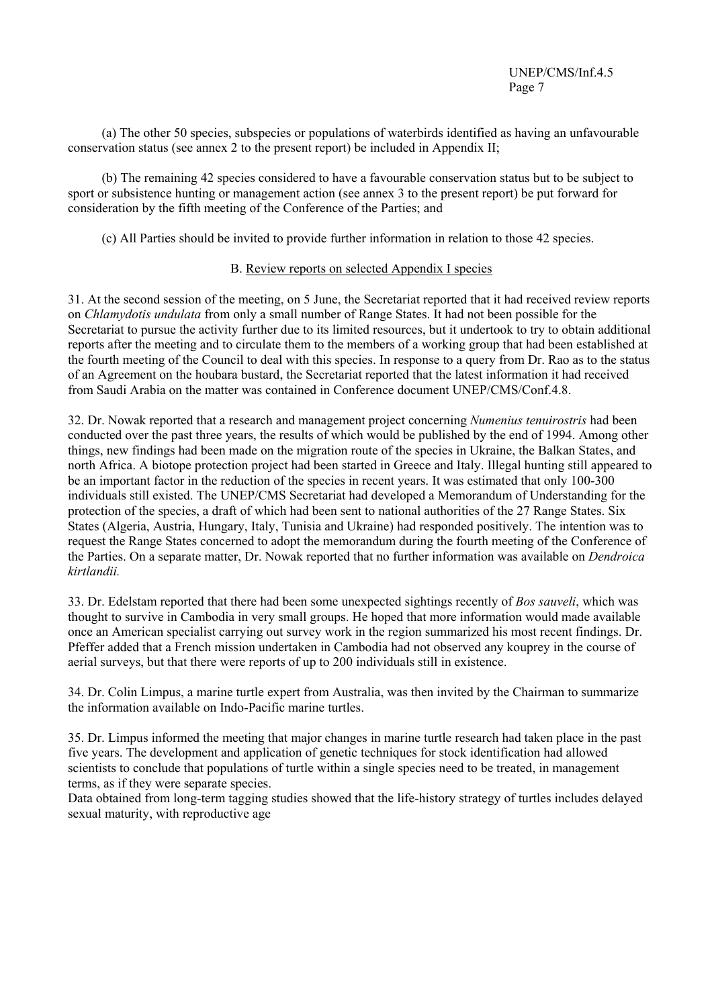(a) The other 50 species, subspecies or populations of waterbirds identified as having an unfavourable conservation status (see annex 2 to the present report) be included in Appendix II;

(b) The remaining 42 species considered to have a favourable conservation status but to be subject to sport or subsistence hunting or management action (see annex 3 to the present report) be put forward for consideration by the fifth meeting of the Conference of the Parties; and

(c) All Parties should be invited to provide further information in relation to those 42 species.

# B. Review reports on selected Appendix I species

31. At the second session of the meeting, on 5 June, the Secretariat reported that it had received review reports on *Chlamydotis undulata* from only a small number of Range States. It had not been possible for the Secretariat to pursue the activity further due to its limited resources, but it undertook to try to obtain additional reports after the meeting and to circulate them to the members of a working group that had been established at the fourth meeting of the Council to deal with this species. In response to a query from Dr. Rao as to the status of an Agreement on the houbara bustard, the Secretariat reported that the latest information it had received from Saudi Arabia on the matter was contained in Conference document UNEP/CMS/Conf.4.8.

32. Dr. Nowak reported that a research and management project concerning *Numenius tenuirostris* had been conducted over the past three years, the results of which would be published by the end of 1994. Among other things, new findings had been made on the migration route of the species in Ukraine, the Balkan States, and north Africa. A biotope protection project had been started in Greece and Italy. Illegal hunting still appeared to be an important factor in the reduction of the species in recent years. It was estimated that only 100-300 individuals still existed. The UNEP/CMS Secretariat had developed a Memorandum of Understanding for the protection of the species, a draft of which had been sent to national authorities of the 27 Range States. Six States (Algeria, Austria, Hungary, Italy, Tunisia and Ukraine) had responded positively. The intention was to request the Range States concerned to adopt the memorandum during the fourth meeting of the Conference of the Parties. On a separate matter, Dr. Nowak reported that no further information was available on *Dendroica kirtlandii.* 

33. Dr. Edelstam reported that there had been some unexpected sightings recently of *Bos sauveli*, which was thought to survive in Cambodia in very small groups. He hoped that more information would made available once an American specialist carrying out survey work in the region summarized his most recent findings. Dr. Pfeffer added that a French mission undertaken in Cambodia had not observed any kouprey in the course of aerial surveys, but that there were reports of up to 200 individuals still in existence.

34. Dr. Colin Limpus, a marine turtle expert from Australia, was then invited by the Chairman to summarize the information available on Indo-Pacific marine turtles.

35. Dr. Limpus informed the meeting that major changes in marine turtle research had taken place in the past five years. The development and application of genetic techniques for stock identification had allowed scientists to conclude that populations of turtle within a single species need to be treated, in management terms, as if they were separate species.

Data obtained from long-term tagging studies showed that the life-history strategy of turtles includes delayed sexual maturity, with reproductive age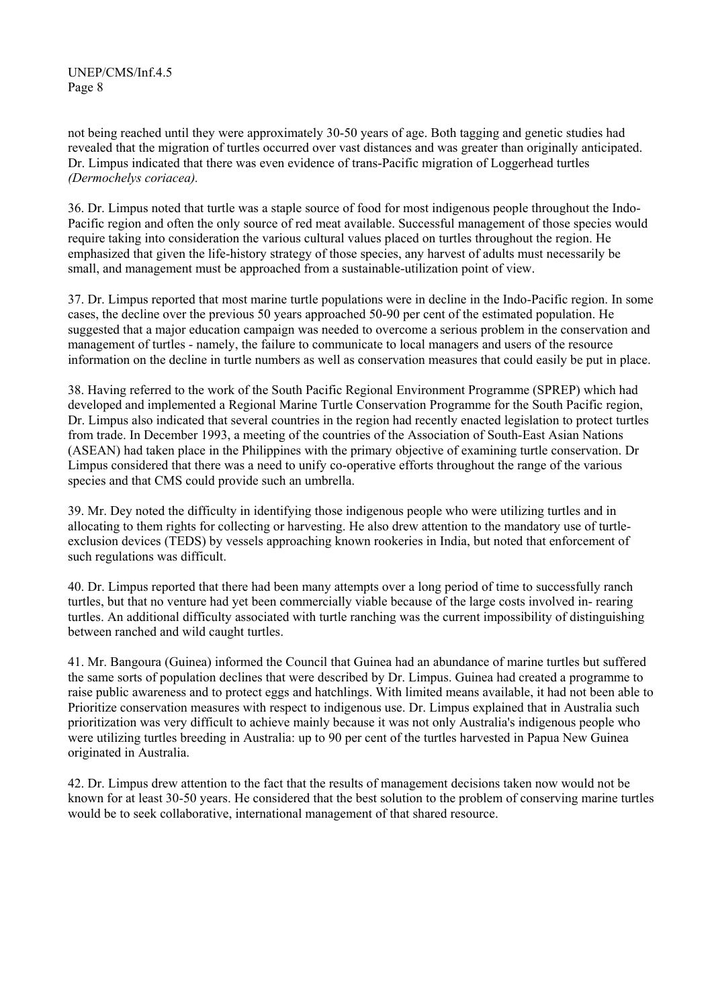not being reached until they were approximately 30-50 years of age. Both tagging and genetic studies had revealed that the migration of turtles occurred over vast distances and was greater than originally anticipated. Dr. Limpus indicated that there was even evidence of trans-Pacific migration of Loggerhead turtles *(Dermochelys coriacea).* 

36. Dr. Limpus noted that turtle was a staple source of food for most indigenous people throughout the Indo-Pacific region and often the only source of red meat available. Successful management of those species would require taking into consideration the various cultural values placed on turtles throughout the region. He emphasized that given the life-history strategy of those species, any harvest of adults must necessarily be small, and management must be approached from a sustainable-utilization point of view.

37. Dr. Limpus reported that most marine turtle populations were in decline in the Indo-Pacific region. In some cases, the decline over the previous 50 years approached 50-90 per cent of the estimated population. He suggested that a major education campaign was needed to overcome a serious problem in the conservation and management of turtles - namely, the failure to communicate to local managers and users of the resource information on the decline in turtle numbers as well as conservation measures that could easily be put in place.

38. Having referred to the work of the South Pacific Regional Environment Programme (SPREP) which had developed and implemented a Regional Marine Turtle Conservation Programme for the South Pacific region, Dr. Limpus also indicated that several countries in the region had recently enacted legislation to protect turtles from trade. In December 1993, a meeting of the countries of the Association of South-East Asian Nations (ASEAN) had taken place in the Philippines with the primary objective of examining turtle conservation. Dr Limpus considered that there was a need to unify co-operative efforts throughout the range of the various species and that CMS could provide such an umbrella.

39. Mr. Dey noted the difficulty in identifying those indigenous people who were utilizing turtles and in allocating to them rights for collecting or harvesting. He also drew attention to the mandatory use of turtleexclusion devices (TEDS) by vessels approaching known rookeries in India, but noted that enforcement of such regulations was difficult.

40. Dr. Limpus reported that there had been many attempts over a long period of time to successfully ranch turtles, but that no venture had yet been commercially viable because of the large costs involved in- rearing turtles. An additional difficulty associated with turtle ranching was the current impossibility of distinguishing between ranched and wild caught turtles.

41. Mr. Bangoura (Guinea) informed the Council that Guinea had an abundance of marine turtles but suffered the same sorts of population declines that were described by Dr. Limpus. Guinea had created a programme to raise public awareness and to protect eggs and hatchlings. With limited means available, it had not been able to Prioritize conservation measures with respect to indigenous use. Dr. Limpus explained that in Australia such prioritization was very difficult to achieve mainly because it was not only Australia's indigenous people who were utilizing turtles breeding in Australia: up to 90 per cent of the turtles harvested in Papua New Guinea originated in Australia.

42. Dr. Limpus drew attention to the fact that the results of management decisions taken now would not be known for at least 30-50 years. He considered that the best solution to the problem of conserving marine turtles would be to seek collaborative, international management of that shared resource.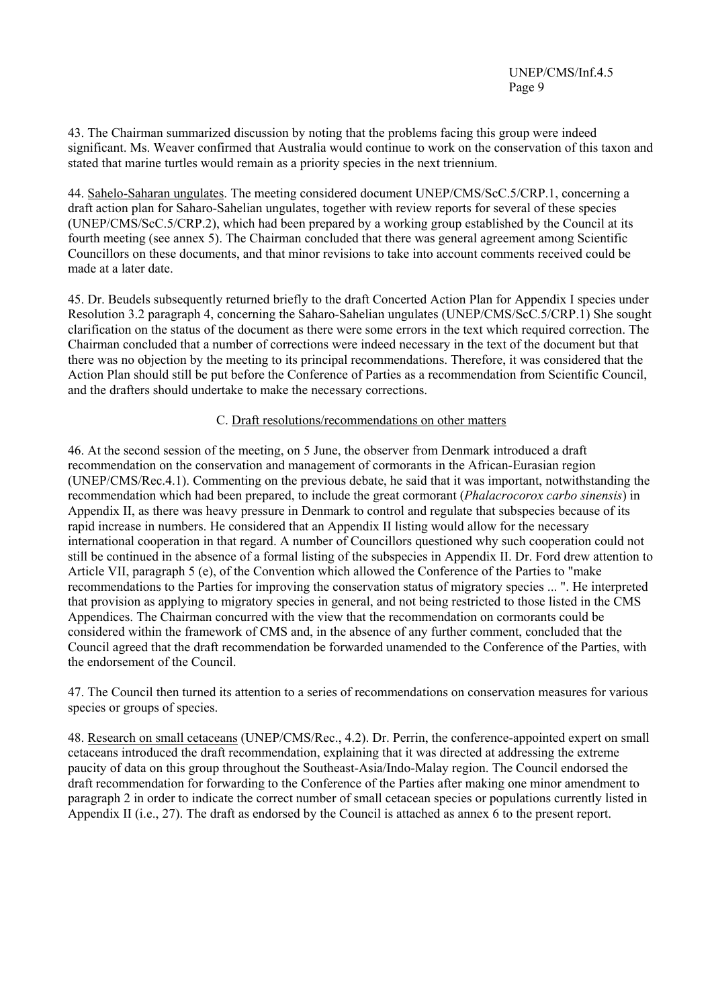43. The Chairman summarized discussion by noting that the problems facing this group were indeed significant. Ms. Weaver confirmed that Australia would continue to work on the conservation of this taxon and stated that marine turtles would remain as a priority species in the next triennium.

44. Sahelo-Saharan ungulates. The meeting considered document UNEP/CMS/ScC.5/CRP.1, concerning a draft action plan for Saharo-Sahelian ungulates, together with review reports for several of these species (UNEP/CMS/ScC.5/CRP.2), which had been prepared by a working group established by the Council at its fourth meeting (see annex 5). The Chairman concluded that there was general agreement among Scientific Councillors on these documents, and that minor revisions to take into account comments received could be made at a later date.

45. Dr. Beudels subsequently returned briefly to the draft Concerted Action Plan for Appendix I species under Resolution 3.2 paragraph 4, concerning the Saharo-Sahelian ungulates (UNEP/CMS/ScC.5/CRP.1) She sought clarification on the status of the document as there were some errors in the text which required correction. The Chairman concluded that a number of corrections were indeed necessary in the text of the document but that there was no objection by the meeting to its principal recommendations. Therefore, it was considered that the Action Plan should still be put before the Conference of Parties as a recommendation from Scientific Council, and the drafters should undertake to make the necessary corrections.

# C. Draft resolutions/recommendations on other matters

46. At the second session of the meeting, on 5 June, the observer from Denmark introduced a draft recommendation on the conservation and management of cormorants in the African-Eurasian region (UNEP/CMS/Rec.4.1). Commenting on the previous debate, he said that it was important, notwithstanding the recommendation which had been prepared, to include the great cormorant (*Phalacrocorox carbo sinensis*) in Appendix II, as there was heavy pressure in Denmark to control and regulate that subspecies because of its rapid increase in numbers. He considered that an Appendix II listing would allow for the necessary international cooperation in that regard. A number of Councillors questioned why such cooperation could not still be continued in the absence of a formal listing of the subspecies in Appendix II. Dr. Ford drew attention to Article VII, paragraph 5 (e), of the Convention which allowed the Conference of the Parties to "make recommendations to the Parties for improving the conservation status of migratory species ... ". He interpreted that provision as applying to migratory species in general, and not being restricted to those listed in the CMS Appendices. The Chairman concurred with the view that the recommendation on cormorants could be considered within the framework of CMS and, in the absence of any further comment, concluded that the Council agreed that the draft recommendation be forwarded unamended to the Conference of the Parties, with the endorsement of the Council.

47. The Council then turned its attention to a series of recommendations on conservation measures for various species or groups of species.

48. Research on small cetaceans (UNEP/CMS/Rec., 4.2). Dr. Perrin, the conference-appointed expert on small cetaceans introduced the draft recommendation, explaining that it was directed at addressing the extreme paucity of data on this group throughout the Southeast-Asia/Indo-Malay region. The Council endorsed the draft recommendation for forwarding to the Conference of the Parties after making one minor amendment to paragraph 2 in order to indicate the correct number of small cetacean species or populations currently listed in Appendix II (i.e., 27). The draft as endorsed by the Council is attached as annex 6 to the present report.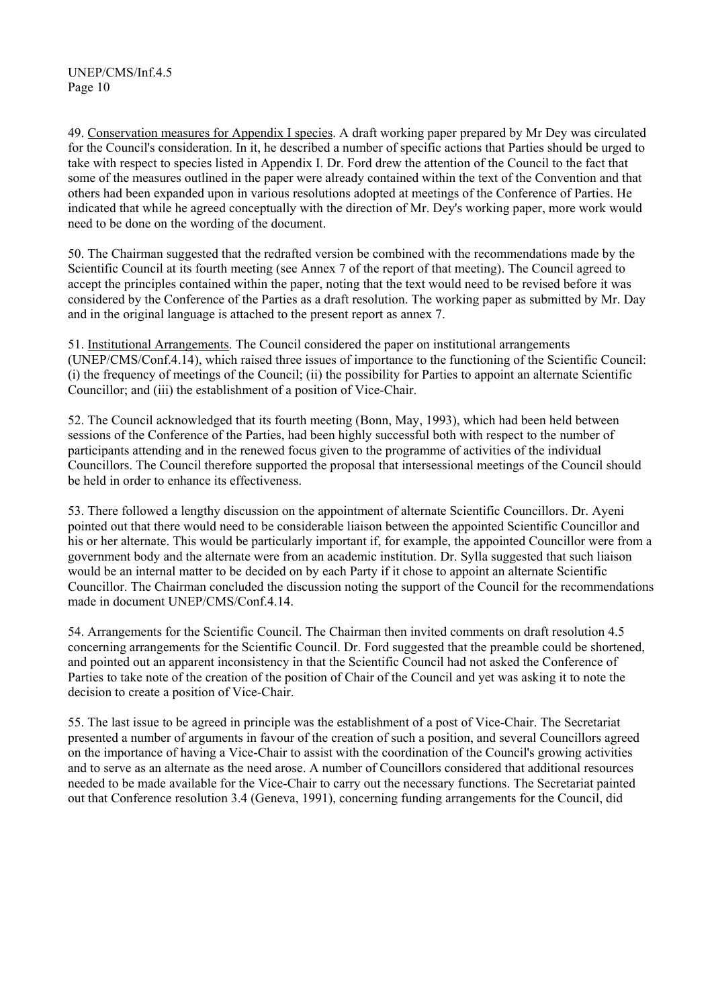49. Conservation measures for Appendix I species. A draft working paper prepared by Mr Dey was circulated for the Council's consideration. In it, he described a number of specific actions that Parties should be urged to take with respect to species listed in Appendix I. Dr. Ford drew the attention of the Council to the fact that some of the measures outlined in the paper were already contained within the text of the Convention and that others had been expanded upon in various resolutions adopted at meetings of the Conference of Parties. He indicated that while he agreed conceptually with the direction of Mr. Dey's working paper, more work would need to be done on the wording of the document.

50. The Chairman suggested that the redrafted version be combined with the recommendations made by the Scientific Council at its fourth meeting (see Annex 7 of the report of that meeting). The Council agreed to accept the principles contained within the paper, noting that the text would need to be revised before it was considered by the Conference of the Parties as a draft resolution. The working paper as submitted by Mr. Day and in the original language is attached to the present report as annex 7.

51. Institutional Arrangements. The Council considered the paper on institutional arrangements (UNEP/CMS/Conf.4.14), which raised three issues of importance to the functioning of the Scientific Council: (i) the frequency of meetings of the Council; (ii) the possibility for Parties to appoint an alternate Scientific Councillor; and (iii) the establishment of a position of Vice-Chair.

52. The Council acknowledged that its fourth meeting (Bonn, May, 1993), which had been held between sessions of the Conference of the Parties, had been highly successful both with respect to the number of participants attending and in the renewed focus given to the programme of activities of the individual Councillors. The Council therefore supported the proposal that intersessional meetings of the Council should be held in order to enhance its effectiveness.

53. There followed a lengthy discussion on the appointment of alternate Scientific Councillors. Dr. Ayeni pointed out that there would need to be considerable liaison between the appointed Scientific Councillor and his or her alternate. This would be particularly important if, for example, the appointed Councillor were from a government body and the alternate were from an academic institution. Dr. Sylla suggested that such liaison would be an internal matter to be decided on by each Party if it chose to appoint an alternate Scientific Councillor. The Chairman concluded the discussion noting the support of the Council for the recommendations made in document UNEP/CMS/Conf.4.14.

54. Arrangements for the Scientific Council. The Chairman then invited comments on draft resolution 4.5 concerning arrangements for the Scientific Council. Dr. Ford suggested that the preamble could be shortened, and pointed out an apparent inconsistency in that the Scientific Council had not asked the Conference of Parties to take note of the creation of the position of Chair of the Council and yet was asking it to note the decision to create a position of Vice-Chair.

55. The last issue to be agreed in principle was the establishment of a post of Vice-Chair. The Secretariat presented a number of arguments in favour of the creation of such a position, and several Councillors agreed on the importance of having a Vice-Chair to assist with the coordination of the Council's growing activities and to serve as an alternate as the need arose. A number of Councillors considered that additional resources needed to be made available for the Vice-Chair to carry out the necessary functions. The Secretariat painted out that Conference resolution 3.4 (Geneva, 1991), concerning funding arrangements for the Council, did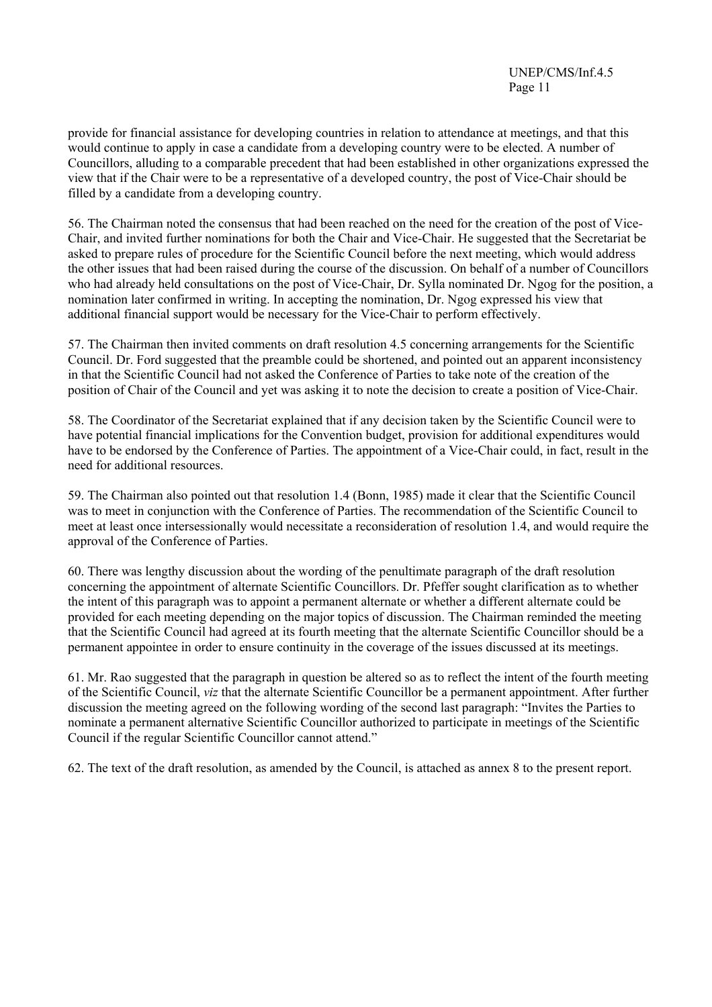provide for financial assistance for developing countries in relation to attendance at meetings, and that this would continue to apply in case a candidate from a developing country were to be elected. A number of Councillors, alluding to a comparable precedent that had been established in other organizations expressed the view that if the Chair were to be a representative of a developed country, the post of Vice-Chair should be filled by a candidate from a developing country.

56. The Chairman noted the consensus that had been reached on the need for the creation of the post of Vice-Chair, and invited further nominations for both the Chair and Vice-Chair. He suggested that the Secretariat be asked to prepare rules of procedure for the Scientific Council before the next meeting, which would address the other issues that had been raised during the course of the discussion. On behalf of a number of Councillors who had already held consultations on the post of Vice-Chair, Dr. Sylla nominated Dr. Ngog for the position, a nomination later confirmed in writing. In accepting the nomination, Dr. Ngog expressed his view that additional financial support would be necessary for the Vice-Chair to perform effectively.

57. The Chairman then invited comments on draft resolution 4.5 concerning arrangements for the Scientific Council. Dr. Ford suggested that the preamble could be shortened, and pointed out an apparent inconsistency in that the Scientific Council had not asked the Conference of Parties to take note of the creation of the position of Chair of the Council and yet was asking it to note the decision to create a position of Vice-Chair.

58. The Coordinator of the Secretariat explained that if any decision taken by the Scientific Council were to have potential financial implications for the Convention budget, provision for additional expenditures would have to be endorsed by the Conference of Parties. The appointment of a Vice-Chair could, in fact, result in the need for additional resources.

59. The Chairman also pointed out that resolution 1.4 (Bonn, 1985) made it clear that the Scientific Council was to meet in conjunction with the Conference of Parties. The recommendation of the Scientific Council to meet at least once intersessionally would necessitate a reconsideration of resolution 1.4, and would require the approval of the Conference of Parties.

60. There was lengthy discussion about the wording of the penultimate paragraph of the draft resolution concerning the appointment of alternate Scientific Councillors. Dr. Pfeffer sought clarification as to whether the intent of this paragraph was to appoint a permanent alternate or whether a different alternate could be provided for each meeting depending on the major topics of discussion. The Chairman reminded the meeting that the Scientific Council had agreed at its fourth meeting that the alternate Scientific Councillor should be a permanent appointee in order to ensure continuity in the coverage of the issues discussed at its meetings.

61. Mr. Rao suggested that the paragraph in question be altered so as to reflect the intent of the fourth meeting of the Scientific Council, *viz* that the alternate Scientific Councillor be a permanent appointment. After further discussion the meeting agreed on the following wording of the second last paragraph: "Invites the Parties to nominate a permanent alternative Scientific Councillor authorized to participate in meetings of the Scientific Council if the regular Scientific Councillor cannot attend."

62. The text of the draft resolution, as amended by the Council, is attached as annex 8 to the present report.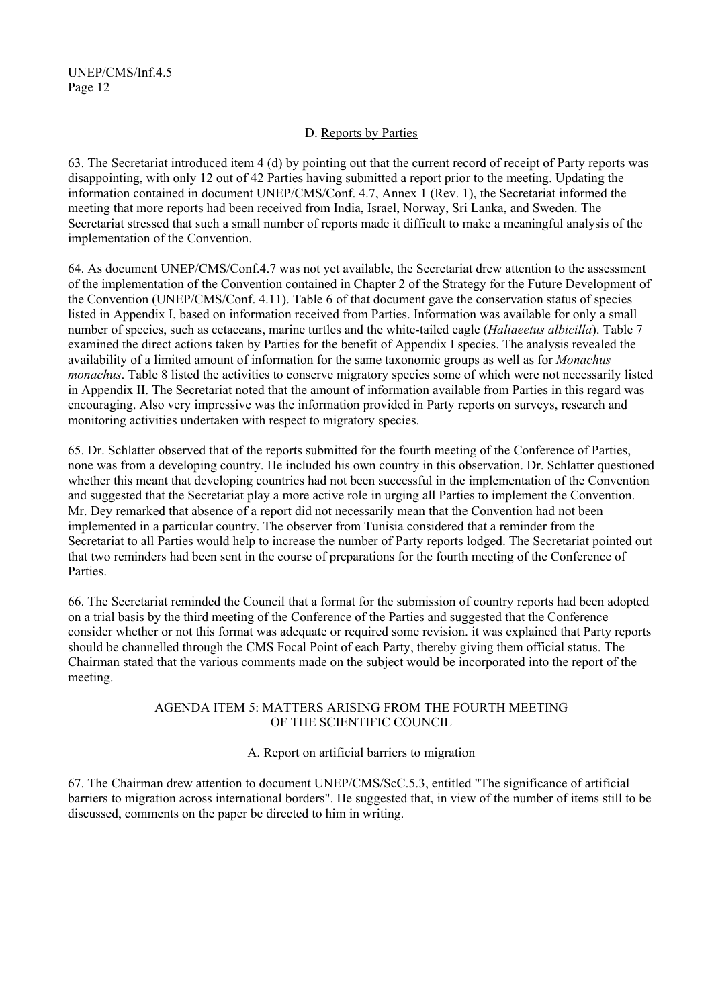# D. Reports by Parties

63. The Secretariat introduced item 4 (d) by pointing out that the current record of receipt of Party reports was disappointing, with only 12 out of 42 Parties having submitted a report prior to the meeting. Updating the information contained in document UNEP/CMS/Conf. 4.7, Annex 1 (Rev. 1), the Secretariat informed the meeting that more reports had been received from India, Israel, Norway, Sri Lanka, and Sweden. The Secretariat stressed that such a small number of reports made it difficult to make a meaningful analysis of the implementation of the Convention.

64. As document UNEP/CMS/Conf.4.7 was not yet available, the Secretariat drew attention to the assessment of the implementation of the Convention contained in Chapter 2 of the Strategy for the Future Development of the Convention (UNEP/CMS/Conf. 4.11). Table 6 of that document gave the conservation status of species listed in Appendix I, based on information received from Parties. Information was available for only a small number of species, such as cetaceans, marine turtles and the white-tailed eagle (*Haliaeetus albicilla*). Table 7 examined the direct actions taken by Parties for the benefit of Appendix I species. The analysis revealed the availability of a limited amount of information for the same taxonomic groups as well as for *Monachus monachus*. Table 8 listed the activities to conserve migratory species some of which were not necessarily listed in Appendix II. The Secretariat noted that the amount of information available from Parties in this regard was encouraging. Also very impressive was the information provided in Party reports on surveys, research and monitoring activities undertaken with respect to migratory species.

65. Dr. Schlatter observed that of the reports submitted for the fourth meeting of the Conference of Parties, none was from a developing country. He included his own country in this observation. Dr. Schlatter questioned whether this meant that developing countries had not been successful in the implementation of the Convention and suggested that the Secretariat play a more active role in urging all Parties to implement the Convention. Mr. Dey remarked that absence of a report did not necessarily mean that the Convention had not been implemented in a particular country. The observer from Tunisia considered that a reminder from the Secretariat to all Parties would help to increase the number of Party reports lodged. The Secretariat pointed out that two reminders had been sent in the course of preparations for the fourth meeting of the Conference of **Parties** 

66. The Secretariat reminded the Council that a format for the submission of country reports had been adopted on a trial basis by the third meeting of the Conference of the Parties and suggested that the Conference consider whether or not this format was adequate or required some revision. it was explained that Party reports should be channelled through the CMS Focal Point of each Party, thereby giving them official status. The Chairman stated that the various comments made on the subject would be incorporated into the report of the meeting.

#### AGENDA ITEM 5: MATTERS ARISING FROM THE FOURTH MEETING OF THE SCIENTIFIC COUNCIL

# A. Report on artificial barriers to migration

67. The Chairman drew attention to document UNEP/CMS/ScC.5.3, entitled "The significance of artificial barriers to migration across international borders". He suggested that, in view of the number of items still to be discussed, comments on the paper be directed to him in writing.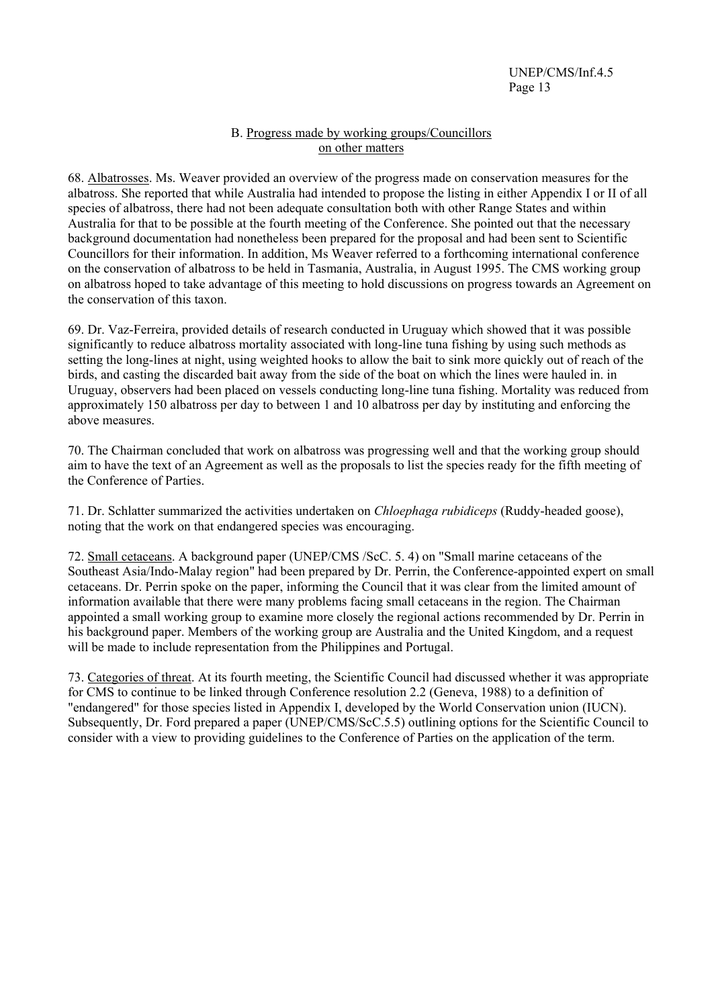# B. Progress made by working groups/Councillors on other matters

68. Albatrosses. Ms. Weaver provided an overview of the progress made on conservation measures for the albatross. She reported that while Australia had intended to propose the listing in either Appendix I or II of all species of albatross, there had not been adequate consultation both with other Range States and within Australia for that to be possible at the fourth meeting of the Conference. She pointed out that the necessary background documentation had nonetheless been prepared for the proposal and had been sent to Scientific Councillors for their information. In addition, Ms Weaver referred to a forthcoming international conference on the conservation of albatross to be held in Tasmania, Australia, in August 1995. The CMS working group on albatross hoped to take advantage of this meeting to hold discussions on progress towards an Agreement on the conservation of this taxon.

69. Dr. Vaz-Ferreira, provided details of research conducted in Uruguay which showed that it was possible significantly to reduce albatross mortality associated with long-line tuna fishing by using such methods as setting the long-lines at night, using weighted hooks to allow the bait to sink more quickly out of reach of the birds, and casting the discarded bait away from the side of the boat on which the lines were hauled in. in Uruguay, observers had been placed on vessels conducting long-line tuna fishing. Mortality was reduced from approximately 150 albatross per day to between 1 and 10 albatross per day by instituting and enforcing the above measures.

70. The Chairman concluded that work on albatross was progressing well and that the working group should aim to have the text of an Agreement as well as the proposals to list the species ready for the fifth meeting of the Conference of Parties.

71. Dr. Schlatter summarized the activities undertaken on *Chloephaga rubidiceps* (Ruddy-headed goose), noting that the work on that endangered species was encouraging.

72. Small cetaceans. A background paper (UNEP/CMS /ScC. 5. 4) on "Small marine cetaceans of the Southeast Asia/Indo-Malay region" had been prepared by Dr. Perrin, the Conference-appointed expert on small cetaceans. Dr. Perrin spoke on the paper, informing the Council that it was clear from the limited amount of information available that there were many problems facing small cetaceans in the region. The Chairman appointed a small working group to examine more closely the regional actions recommended by Dr. Perrin in his background paper. Members of the working group are Australia and the United Kingdom, and a request will be made to include representation from the Philippines and Portugal.

73. Categories of threat. At its fourth meeting, the Scientific Council had discussed whether it was appropriate for CMS to continue to be linked through Conference resolution 2.2 (Geneva, 1988) to a definition of "endangered" for those species listed in Appendix I, developed by the World Conservation union (IUCN). Subsequently, Dr. Ford prepared a paper (UNEP/CMS/ScC.5.5) outlining options for the Scientific Council to consider with a view to providing guidelines to the Conference of Parties on the application of the term.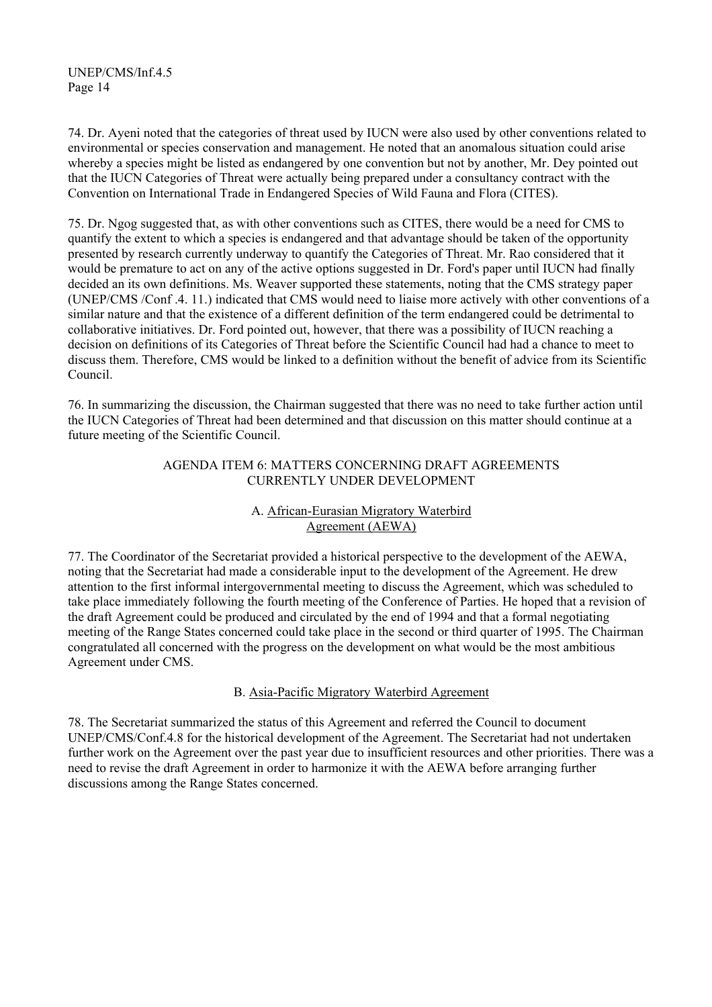74. Dr. Ayeni noted that the categories of threat used by IUCN were also used by other conventions related to environmental or species conservation and management. He noted that an anomalous situation could arise whereby a species might be listed as endangered by one convention but not by another, Mr. Dey pointed out that the IUCN Categories of Threat were actually being prepared under a consultancy contract with the Convention on International Trade in Endangered Species of Wild Fauna and Flora (CITES).

75. Dr. Ngog suggested that, as with other conventions such as CITES, there would be a need for CMS to quantify the extent to which a species is endangered and that advantage should be taken of the opportunity presented by research currently underway to quantify the Categories of Threat. Mr. Rao considered that it would be premature to act on any of the active options suggested in Dr. Ford's paper until IUCN had finally decided an its own definitions. Ms. Weaver supported these statements, noting that the CMS strategy paper (UNEP/CMS /Conf .4. 11.) indicated that CMS would need to liaise more actively with other conventions of a similar nature and that the existence of a different definition of the term endangered could be detrimental to collaborative initiatives. Dr. Ford pointed out, however, that there was a possibility of IUCN reaching a decision on definitions of its Categories of Threat before the Scientific Council had had a chance to meet to discuss them. Therefore, CMS would be linked to a definition without the benefit of advice from its Scientific Council.

76. In summarizing the discussion, the Chairman suggested that there was no need to take further action until the IUCN Categories of Threat had been determined and that discussion on this matter should continue at a future meeting of the Scientific Council.

### AGENDA ITEM 6: MATTERS CONCERNING DRAFT AGREEMENTS CURRENTLY UNDER DEVELOPMENT

# A. African-Eurasian Migratory Waterbird Agreement (AEWA)

77. The Coordinator of the Secretariat provided a historical perspective to the development of the AEWA, noting that the Secretariat had made a considerable input to the development of the Agreement. He drew attention to the first informal intergovernmental meeting to discuss the Agreement, which was scheduled to take place immediately following the fourth meeting of the Conference of Parties. He hoped that a revision of the draft Agreement could be produced and circulated by the end of 1994 and that a formal negotiating meeting of the Range States concerned could take place in the second or third quarter of 1995. The Chairman congratulated all concerned with the progress on the development on what would be the most ambitious Agreement under CMS.

# B. Asia-Pacific Migratory Waterbird Agreement

78. The Secretariat summarized the status of this Agreement and referred the Council to document UNEP/CMS/Conf.4.8 for the historical development of the Agreement. The Secretariat had not undertaken further work on the Agreement over the past year due to insufficient resources and other priorities. There was a need to revise the draft Agreement in order to harmonize it with the AEWA before arranging further discussions among the Range States concerned.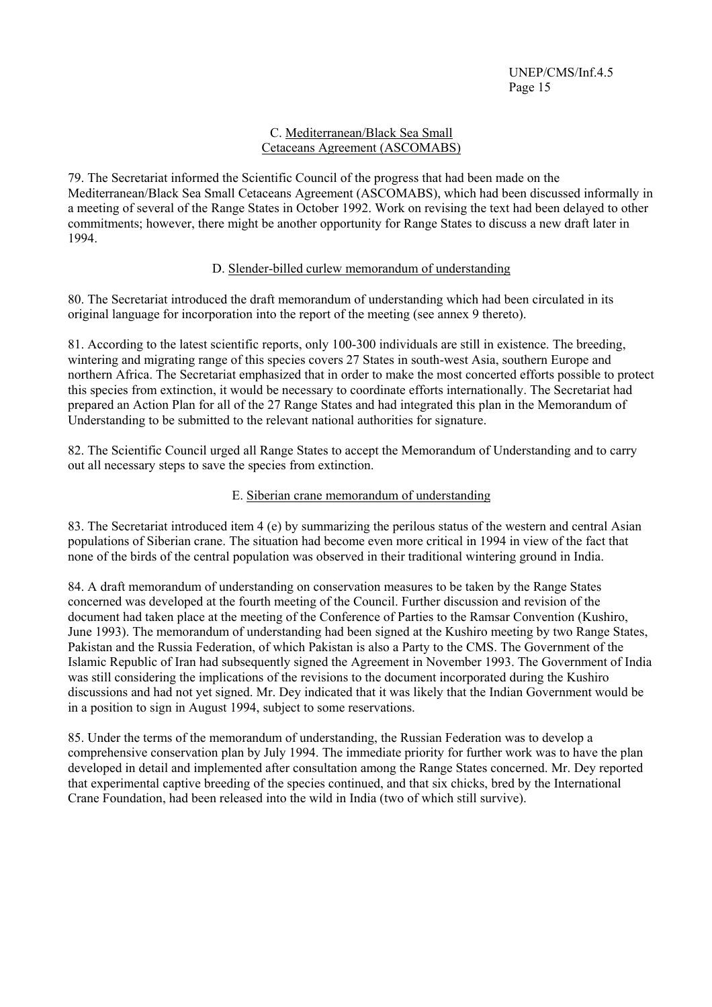# C. Mediterranean/Black Sea Small Cetaceans Agreement (ASCOMABS)

79. The Secretariat informed the Scientific Council of the progress that had been made on the Mediterranean/Black Sea Small Cetaceans Agreement (ASCOMABS), which had been discussed informally in a meeting of several of the Range States in October 1992. Work on revising the text had been delayed to other commitments; however, there might be another opportunity for Range States to discuss a new draft later in 1994.

# D. Slender-billed curlew memorandum of understanding

80. The Secretariat introduced the draft memorandum of understanding which had been circulated in its original language for incorporation into the report of the meeting (see annex 9 thereto).

81. According to the latest scientific reports, only 100-300 individuals are still in existence. The breeding, wintering and migrating range of this species covers 27 States in south-west Asia, southern Europe and northern Africa. The Secretariat emphasized that in order to make the most concerted efforts possible to protect this species from extinction, it would be necessary to coordinate efforts internationally. The Secretariat had prepared an Action Plan for all of the 27 Range States and had integrated this plan in the Memorandum of Understanding to be submitted to the relevant national authorities for signature.

82. The Scientific Council urged all Range States to accept the Memorandum of Understanding and to carry out all necessary steps to save the species from extinction.

# E. Siberian crane memorandum of understanding

83. The Secretariat introduced item 4 (e) by summarizing the perilous status of the western and central Asian populations of Siberian crane. The situation had become even more critical in 1994 in view of the fact that none of the birds of the central population was observed in their traditional wintering ground in India.

84. A draft memorandum of understanding on conservation measures to be taken by the Range States concerned was developed at the fourth meeting of the Council. Further discussion and revision of the document had taken place at the meeting of the Conference of Parties to the Ramsar Convention (Kushiro, June 1993). The memorandum of understanding had been signed at the Kushiro meeting by two Range States, Pakistan and the Russia Federation, of which Pakistan is also a Party to the CMS. The Government of the Islamic Republic of Iran had subsequently signed the Agreement in November 1993. The Government of India was still considering the implications of the revisions to the document incorporated during the Kushiro discussions and had not yet signed. Mr. Dey indicated that it was likely that the Indian Government would be in a position to sign in August 1994, subject to some reservations.

85. Under the terms of the memorandum of understanding, the Russian Federation was to develop a comprehensive conservation plan by July 1994. The immediate priority for further work was to have the plan developed in detail and implemented after consultation among the Range States concerned. Mr. Dey reported that experimental captive breeding of the species continued, and that six chicks, bred by the International Crane Foundation, had been released into the wild in India (two of which still survive).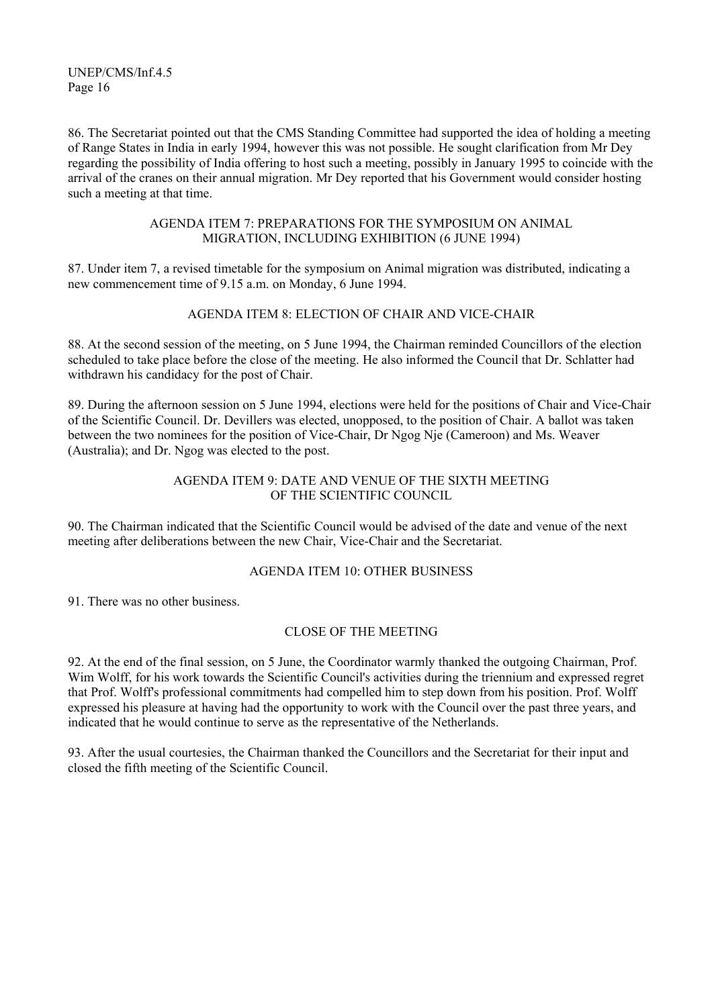86. The Secretariat pointed out that the CMS Standing Committee had supported the idea of holding a meeting of Range States in India in early 1994, however this was not possible. He sought clarification from Mr Dey regarding the possibility of India offering to host such a meeting, possibly in January 1995 to coincide with the arrival of the cranes on their annual migration. Mr Dey reported that his Government would consider hosting such a meeting at that time.

#### AGENDA ITEM 7: PREPARATIONS FOR THE SYMPOSIUM ON ANIMAL MIGRATION, INCLUDING EXHIBITION (6 JUNE 1994)

87. Under item 7, a revised timetable for the symposium on Animal migration was distributed, indicating a new commencement time of 9.15 a.m. on Monday, 6 June 1994.

# AGENDA ITEM 8: ELECTION OF CHAIR AND VICE-CHAIR

88. At the second session of the meeting, on 5 June 1994, the Chairman reminded Councillors of the election scheduled to take place before the close of the meeting. He also informed the Council that Dr. Schlatter had withdrawn his candidacy for the post of Chair.

89. During the afternoon session on 5 June 1994, elections were held for the positions of Chair and Vice-Chair of the Scientific Council. Dr. Devillers was elected, unopposed, to the position of Chair. A ballot was taken between the two nominees for the position of Vice-Chair, Dr Ngog Nje (Cameroon) and Ms. Weaver (Australia); and Dr. Ngog was elected to the post.

# AGENDA ITEM 9: DATE AND VENUE OF THE SIXTH MEETING OF THE SCIENTIFIC COUNCIL

90. The Chairman indicated that the Scientific Council would be advised of the date and venue of the next meeting after deliberations between the new Chair, Vice-Chair and the Secretariat.

#### AGENDA ITEM 10: OTHER BUSINESS

91. There was no other business.

#### CLOSE OF THE MEETING

92. At the end of the final session, on 5 June, the Coordinator warmly thanked the outgoing Chairman, Prof. Wim Wolff, for his work towards the Scientific Council's activities during the triennium and expressed regret that Prof. Wolff's professional commitments had compelled him to step down from his position. Prof. Wolff expressed his pleasure at having had the opportunity to work with the Council over the past three years, and indicated that he would continue to serve as the representative of the Netherlands.

93. After the usual courtesies, the Chairman thanked the Councillors and the Secretariat for their input and closed the fifth meeting of the Scientific Council.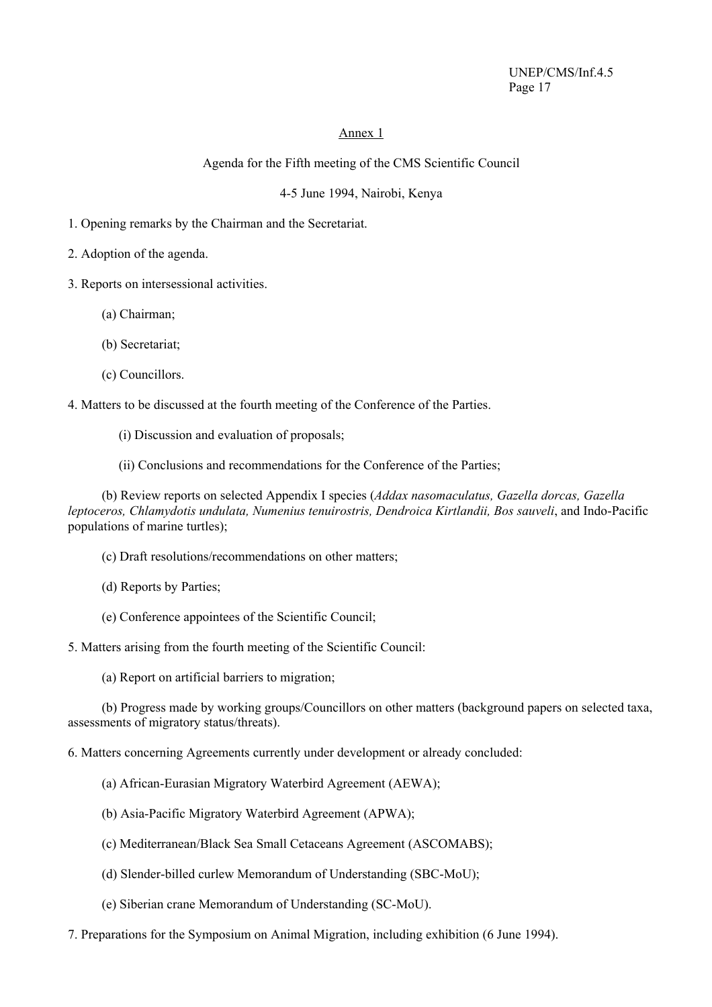# Annex 1

### Agenda for the Fifth meeting of the CMS Scientific Council

### 4-5 June 1994, Nairobi, Kenya

- 1. Opening remarks by the Chairman and the Secretariat.
- 2. Adoption of the agenda.
- 3. Reports on intersessional activities.
	- (a) Chairman;
	- (b) Secretariat;
	- (c) Councillors.

4. Matters to be discussed at the fourth meeting of the Conference of the Parties.

- (i) Discussion and evaluation of proposals;
- (ii) Conclusions and recommendations for the Conference of the Parties;

(b) Review reports on selected Appendix I species (*Addax nasomaculatus, Gazella dorcas, Gazella leptoceros, Chlamydotis undulata, Numenius tenuirostris, Dendroica Kirtlandii, Bos sauveli*, and Indo-Pacific populations of marine turtles);

- (c) Draft resolutions/recommendations on other matters;
- (d) Reports by Parties;
- (e) Conference appointees of the Scientific Council;
- 5. Matters arising from the fourth meeting of the Scientific Council:
	- (a) Report on artificial barriers to migration;

(b) Progress made by working groups/Councillors on other matters (background papers on selected taxa, assessments of migratory status/threats).

6. Matters concerning Agreements currently under development or already concluded:

- (a) African-Eurasian Migratory Waterbird Agreement (AEWA);
- (b) Asia-Pacific Migratory Waterbird Agreement (APWA);
- (c) Mediterranean/Black Sea Small Cetaceans Agreement (ASCOMABS);
- (d) Slender-billed curlew Memorandum of Understanding (SBC-MoU);
- (e) Siberian crane Memorandum of Understanding (SC-MoU).
- 7. Preparations for the Symposium on Animal Migration, including exhibition (6 June 1994).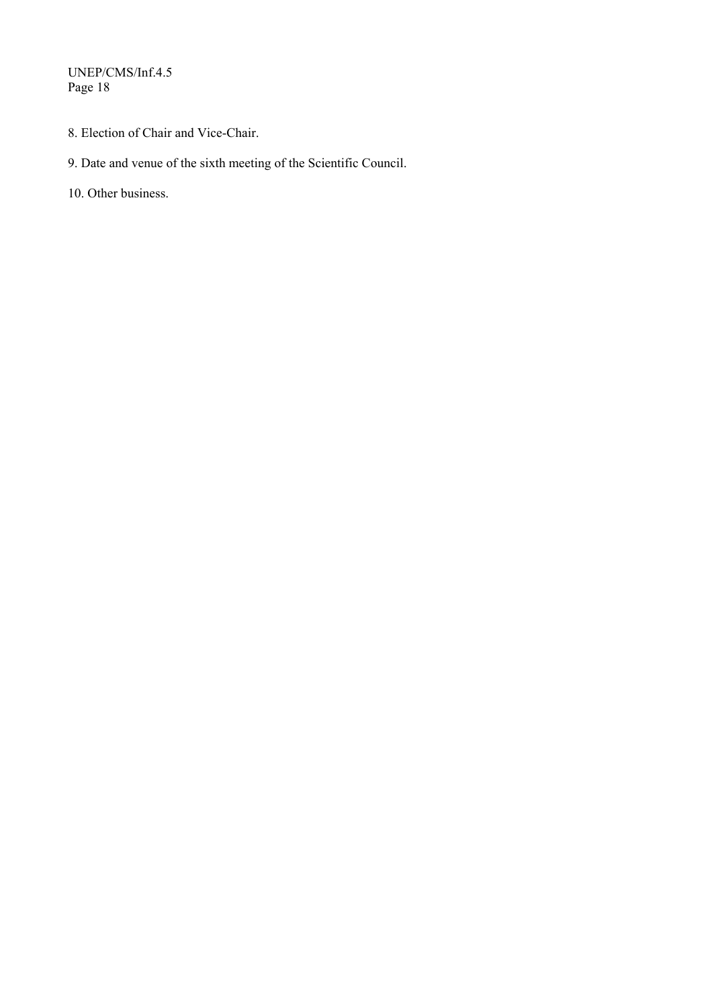- 8. Election of Chair and Vice-Chair.
- 9. Date and venue of the sixth meeting of the Scientific Council.
- 10. Other business.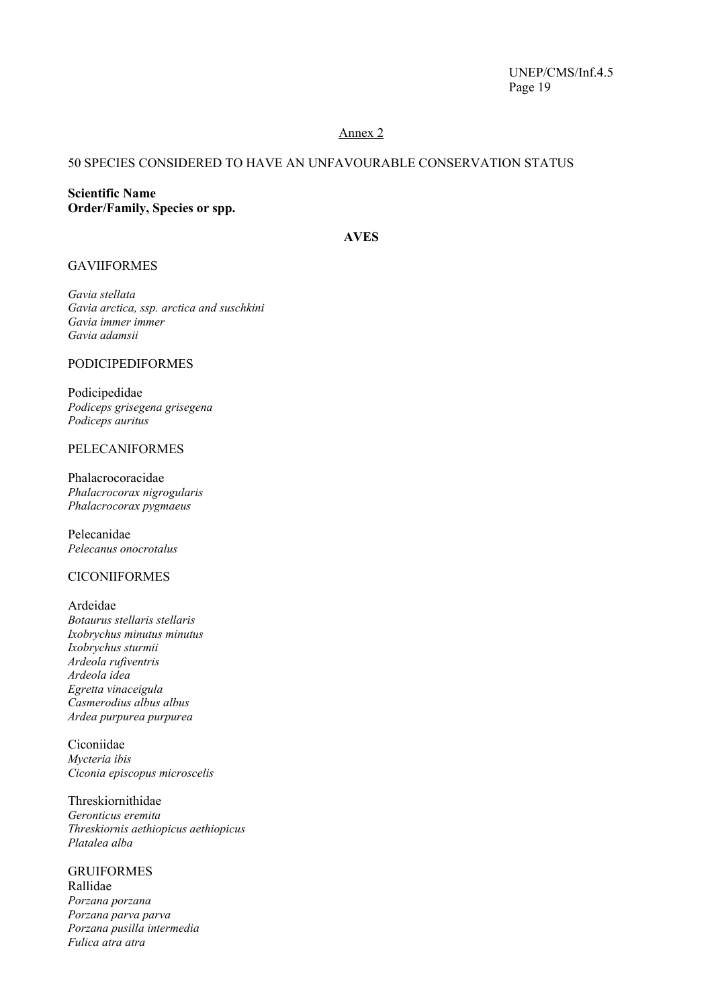### Annex 2

# 50 SPECIES CONSIDERED TO HAVE AN UNFAVOURABLE CONSERVATION STATUS

**Scientific Name Order/Family, Species or spp.** 

# **AVES**

#### GAVIIFORMES

*Gavia stellata Gavia arctica, ssp. arctica and suschkini Gavia immer immer Gavia adamsii* 

# PODICIPEDIFORMES

Podicipedidae *Podiceps grisegena grisegena Podiceps auritus* 

#### PELECANIFORMES

Phalacrocoracidae *Phalacrocorax nigrogularis Phalacrocorax pygmaeus* 

Pelecanidae *Pelecanus onocrotalus* 

#### CICONIIFORMES

Ardeidae *Botaurus stellaris stellaris Ixobrychus minutus minutus Ixobrychus sturmii Ardeola rufiventris Ardeola idea Egretta vinaceigula Casmerodius albus albus Ardea purpurea purpurea* 

Ciconiidae *Mycteria ibis Ciconia episcopus microscelis* 

Threskiornithidae *Geronticus eremita Threskiornis aethiopicus aethiopicus Platalea alba* 

#### GRUIFORMES Rallidae *Porzana porzana Porzana parva parva Porzana pusilla intermedia Fulica atra atra*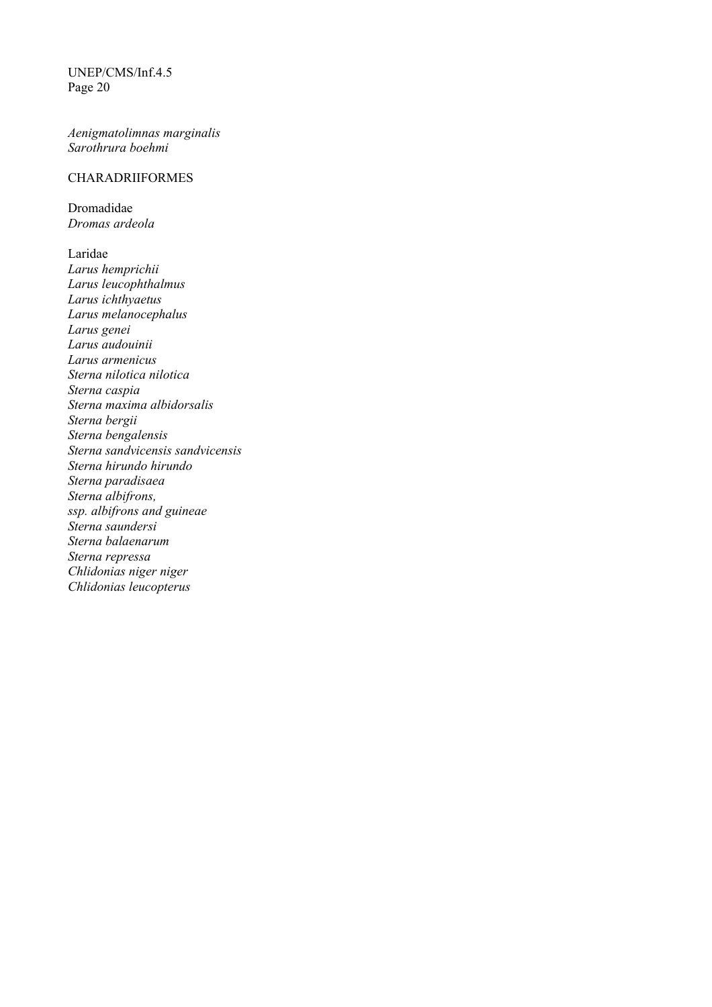*Aenigmatolimnas marginalis Sarothrura boehmi* 

# CHARADRIIFORMES

Dromadidae *Dromas ardeola* 

Laridae *Larus hemprichii Larus leucophthalmus Larus ichthyaetus Larus melanocephalus Larus genei Larus audouinii Larus armenicus Sterna nilotica nilotica Sterna caspia Sterna maxima albidorsalis Sterna bergii Sterna bengalensis Sterna sandvicensis sandvicensis Sterna hirundo hirundo Sterna paradisaea Sterna albifrons, ssp. albifrons and guineae Sterna saundersi Sterna balaenarum Sterna repressa Chlidonias niger niger Chlidonias leucopterus*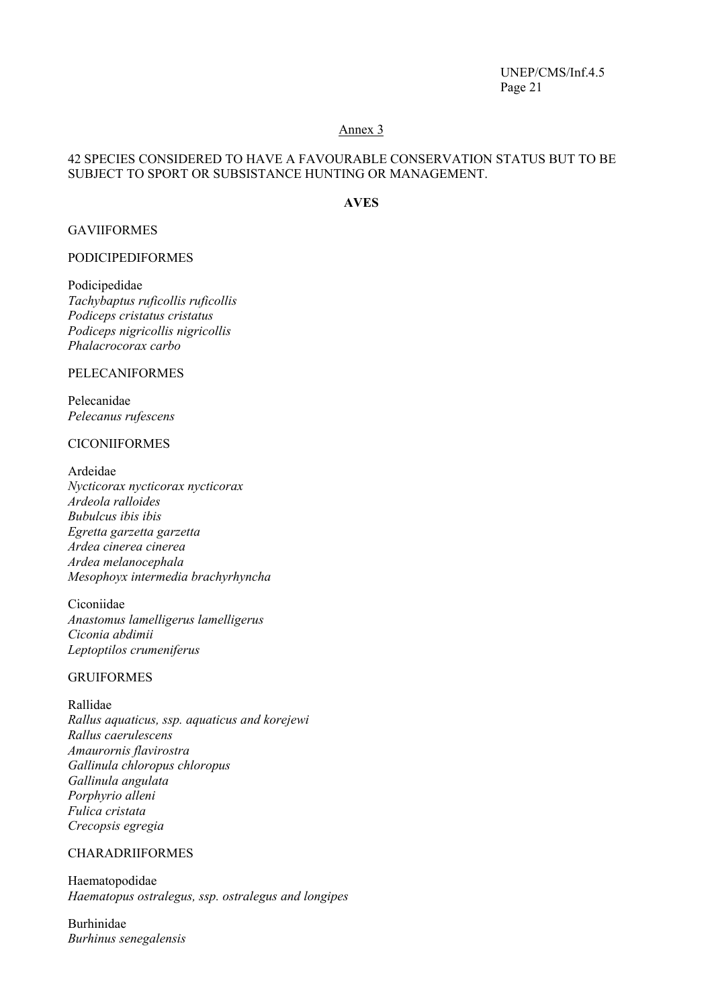#### Annex 3

#### 42 SPECIES CONSIDERED TO HAVE A FAVOURABLE CONSERVATION STATUS BUT TO BE SUBJECT TO SPORT OR SUBSISTANCE HUNTING OR MANAGEMENT.

# **AVES**

### GAVIIFORMES

# PODICIPEDIFORMES

Podicipedidae *Tachybaptus ruficollis ruficollis Podiceps cristatus cristatus Podiceps nigricollis nigricollis Phalacrocorax carbo* 

#### PELECANIFORMES

Pelecanidae *Pelecanus rufescens* 

#### CICONIIFORMES

Ardeidae *Nycticorax nycticorax nycticorax Ardeola ralloides Bubulcus ibis ibis Egretta garzetta garzetta Ardea cinerea cinerea Ardea melanocephala Mesophoyx intermedia brachyrhyncha* 

Ciconiidae *Anastomus lamelligerus lamelligerus Ciconia abdimii Leptoptilos crumeniferus* 

# GRUIFORMES

Rallidae *Rallus aquaticus, ssp. aquaticus and korejewi Rallus caerulescens Amaurornis flavirostra Gallinula chloropus chloropus Gallinula angulata Porphyrio alleni Fulica cristata Crecopsis egregia* 

#### CHARADRIIFORMES

Haematopodidae *Haematopus ostralegus, ssp. ostralegus and longipes* 

Burhinidae *Burhinus senegalensis*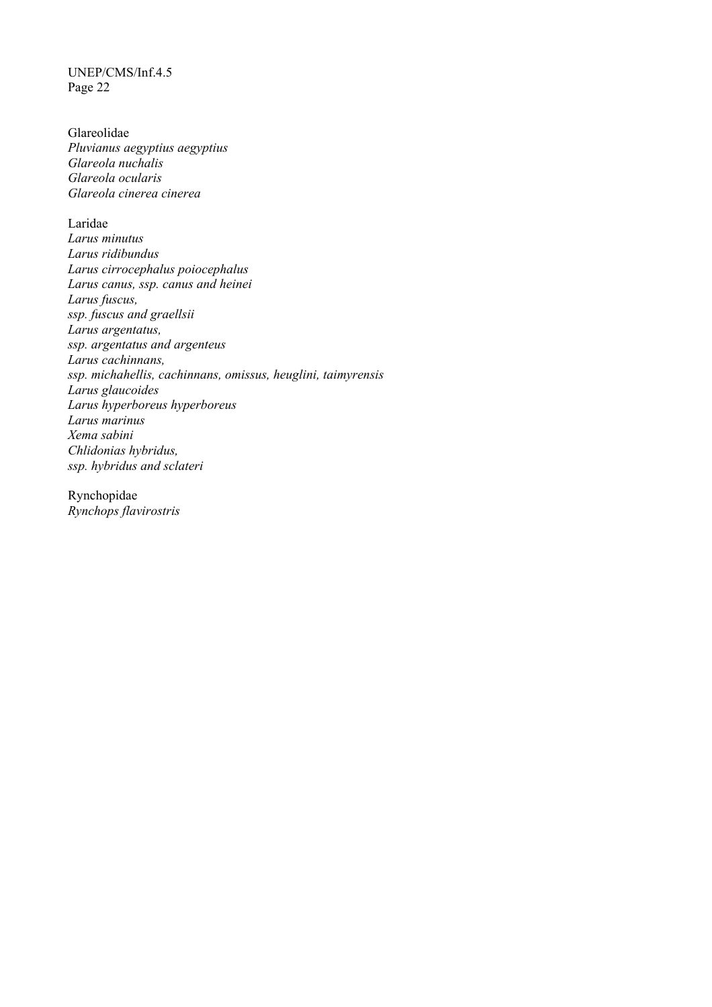Glareolidae *Pluvianus aegyptius aegyptius Glareola nuchalis Glareola ocularis Glareola cinerea cinerea* 

Laridae *Larus minutus Larus ridibundus Larus cirrocephalus poiocephalus Larus canus, ssp. canus and heinei Larus fuscus, ssp. fuscus and graellsii Larus argentatus, ssp. argentatus and argenteus Larus cachinnans, ssp. michahellis, cachinnans, omissus, heuglini, taimyrensis Larus glaucoides Larus hyperboreus hyperboreus Larus marinus Xema sabini Chlidonias hybridus, ssp. hybridus and sclateri* 

Rynchopidae *Rynchops flavirostris*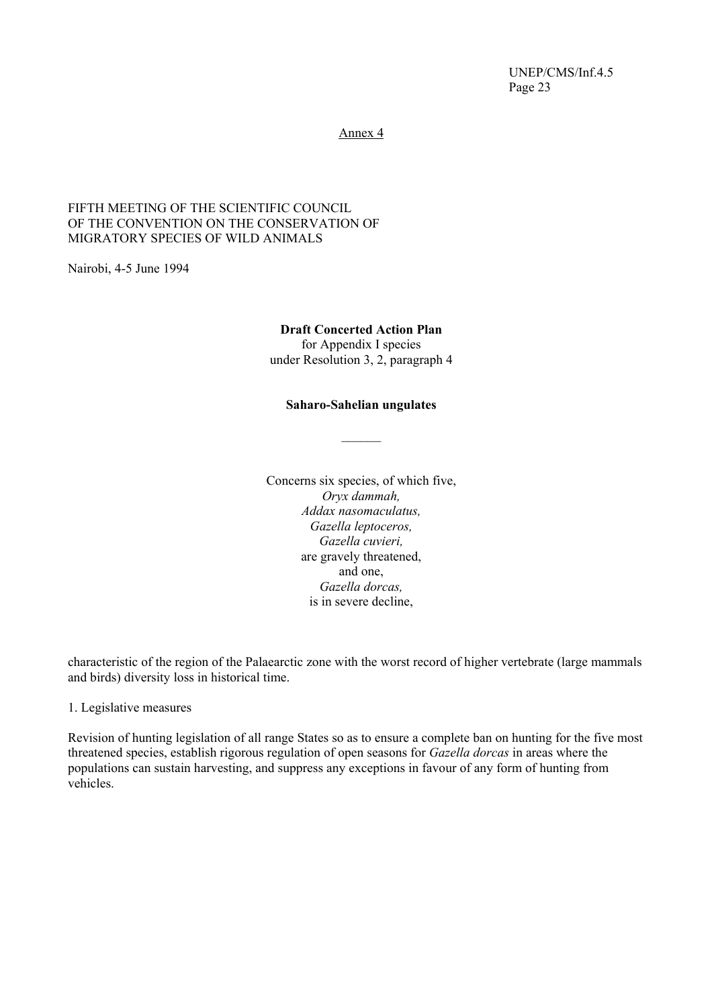Annex 4

#### FIFTH MEETING OF THE SCIENTIFIC COUNCIL OF THE CONVENTION ON THE CONSERVATION OF MIGRATORY SPECIES OF WILD ANIMALS

Nairobi, 4-5 June 1994

#### **Draft Concerted Action Plan**

for Appendix I species under Resolution 3, 2, paragraph 4

#### **Saharo-Sahelian ungulates**

 $\mathcal{L}$ 

Concerns six species, of which five, *Oryx dammah, Addax nasomaculatus, Gazella leptoceros, Gazella cuvieri,*  are gravely threatened, and one, *Gazella dorcas,*  is in severe decline,

characteristic of the region of the Palaearctic zone with the worst record of higher vertebrate (large mammals and birds) diversity loss in historical time.

1. Legislative measures

Revision of hunting legislation of all range States so as to ensure a complete ban on hunting for the five most threatened species, establish rigorous regulation of open seasons for *Gazella dorcas* in areas where the populations can sustain harvesting, and suppress any exceptions in favour of any form of hunting from vehicles.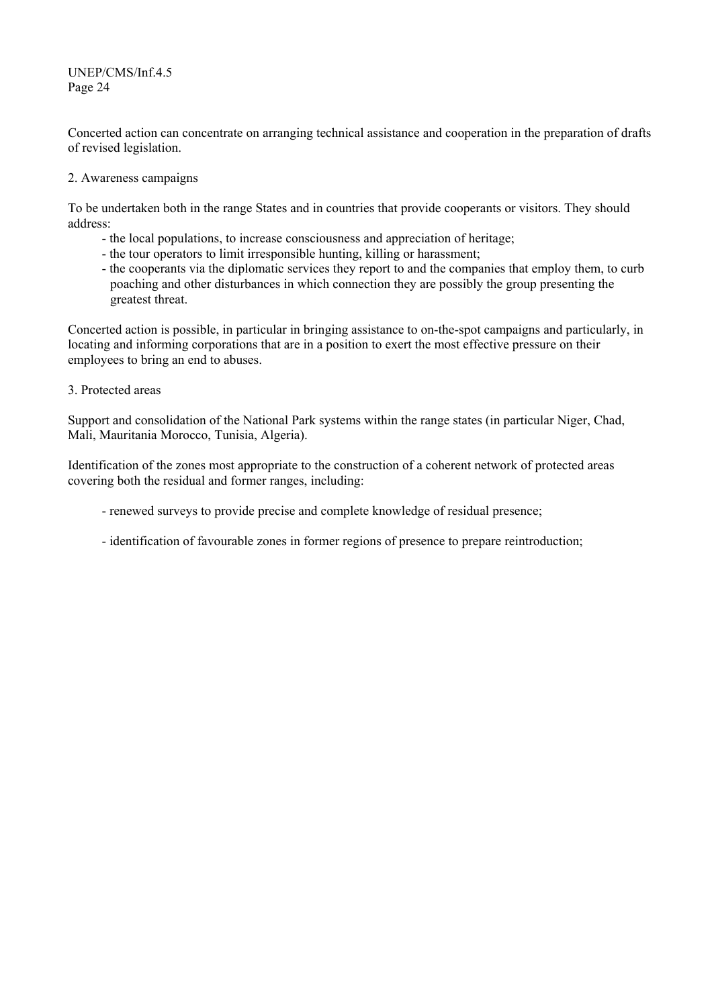Concerted action can concentrate on arranging technical assistance and cooperation in the preparation of drafts of revised legislation.

### 2. Awareness campaigns

To be undertaken both in the range States and in countries that provide cooperants or visitors. They should address:

- the local populations, to increase consciousness and appreciation of heritage;
- the tour operators to limit irresponsible hunting, killing or harassment;
- the cooperants via the diplomatic services they report to and the companies that employ them, to curb poaching and other disturbances in which connection they are possibly the group presenting the greatest threat.

Concerted action is possible, in particular in bringing assistance to on-the-spot campaigns and particularly, in locating and informing corporations that are in a position to exert the most effective pressure on their employees to bring an end to abuses.

3. Protected areas

Support and consolidation of the National Park systems within the range states (in particular Niger, Chad, Mali, Mauritania Morocco, Tunisia, Algeria).

Identification of the zones most appropriate to the construction of a coherent network of protected areas covering both the residual and former ranges, including:

- renewed surveys to provide precise and complete knowledge of residual presence;
- identification of favourable zones in former regions of presence to prepare reintroduction;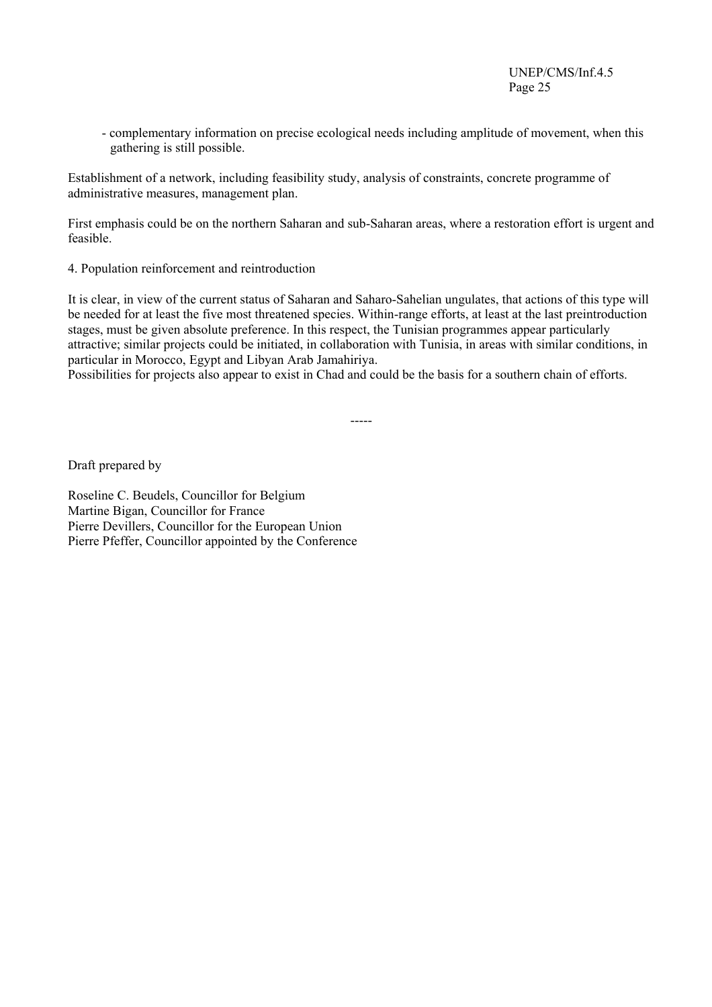- complementary information on precise ecological needs including amplitude of movement, when this gathering is still possible.

Establishment of a network, including feasibility study, analysis of constraints, concrete programme of administrative measures, management plan.

First emphasis could be on the northern Saharan and sub-Saharan areas, where a restoration effort is urgent and feasible.

4. Population reinforcement and reintroduction

It is clear, in view of the current status of Saharan and Saharo-Sahelian ungulates, that actions of this type will be needed for at least the five most threatened species. Within-range efforts, at least at the last preintroduction stages, must be given absolute preference. In this respect, the Tunisian programmes appear particularly attractive; similar projects could be initiated, in collaboration with Tunisia, in areas with similar conditions, in particular in Morocco, Egypt and Libyan Arab Jamahiriya.

Possibilities for projects also appear to exist in Chad and could be the basis for a southern chain of efforts.

-----

Draft prepared by

Roseline C. Beudels, Councillor for Belgium Martine Bigan, Councillor for France Pierre Devillers, Councillor for the European Union Pierre Pfeffer, Councillor appointed by the Conference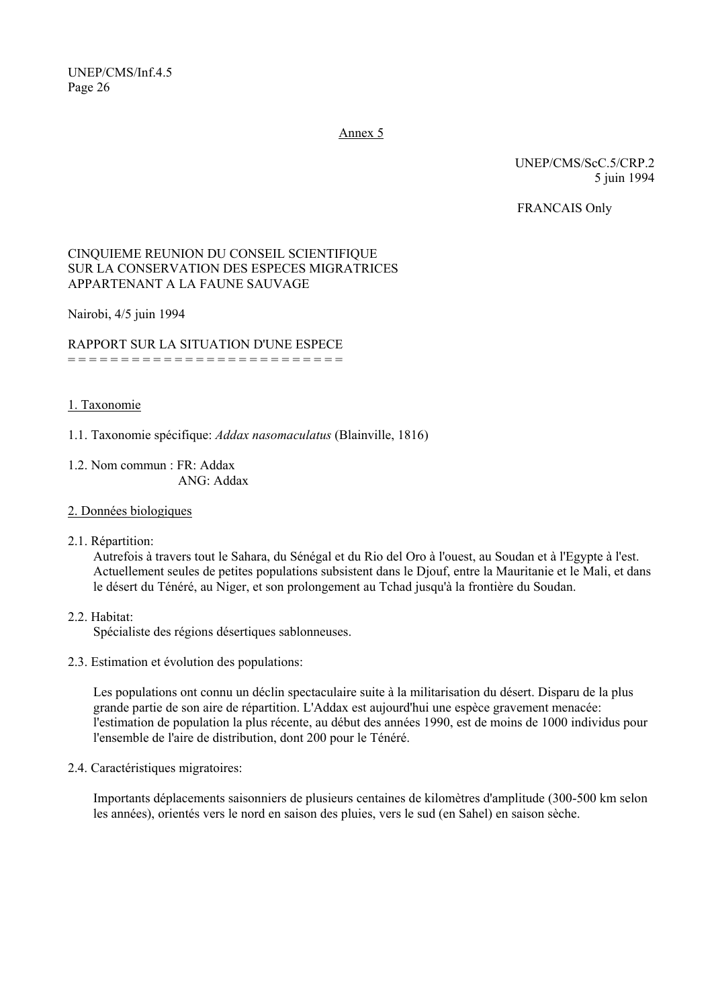Annex 5

UNEP/CMS/ScC.5/CRP.2 5 juin 1994

FRANCAIS Only

# CINQUIEME REUNION DU CONSEIL SCIENTIFIQUE SUR LA CONSERVATION DES ESPECES MIGRATRICES APPARTENANT A LA FAUNE SAUVAGE

Nairobi, 4/5 juin 1994

RAPPORT SUR LA SITUATION D'UNE ESPECE = = = = = = = = = = = = = = = = = = = = = = = = = =

#### 1. Taxonomie

1.1. Taxonomie spécifique: *Addax nasomaculatus* (Blainville, 1816)

1.2. Nom commun : FR: Addax ANG: Addax

#### 2. Données biologiques

2.1. Répartition:

Autrefois à travers tout le Sahara, du Sénégal et du Rio del Oro à l'ouest, au Soudan et à l'Egypte à l'est. Actuellement seules de petites populations subsistent dans le Djouf, entre la Mauritanie et le Mali, et dans le désert du Ténéré, au Niger, et son prolongement au Tchad jusqu'à la frontière du Soudan.

2.2. Habitat:

Spécialiste des régions désertiques sablonneuses.

2.3. Estimation et évolution des populations:

Les populations ont connu un déclin spectaculaire suite à la militarisation du désert. Disparu de la plus grande partie de son aire de répartition. L'Addax est aujourd'hui une espèce gravement menacée: l'estimation de population la plus récente, au début des années 1990, est de moins de 1000 individus pour l'ensemble de l'aire de distribution, dont 200 pour le Ténéré.

2.4. Caractéristiques migratoires:

Importants déplacements saisonniers de plusieurs centaines de kilomètres d'amplitude (300-500 km selon les années), orientés vers le nord en saison des pluies, vers le sud (en Sahel) en saison sèche.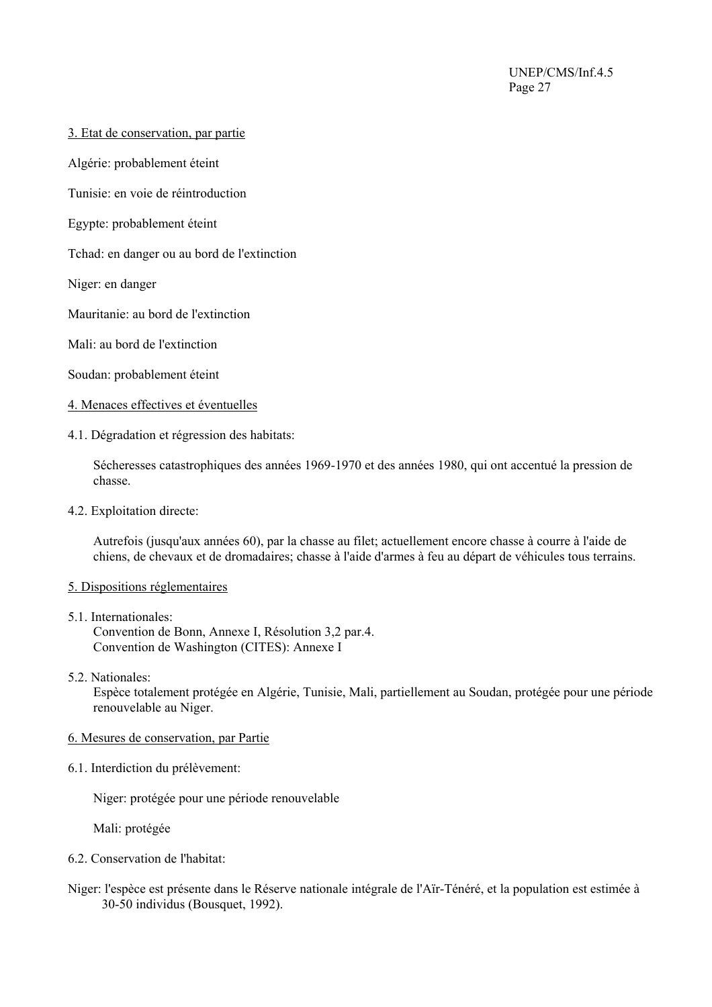- 3. Etat de conservation, par partie
- Algérie: probablement éteint
- Tunisie: en voie de réintroduction
- Egypte: probablement éteint
- Tchad: en danger ou au bord de l'extinction
- Niger: en danger
- Mauritanie: au bord de l'extinction
- Mali: au bord de l'extinction
- Soudan: probablement éteint
- 4. Menaces effectives et éventuelles
- 4.1. Dégradation et régression des habitats:

Sécheresses catastrophiques des années 1969-1970 et des années 1980, qui ont accentué la pression de chasse.

4.2. Exploitation directe:

Autrefois (jusqu'aux années 60), par la chasse au filet; actuellement encore chasse à courre à l'aide de chiens, de chevaux et de dromadaires; chasse à l'aide d'armes à feu au départ de véhicules tous terrains.

#### 5. Dispositions réglementaires

- 5.1. Internationales: Convention de Bonn, Annexe I, Résolution 3,2 par.4. Convention de Washington (CITES): Annexe I
- 5.2. Nationales:

Espèce totalement protégée en Algérie, Tunisie, Mali, partiellement au Soudan, protégée pour une période renouvelable au Niger.

- 6. Mesures de conservation, par Partie
- 6.1. Interdiction du prélèvement:

Niger: protégée pour une période renouvelable

Mali: protégée

- 6.2. Conservation de l'habitat:
- Niger: l'espèce est présente dans le Réserve nationale intégrale de l'Aїr-Ténéré, et la population est estimée à 30-50 individus (Bousquet, 1992).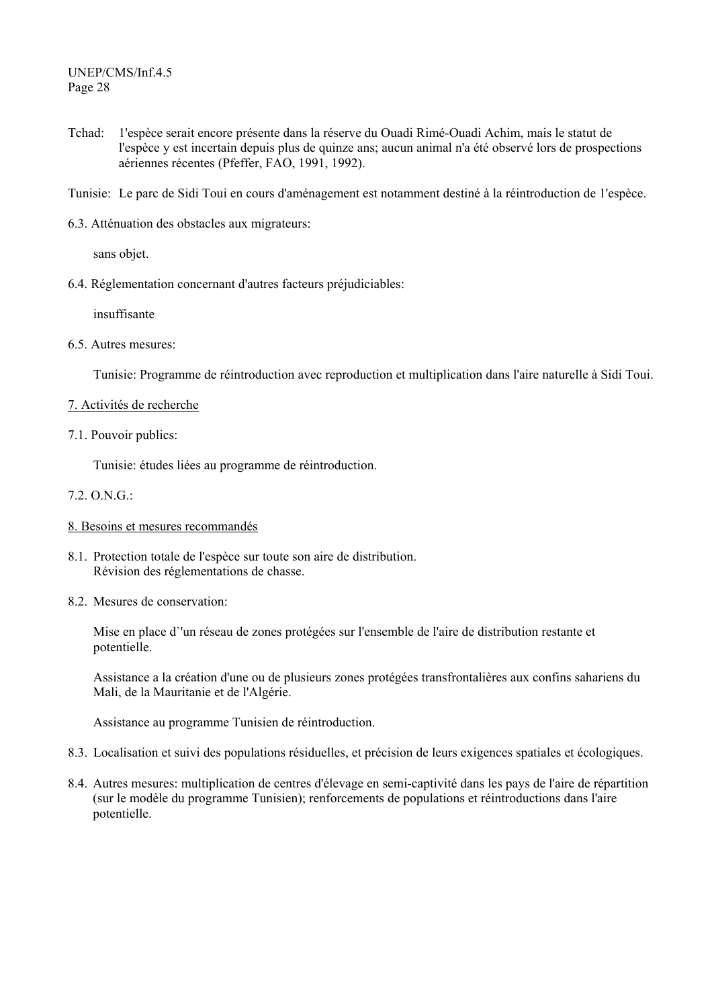- Tchad: 1'espèce serait encore présente dans la réserve du Ouadi Rimé-Ouadi Achim, mais le statut de l'espèce y est incertain depuis plus de quinze ans; aucun animal n'a été observé lors de prospections aériennes récentes (Pfeffer, FAO, 1991, 1992).
- Tunisie: Le parc de Sidi Toui en cours d'aménagement est notamment destiné à la réintroduction de 1'espèce.
- 6.3. Atténuation des obstacles aux migrateurs:

sans objet.

6.4. Réglementation concernant d'autres facteurs préjudiciables:

insuffisante

6.5. Autres mesures:

Tunisie: Programme de réintroduction avec reproduction et multiplication dans l'aire naturelle à Sidi Toui.

- 7. Activités de recherche
- 7.1. Pouvoir publics:

Tunisie: études liées au programme de réintroduction.

- 7.2. O.N.G.:
- 8. Besoins et mesures recommandés
- 8.1. Protection totale de l'espèce sur toute son aire de distribution. Révision des réglementations de chasse.
- 8.2. Mesures de conservation:

Mise en place d`'un réseau de zones protégées sur l'ensemble de l'aire de distribution restante et potentielle.

Assistance a la création d'une ou de plusieurs zones protégées transfrontalières aux confins sahariens du Mali, de la Mauritanie et de l'Algérie.

Assistance au programme Tunisien de réintroduction.

- 8.3. Localisation et suivi des populations résiduelles, et précision de leurs exigences spatiales et écologiques.
- 8.4. Autres mesures: multiplication de centres d'élevage en semi-captivité dans les pays de l'aire de répartition (sur le modèle du programme Tunisien); renforcements de populations et réintroductions dans l'aire potentielle.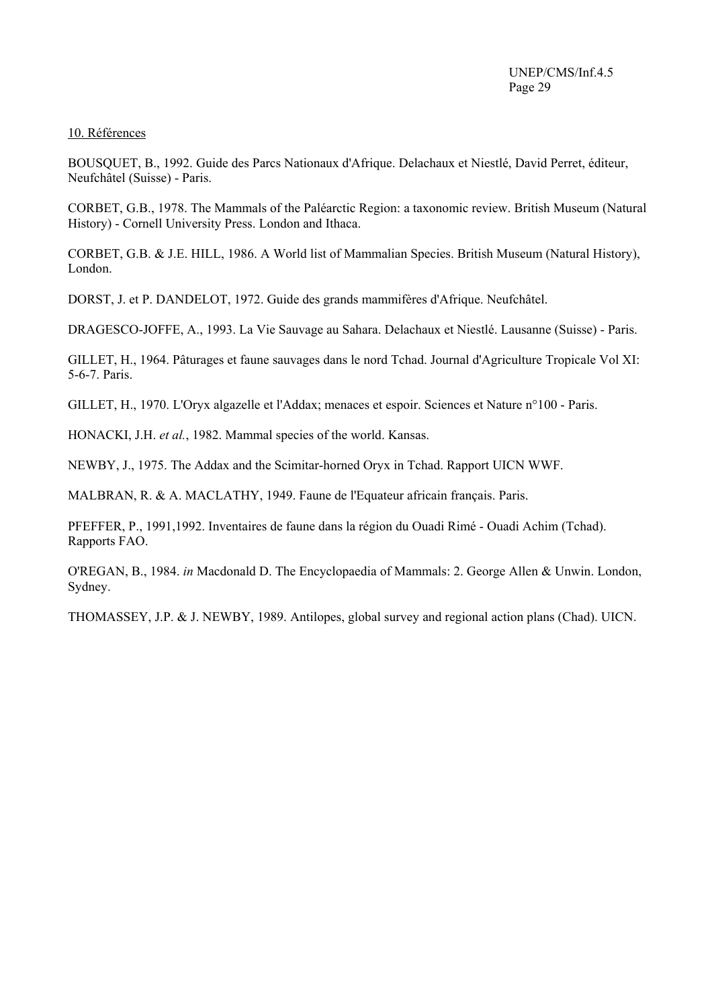#### 10. Références

BOUSQUET, B., 1992. Guide des Parcs Nationaux d'Afrique. Delachaux et Niestlé, David Perret, éditeur, Neufchâtel (Suisse) - Paris.

CORBET, G.B., 1978. The Mammals of the Paléarctic Region: a taxonomic review. British Museum (Natural History) - Cornell University Press. London and Ithaca.

CORBET, G.B. & J.E. HILL, 1986. A World list of Mammalian Species. British Museum (Natural History), London.

DORST, J. et P. DANDELOT, 1972. Guide des grands mammifères d'Afrique. Neufchâtel.

DRAGESCO-JOFFE, A., 1993. La Vie Sauvage au Sahara. Delachaux et Niestlé. Lausanne (Suisse) - Paris.

GILLET, H., 1964. Pâturages et faune sauvages dans le nord Tchad. Journal d'Agriculture Tropicale Vol XI: 5-6-7. Paris.

GILLET, H., 1970. L'Oryx algazelle et l'Addax; menaces et espoir. Sciences et Nature n°100 - Paris.

HONACKI, J.H. *et al.*, 1982. Mammal species of the world. Kansas.

NEWBY, J., 1975. The Addax and the Scimitar-horned Oryx in Tchad. Rapport UICN WWF.

MALBRAN, R. & A. MACLATHY, 1949. Faune de l'Equateur africain français. Paris.

PFEFFER, P., 1991,1992. Inventaires de faune dans la région du Ouadi Rimé - Ouadi Achim (Tchad). Rapports FAO.

O'REGAN, B., 1984. *in* Macdonald D. The Encyclopaedia of Mammals: 2. George Allen & Unwin. London, Sydney.

THOMASSEY, J.P. & J. NEWBY, 1989. Antilopes, global survey and regional action plans (Chad). UICN.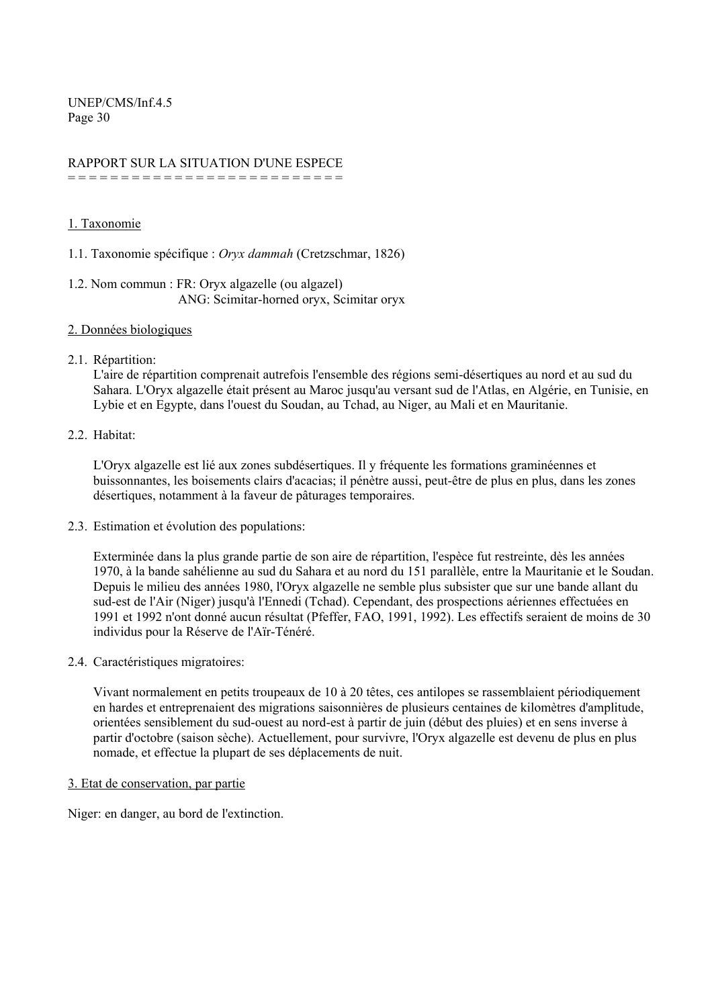#### RAPPORT SUR LA SITUATION D'UNE ESPECE = = = = = = = = = = = = = = = = = = = = = = = = = =

#### 1. Taxonomie

1.1. Taxonomie spécifique : *Oryx dammah* (Cretzschmar, 1826)

- 1.2. Nom commun : FR: Oryx algazelle (ou algazel) ANG: Scimitar-horned oryx, Scimitar oryx
- 2. Données biologiques
- 2.1. Répartition:

L'aire de répartition comprenait autrefois l'ensemble des régions semi-désertiques au nord et au sud du Sahara. L'Oryx algazelle était présent au Maroc jusqu'au versant sud de l'Atlas, en Algérie, en Tunisie, en Lybie et en Egypte, dans l'ouest du Soudan, au Tchad, au Niger, au Mali et en Mauritanie.

2.2. Habitat:

L'Oryx algazelle est lié aux zones subdésertiques. Il y fréquente les formations graminéennes et buissonnantes, les boisements clairs d'acacias; il pénètre aussi, peut-être de plus en plus, dans les zones désertiques, notamment à la faveur de pâturages temporaires.

2.3. Estimation et évolution des populations:

Exterminée dans la plus grande partie de son aire de répartition, l'espèce fut restreinte, dès les années 1970, à la bande sahélienne au sud du Sahara et au nord du 151 parallèle, entre la Mauritanie et le Soudan. Depuis le milieu des années 1980, l'Oryx algazelle ne semble plus subsister que sur une bande allant du sud-est de l'Air (Niger) jusqu'à l'Ennedi (Tchad). Cependant, des prospections aériennes effectuées en 1991 et 1992 n'ont donné aucun résultat (Pfeffer, FAO, 1991, 1992). Les effectifs seraient de moins de 30 individus pour la Réserve de l'Aїr-Ténéré.

2.4. Caractéristiques migratoires:

Vivant normalement en petits troupeaux de 10 à 20 têtes, ces antilopes se rassemblaient périodiquement en hardes et entreprenaient des migrations saisonnières de plusieurs centaines de kilomètres d'amplitude, orientées sensiblement du sud-ouest au nord-est à partir de juin (début des pluies) et en sens inverse à partir d'octobre (saison sèche). Actuellement, pour survivre, l'Oryx algazelle est devenu de plus en plus nomade, et effectue la plupart de ses déplacements de nuit.

#### 3. Etat de conservation, par partie

Niger: en danger, au bord de l'extinction.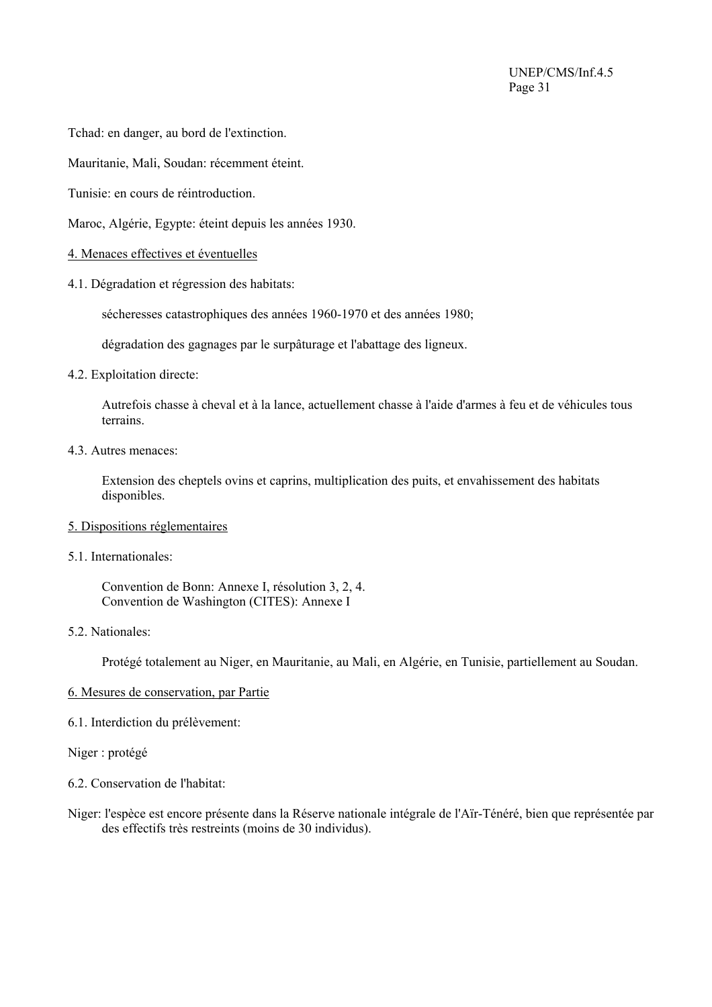Tchad: en danger, au bord de l'extinction.

Mauritanie, Mali, Soudan: récemment éteint.

Tunisie: en cours de réintroduction.

Maroc, Algérie, Egypte: éteint depuis les années 1930.

- 4. Menaces effectives et éventuelles
- 4.1. Dégradation et régression des habitats:

sécheresses catastrophiques des années 1960-1970 et des années 1980;

dégradation des gagnages par le surpâturage et l'abattage des ligneux.

4.2. Exploitation directe:

Autrefois chasse à cheval et à la lance, actuellement chasse à l'aide d'armes à feu et de véhicules tous terrains.

4.3. Autres menaces:

Extension des cheptels ovins et caprins, multiplication des puits, et envahissement des habitats disponibles.

- 5. Dispositions réglementaires
- 5.1. Internationales:

 Convention de Bonn: Annexe I, résolution 3, 2, 4. Convention de Washington (CITES): Annexe I

5.2. Nationales:

Protégé totalement au Niger, en Mauritanie, au Mali, en Algérie, en Tunisie, partiellement au Soudan.

- 6. Mesures de conservation, par Partie
- 6.1. Interdiction du prélèvement:

Niger : protégé

- 6.2. Conservation de l'habitat:
- Niger: l'espèce est encore présente dans la Réserve nationale intégrale de l'Aїr-Ténéré, bien que représentée par des effectifs très restreints (moins de 30 individus).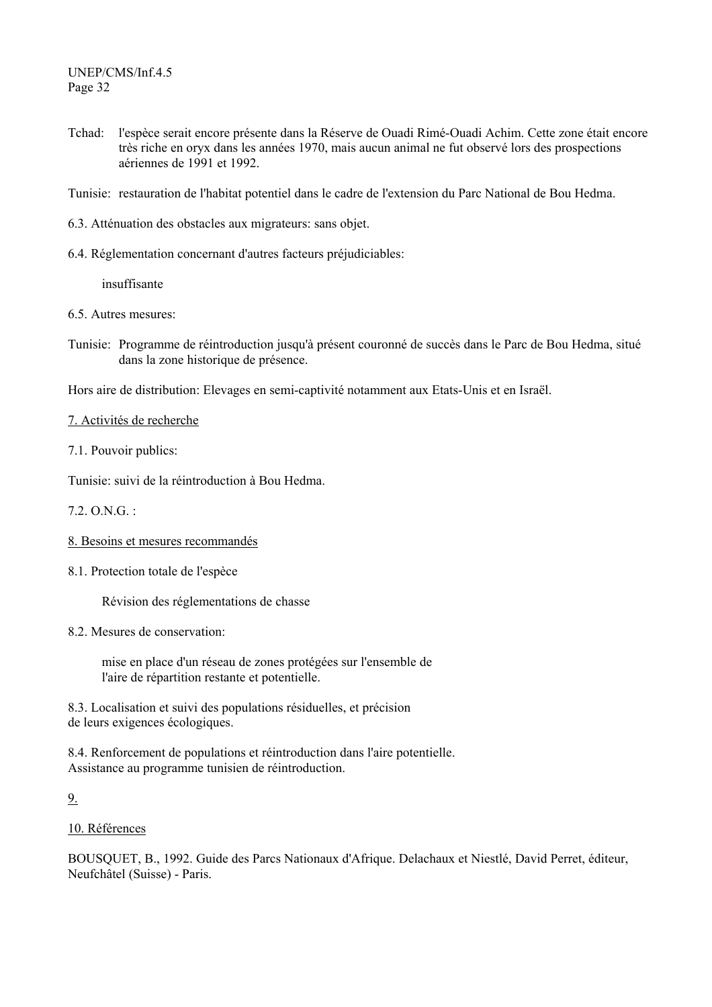- Tchad: l'espèce serait encore présente dans la Réserve de Ouadi Rimé-Ouadi Achim. Cette zone était encore très riche en oryx dans les années 1970, mais aucun animal ne fut observé lors des prospections aériennes de 1991 et 1992.
- Tunisie: restauration de l'habitat potentiel dans le cadre de l'extension du Parc National de Bou Hedma.
- 6.3. Atténuation des obstacles aux migrateurs: sans objet.
- 6.4. Réglementation concernant d'autres facteurs préjudiciables:

insuffisante

- 6.5. Autres mesures:
- Tunisie: Programme de réintroduction jusqu'à présent couronné de succès dans le Parc de Bou Hedma, situé dans la zone historique de présence.

Hors aire de distribution: Elevages en semi-captivité notamment aux Etats-Unis et en Israël.

7. Activités de recherche

7.1. Pouvoir publics:

Tunisie: suivi de la réintroduction à Bou Hedma.

7.2. O.N.G. :

- 8. Besoins et mesures recommandés
- 8.1. Protection totale de l'espèce

Révision des réglementations de chasse

8.2. Mesures de conservation:

 mise en place d'un réseau de zones protégées sur l'ensemble de l'aire de répartition restante et potentielle.

8.3. Localisation et suivi des populations résiduelles, et précision de leurs exigences écologiques.

8.4. Renforcement de populations et réintroduction dans l'aire potentielle. Assistance au programme tunisien de réintroduction.

9.

#### 10. Références

BOUSQUET, B., 1992. Guide des Parcs Nationaux d'Afrique. Delachaux et Niestlé, David Perret, éditeur, Neufchâtel (Suisse) - Paris.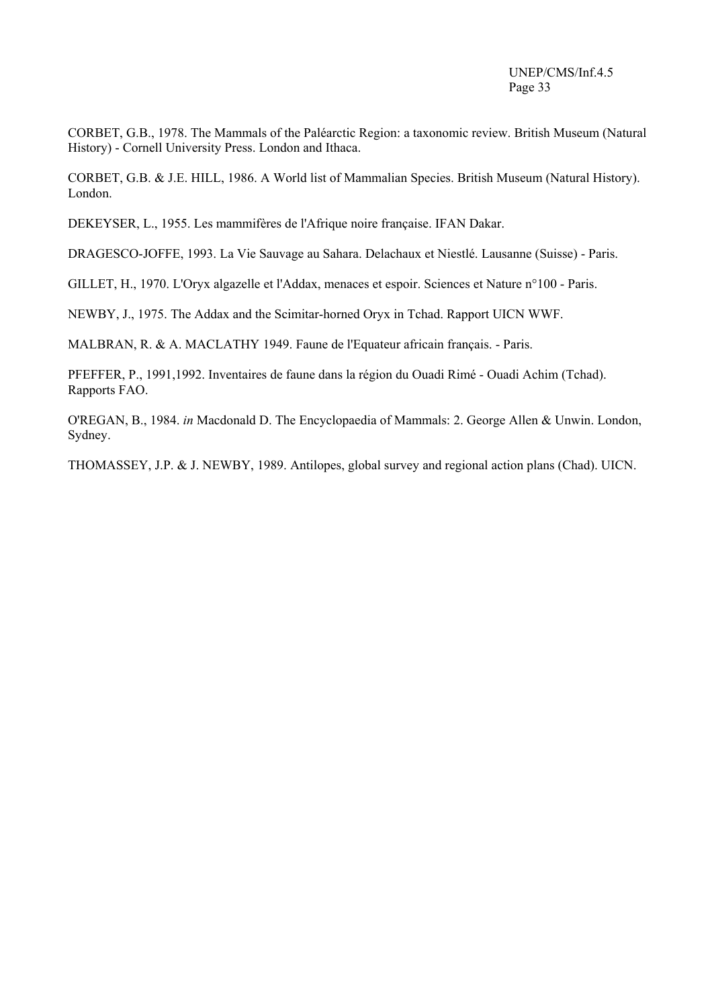CORBET, G.B., 1978. The Mammals of the Paléarctic Region: a taxonomic review. British Museum (Natural History) - Cornell University Press. London and Ithaca.

CORBET, G.B. & J.E. HILL, 1986. A World list of Mammalian Species. British Museum (Natural History). London.

DEKEYSER, L., 1955. Les mammifères de l'Afrique noire française. IFAN Dakar.

DRAGESCO-JOFFE, 1993. La Vie Sauvage au Sahara. Delachaux et Niestlé. Lausanne (Suisse) - Paris.

GILLET, H., 1970. L'Oryx algazelle et l'Addax, menaces et espoir. Sciences et Nature n°100 - Paris.

NEWBY, J., 1975. The Addax and the Scimitar-horned Oryx in Tchad. Rapport UICN WWF.

MALBRAN, R. & A. MACLATHY 1949. Faune de l'Equateur africain français. - Paris.

PFEFFER, P., 1991,1992. Inventaires de faune dans la région du Ouadi Rimé - Ouadi Achim (Tchad). Rapports FAO.

O'REGAN, B., 1984. *in* Macdonald D. The Encyclopaedia of Mammals: 2. George Allen & Unwin. London, Sydney.

THOMASSEY, J.P. & J. NEWBY, 1989. Antilopes, global survey and regional action plans (Chad). UICN.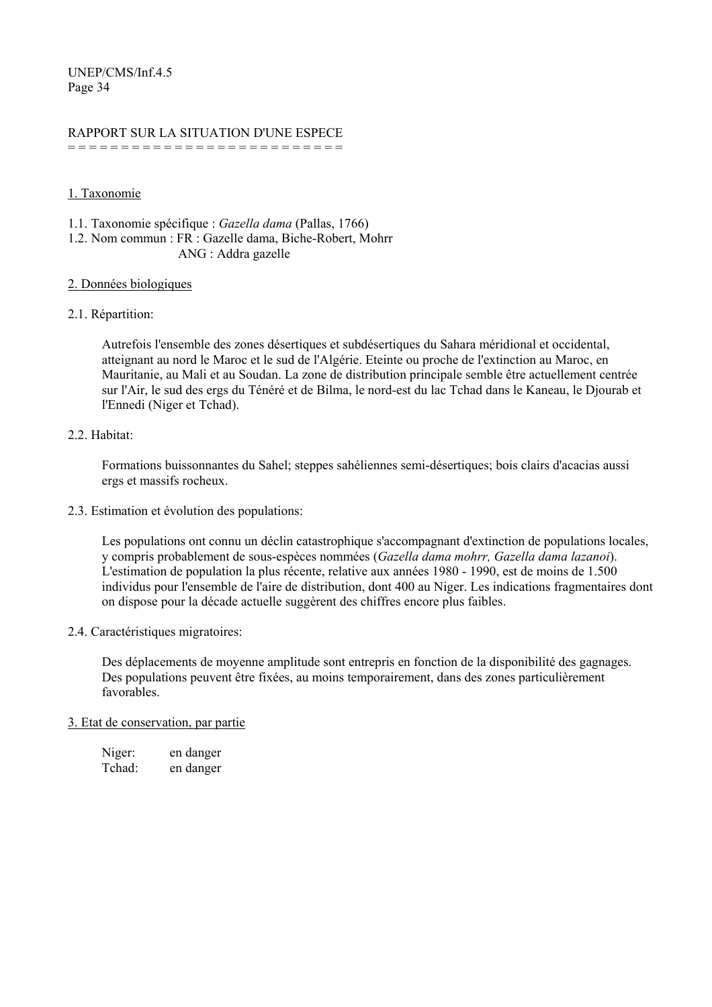# RAPPORT SUR LA SITUATION D'UNE ESPECE

= = = = = = = = = = = = = = = = = = = = = = = = = =

# 1. Taxonomie

1.1. Taxonomie spécifique : *Gazella dama* (Pallas, 1766)

1.2. Nom commun : FR : Gazelle dama, Biche-Robert, Mohrr ANG : Addra gazelle

# 2. Données biologiques

# 2.1. Répartition:

Autrefois l'ensemble des zones désertiques et subdésertiques du Sahara méridional et occidental, atteignant au nord le Maroc et le sud de l'Algérie. Eteinte ou proche de l'extinction au Maroc, en Mauritanie, au Mali et au Soudan. La zone de distribution principale semble être actuellement centrée sur l'Air, le sud des ergs du Ténéré et de Bilma, le nord-est du lac Tchad dans le Kaneau, le Djourab et l'Ennedi (Niger et Tchad).

# 2.2. Habitat:

Formations buissonnantes du Sahel; steppes sahéliennes semi-désertiques; bois clairs d'acacias aussi ergs et massifs rocheux.

2.3. Estimation et évolution des populations:

Les populations ont connu un déclin catastrophique s'accompagnant d'extinction de populations locales, y compris probablement de sous-espèces nommées (*Gazella dama mohrr, Gazella dama lazanoi*). L'estimation de population la plus récente, relative aux années 1980 - 1990, est de moins de 1.500 individus pour l'ensemble de l'aire de distribution, dont 400 au Niger. Les indications fragmentaires dont on dispose pour la décade actuelle suggèrent des chiffres encore plus faibles.

# 2.4. Caractéristiques migratoires:

Des déplacements de moyenne amplitude sont entrepris en fonction de la disponibilité des gagnages. Des populations peuvent être fixées, au moins temporairement, dans des zones particulièrement favorables.

#### 3. Etat de conservation, par partie

| Niger: | en danger |
|--------|-----------|
| Tchad: | en danger |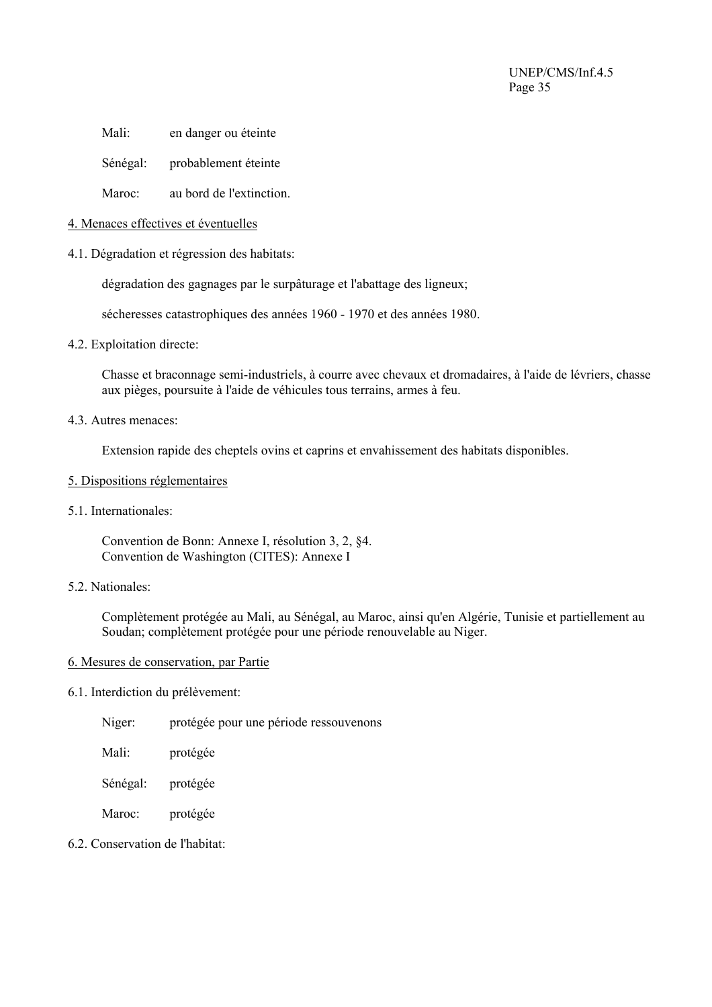Mali: en danger ou éteinte

Sénégal: probablement éteinte

Maroc: au bord de l'extinction.

#### 4. Menaces effectives et éventuelles

4.1. Dégradation et régression des habitats:

dégradation des gagnages par le surpâturage et l'abattage des ligneux;

sécheresses catastrophiques des années 1960 - 1970 et des années 1980.

4.2. Exploitation directe:

Chasse et braconnage semi-industriels, à courre avec chevaux et dromadaires, à l'aide de lévriers, chasse aux pièges, poursuite à l'aide de véhicules tous terrains, armes à feu.

4.3. Autres menaces:

Extension rapide des cheptels ovins et caprins et envahissement des habitats disponibles.

- 5. Dispositions réglementaires
- 5.1. Internationales:

Convention de Bonn: Annexe I, résolution 3, 2, §4. Convention de Washington (CITES): Annexe I

5.2. Nationales:

Complètement protégée au Mali, au Sénégal, au Maroc, ainsi qu'en Algérie, Tunisie et partiellement au Soudan; complètement protégée pour une période renouvelable au Niger.

#### 6. Mesures de conservation, par Partie

#### 6.1. Interdiction du prélèvement:

- Niger: protégée pour une période ressouvenons
- Mali: protégée
- Sénégal: protégée
- Maroc: protégée
- 6.2. Conservation de l'habitat: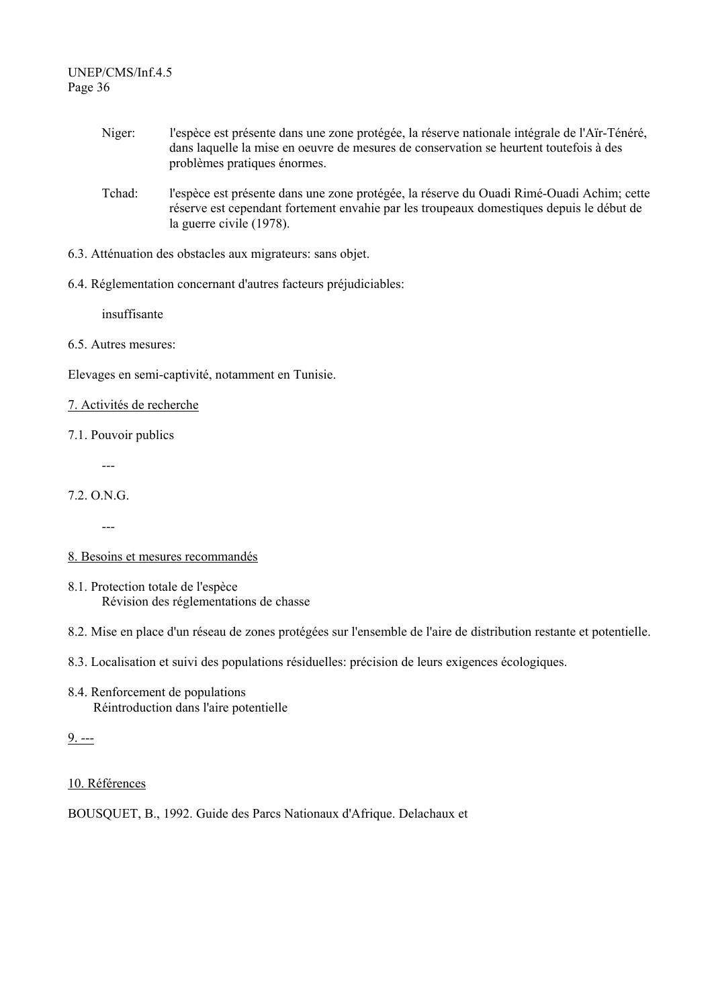- Niger: l'espèce est présente dans une zone protégée, la réserve nationale intégrale de l'Aïr-Ténéré, dans laquelle la mise en oeuvre de mesures de conservation se heurtent toutefois à des problèmes pratiques énormes.
- Tchad: l'espèce est présente dans une zone protégée, la réserve du Ouadi Rimé-Ouadi Achim; cette réserve est cependant fortement envahie par les troupeaux domestiques depuis le début de la guerre civile (1978).
- 6.3. Atténuation des obstacles aux migrateurs: sans objet.
- 6.4. Réglementation concernant d'autres facteurs préjudiciables:

insuffisante

6.5. Autres mesures:

Elevages en semi-captivité, notamment en Tunisie.

# 7. Activités de recherche

7.1. Pouvoir publics

---

- 7.2. O.N.G.
	- ---
- 8. Besoins et mesures recommandés
- 8.1. Protection totale de l'espèce Révision des réglementations de chasse
- 8.2. Mise en place d'un réseau de zones protégées sur l'ensemble de l'aire de distribution restante et potentielle.
- 8.3. Localisation et suivi des populations résiduelles: précision de leurs exigences écologiques.
- 8.4. Renforcement de populations Réintroduction dans l'aire potentielle

 $9. - -$ 

# 10. Références

BOUSQUET, B., 1992. Guide des Parcs Nationaux d'Afrique. Delachaux et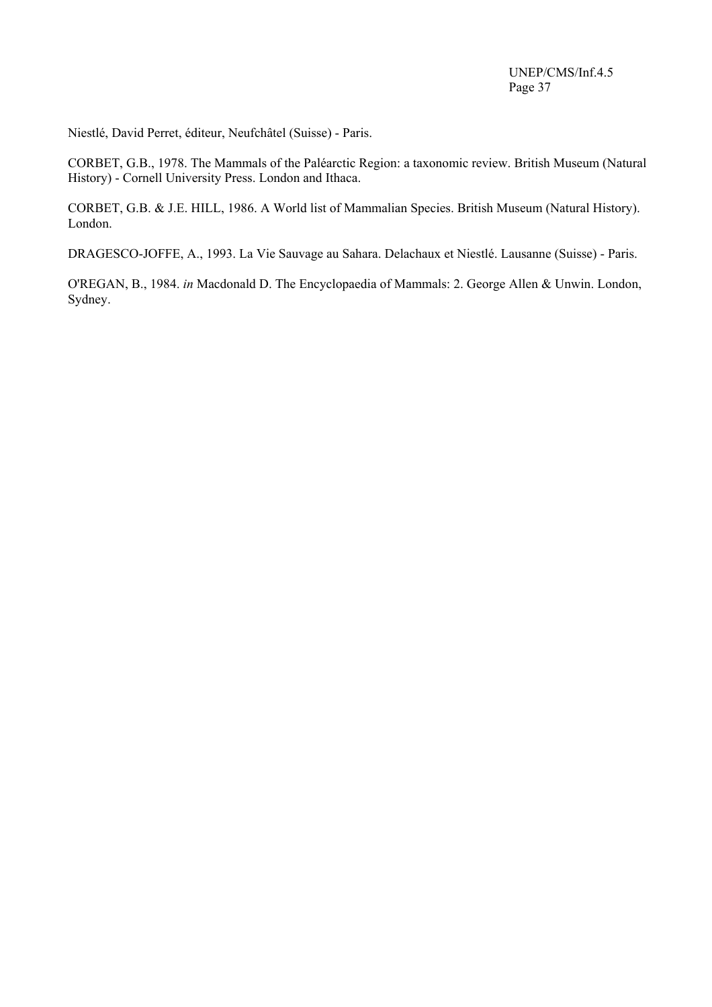Niestlé, David Perret, éditeur, Neufchâtel (Suisse) - Paris.

CORBET, G.B., 1978. The Mammals of the Paléarctic Region: a taxonomic review. British Museum (Natural History) - Cornell University Press. London and Ithaca.

CORBET, G.B. & J.E. HILL, 1986. A World list of Mammalian Species. British Museum (Natural History). London.

DRAGESCO-JOFFE, A., 1993. La Vie Sauvage au Sahara. Delachaux et Niestlé. Lausanne (Suisse) - Paris.

O'REGAN, B., 1984. *in* Macdonald D. The Encyclopaedia of Mammals: 2. George Allen & Unwin. London, Sydney.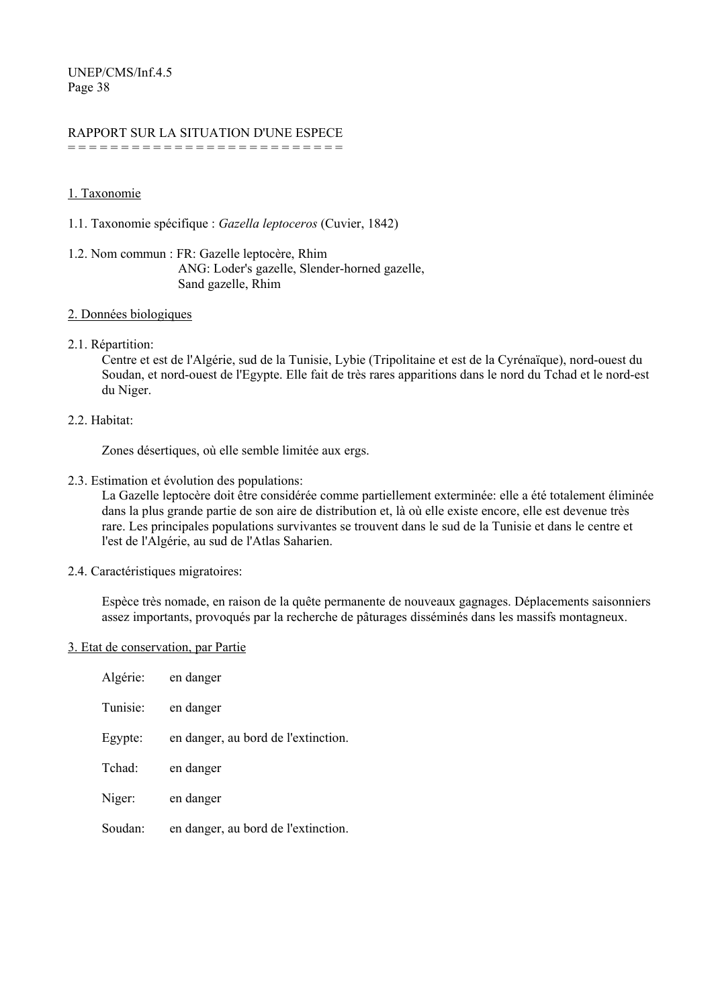# RAPPORT SUR LA SITUATION D'UNE ESPECE

= = = = = = = = = = = = = = = = = = = = = = = = = =

# 1. Taxonomie

- 1.1. Taxonomie spécifique : *Gazella leptoceros* (Cuvier, 1842)
- 1.2. Nom commun : FR: Gazelle leptocère, Rhim ANG: Loder's gazelle, Slender-horned gazelle, Sand gazelle, Rhim

#### 2. Données biologiques

# 2.1. Répartition:

Centre et est de l'Algérie, sud de la Tunisie, Lybie (Tripolitaine et est de la Cyrénaïque), nord-ouest du Soudan, et nord-ouest de l'Egypte. Elle fait de très rares apparitions dans le nord du Tchad et le nord-est du Niger.

# 2.2. Habitat:

Zones désertiques, où elle semble limitée aux ergs.

2.3. Estimation et évolution des populations:

La Gazelle leptocère doit être considérée comme partiellement exterminée: elle a été totalement éliminée dans la plus grande partie de son aire de distribution et, là où elle existe encore, elle est devenue très rare. Les principales populations survivantes se trouvent dans le sud de la Tunisie et dans le centre et l'est de l'Algérie, au sud de l'Atlas Saharien.

2.4. Caractéristiques migratoires:

Espèce très nomade, en raison de la quête permanente de nouveaux gagnages. Déplacements saisonniers assez importants, provoqués par la recherche de pâturages disséminés dans les massifs montagneux.

#### 3. Etat de conservation, par Partie

| Algérie:           | en danger |                                     |
|--------------------|-----------|-------------------------------------|
| Tunisie:           | en danger |                                     |
| Egypte:            |           | en danger, au bord de l'extinction. |
| Tchad <sup>.</sup> | en danger |                                     |
| Niger:             | en danger |                                     |
| Soudan:            |           | en danger, au bord de l'extinction. |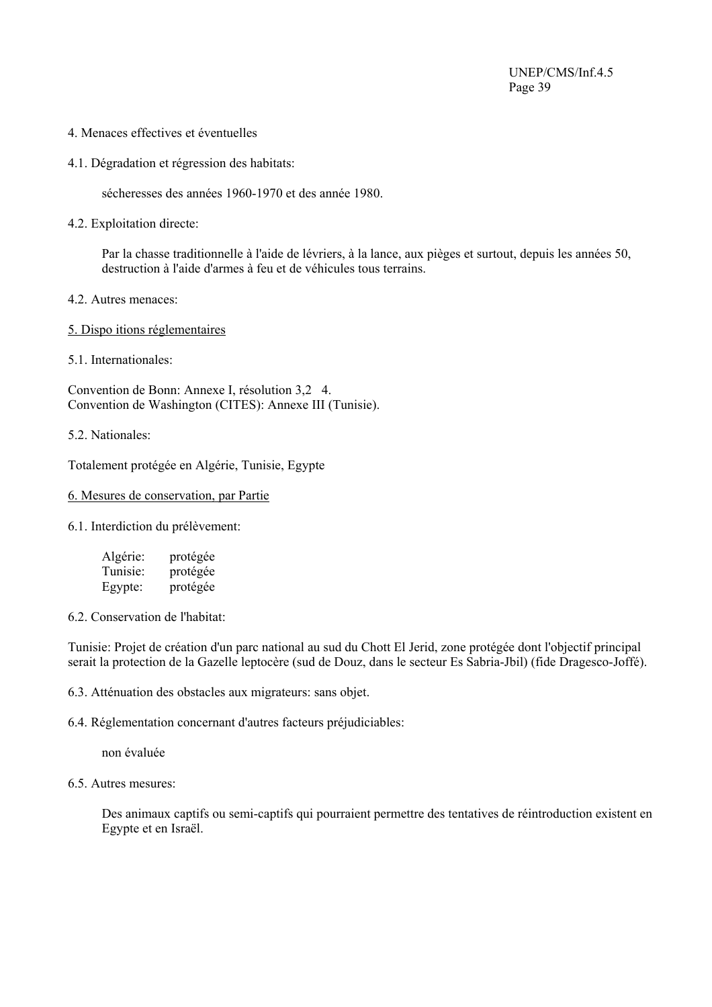- 4. Menaces effectives et éventuelles
- 4.1. Dégradation et régression des habitats:

sécheresses des années 1960-1970 et des année 1980.

4.2. Exploitation directe:

Par la chasse traditionnelle à l'aide de lévriers, à la lance, aux pièges et surtout, depuis les années 50, destruction à l'aide d'armes à feu et de véhicules tous terrains.

- 4.2. Autres menaces:
- 5. Dispo itions réglementaires
- 5.1. Internationales:

Convention de Bonn: Annexe I, résolution 3,2 4. Convention de Washington (CITES): Annexe III (Tunisie).

5.2. Nationales:

Totalement protégée en Algérie, Tunisie, Egypte

# 6. Mesures de conservation, par Partie

6.1. Interdiction du prélèvement:

| Algérie: | protégée |
|----------|----------|
| Tunisie: | protégée |
| Egypte:  | protégée |

6.2. Conservation de l'habitat:

Tunisie: Projet de création d'un parc national au sud du Chott El Jerid, zone protégée dont l'objectif principal serait la protection de la Gazelle leptocère (sud de Douz, dans le secteur Es Sabria-Jbil) (fide Dragesco-Joffé).

6.3. Atténuation des obstacles aux migrateurs: sans objet.

6.4. Réglementation concernant d'autres facteurs préjudiciables:

non évaluée

6.5. Autres mesures:

Des animaux captifs ou semi-captifs qui pourraient permettre des tentatives de réintroduction existent en Egypte et en Israël.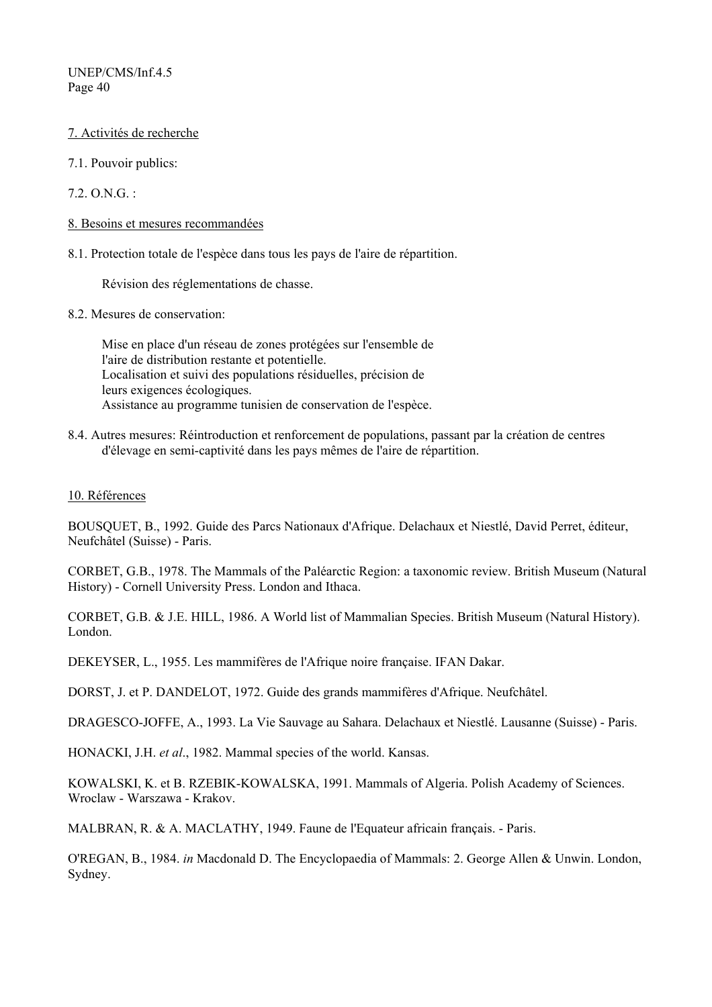- 7. Activités de recherche
- 7.1. Pouvoir publics:
- $72.0$  N.G.  $\cdot$
- 8. Besoins et mesures recommandées
- 8.1. Protection totale de l'espèce dans tous les pays de l'aire de répartition.

Révision des réglementations de chasse.

8.2. Mesures de conservation:

Mise en place d'un réseau de zones protégées sur l'ensemble de l'aire de distribution restante et potentielle. Localisation et suivi des populations résiduelles, précision de leurs exigences écologiques. Assistance au programme tunisien de conservation de l'espèce.

8.4. Autres mesures: Réintroduction et renforcement de populations, passant par la création de centres d'élevage en semi-captivité dans les pays mêmes de l'aire de répartition.

#### 10. Références

BOUSQUET, B., 1992. Guide des Parcs Nationaux d'Afrique. Delachaux et Niestlé, David Perret, éditeur, Neufchâtel (Suisse) - Paris.

CORBET, G.B., 1978. The Mammals of the Paléarctic Region: a taxonomic review. British Museum (Natural History) - Cornell University Press. London and Ithaca.

CORBET, G.B. & J.E. HILL, 1986. A World list of Mammalian Species. British Museum (Natural History). London.

DEKEYSER, L., 1955. Les mammifères de l'Afrique noire française. IFAN Dakar.

DORST, J. et P. DANDELOT, 1972. Guide des grands mammifères d'Afrique. Neufchâtel.

DRAGESCO-JOFFE, A., 1993. La Vie Sauvage au Sahara. Delachaux et Niestlé. Lausanne (Suisse) - Paris.

HONACKI, J.H. *et al*., 1982. Mammal species of the world. Kansas.

KOWALSKI, K. et B. RZEBIK-KOWALSKA, 1991. Mammals of Algeria. Polish Academy of Sciences. Wroclaw - Warszawa - Krakov.

MALBRAN, R. & A. MACLATHY, 1949. Faune de l'Equateur africain français. - Paris.

O'REGAN, B., 1984. *in* Macdonald D. The Encyclopaedia of Mammals: 2. George Allen & Unwin. London, Sydney.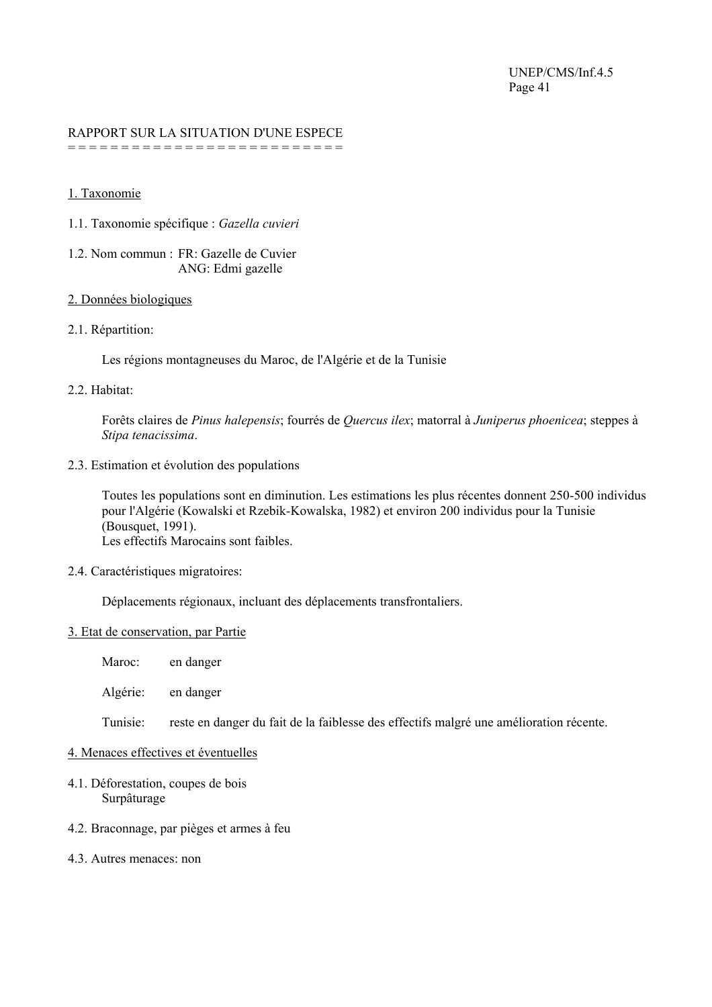#### RAPPORT SUR LA SITUATION D'UNE ESPECE = = = = = = = = = = = = = = = = = = = = = = = = = =

1. Taxonomie

- 1.1. Taxonomie spécifique : *Gazella cuvieri*
- 1.2. Nom commun : FR: Gazelle de Cuvier ANG: Edmi gazelle

#### 2. Données biologiques

2.1. Répartition:

Les régions montagneuses du Maroc, de l'Algérie et de la Tunisie

# 2.2. Habitat:

Forêts claires de *Pinus halepensis*; fourrés de *Quercus ilex*; matorral à *Juniperus phoenicea*; steppes à *Stipa tenacissima*.

2.3. Estimation et évolution des populations

Toutes les populations sont en diminution. Les estimations les plus récentes donnent 250-500 individus pour l'Algérie (Kowalski et Rzebik-Kowalska, 1982) et environ 200 individus pour la Tunisie (Bousquet, 1991). Les effectifs Marocains sont faibles.

2.4. Caractéristiques migratoires:

Déplacements régionaux, incluant des déplacements transfrontaliers.

#### 3. Etat de conservation, par Partie

Maroc: en danger

Algérie: en danger

Tunisie: reste en danger du fait de la faiblesse des effectifs malgré une amélioration récente.

#### 4. Menaces effectives et éventuelles

- 4.1. Déforestation, coupes de bois Surpâturage
- 4.2. Braconnage, par pièges et armes à feu
- 4.3. Autres menaces: non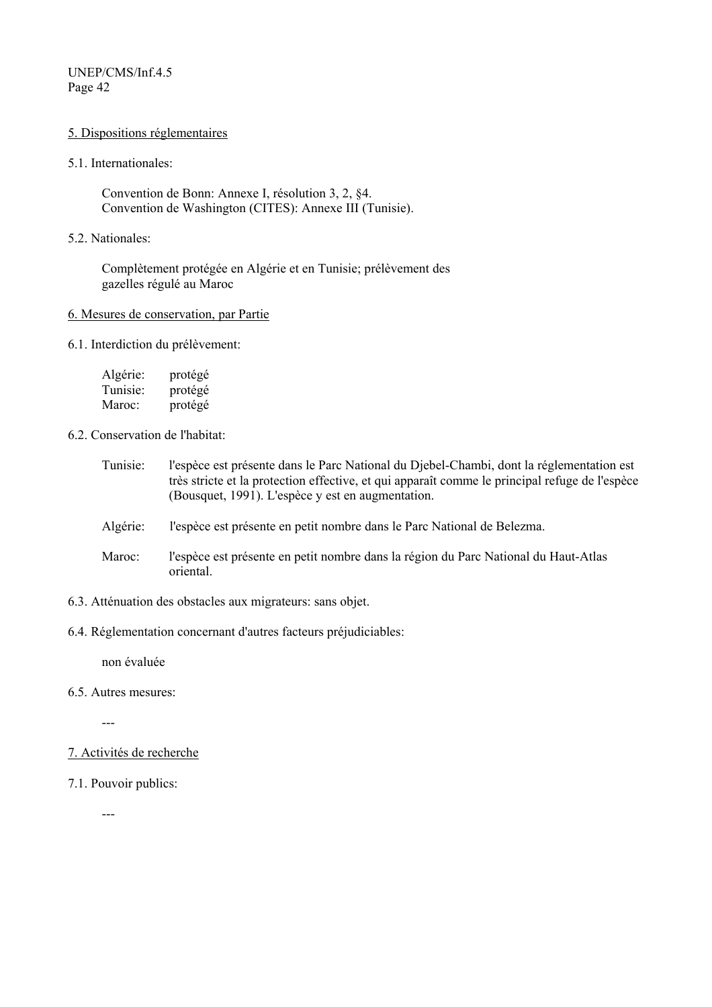#### 5. Dispositions réglementaires

5.1. Internationales:

Convention de Bonn: Annexe I, résolution 3, 2, §4. Convention de Washington (CITES): Annexe III (Tunisie).

5.2. Nationales:

Complètement protégée en Algérie et en Tunisie; prélèvement des gazelles régulé au Maroc

#### 6. Mesures de conservation, par Partie

6.1. Interdiction du prélèvement:

| Algérie: | protégé |
|----------|---------|
| Tunisie: | protégé |
| Maroc:   | protégé |

6.2. Conservation de l'habitat:

- Tunisie: l'espèce est présente dans le Parc National du Djebel-Chambi, dont la réglementation est très stricte et la protection effective, et qui apparaît comme le principal refuge de l'espèce (Bousquet, 1991). L'espèce y est en augmentation.
- Algérie: l'espèce est présente en petit nombre dans le Parc National de Belezma.
- Maroc: l'espèce est présente en petit nombre dans la région du Parc National du Haut-Atlas oriental.
- 6.3. Atténuation des obstacles aux migrateurs: sans objet.
- 6.4. Réglementation concernant d'autres facteurs préjudiciables:

non évaluée

6.5. Autres mesures:

---

- 7. Activités de recherche
- 7.1. Pouvoir publics:

---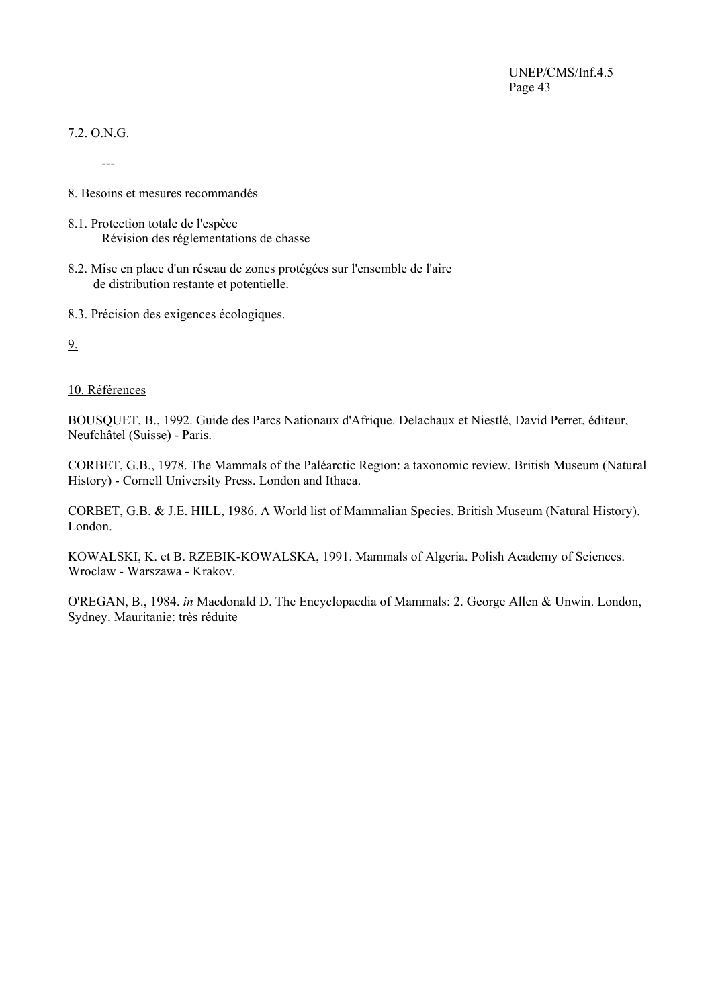# 7.2. O.N.G.

---

#### 8. Besoins et mesures recommandés

- 8.1. Protection totale de l'espèce Révision des réglementations de chasse
- 8.2. Mise en place d'un réseau de zones protégées sur l'ensemble de l'aire de distribution restante et potentielle.
- 8.3. Précision des exigences écologiques.

9.

#### 10. Références

BOUSQUET, B., 1992. Guide des Parcs Nationaux d'Afrique. Delachaux et Niestlé, David Perret, éditeur, Neufchâtel (Suisse) - Paris.

CORBET, G.B., 1978. The Mammals of the Paléarctic Region: a taxonomic review. British Museum (Natural History) - Cornell University Press. London and Ithaca.

CORBET, G.B. & J.E. HILL, 1986. A World list of Mammalian Species. British Museum (Natural History). London.

KOWALSKI, K. et B. RZEBIK-KOWALSKA, 1991. Mammals of Algeria. Polish Academy of Sciences. Wroclaw - Warszawa - Krakov.

O'REGAN, B., 1984. *in* Macdonald D. The Encyclopaedia of Mammals: 2. George Allen & Unwin. London, Sydney. Mauritanie: très réduite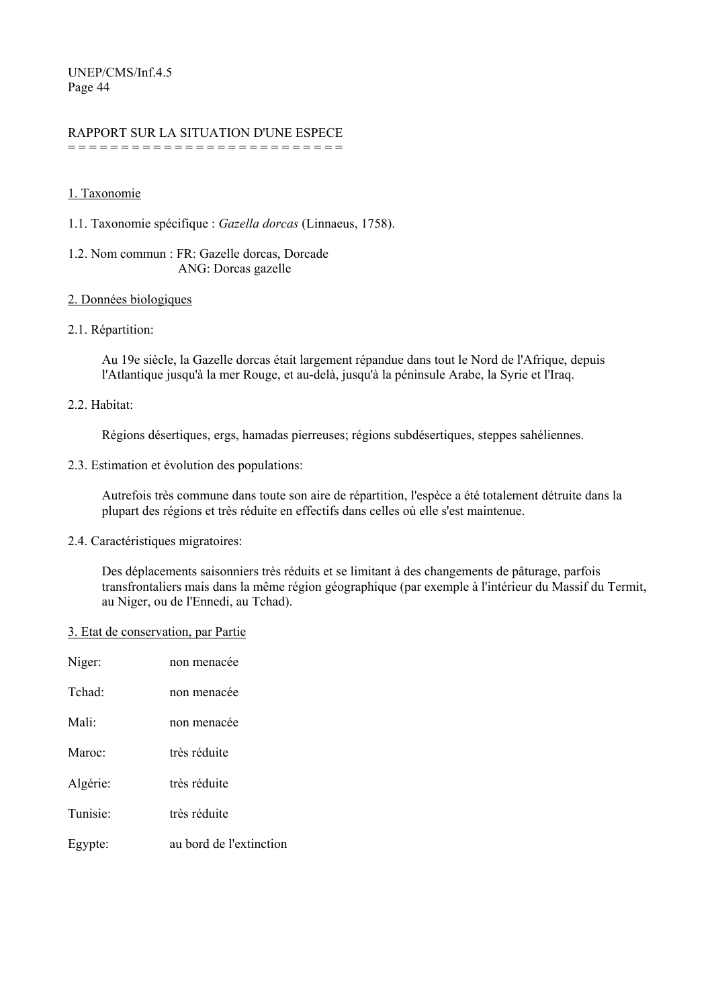# RAPPORT SUR LA SITUATION D'UNE ESPECE

= = = = = = = = = = = = = = = = = = = = = = = = = =

# 1. Taxonomie

1.1. Taxonomie spécifique : *Gazella dorcas* (Linnaeus, 1758).

# 1.2. Nom commun : FR: Gazelle dorcas, Dorcade ANG: Dorcas gazelle

# 2. Données biologiques

# 2.1. Répartition:

Au 19e siècle, la Gazelle dorcas était largement répandue dans tout le Nord de l'Afrique, depuis l'Atlantique jusqu'à la mer Rouge, et au-delà, jusqu'à la péninsule Arabe, la Syrie et l'Iraq.

# 2.2. Habitat:

Régions désertiques, ergs, hamadas pierreuses; régions subdésertiques, steppes sahéliennes.

2.3. Estimation et évolution des populations:

Autrefois très commune dans toute son aire de répartition, l'espèce a été totalement détruite dans la plupart des régions et très réduite en effectifs dans celles où elle s'est maintenue.

2.4. Caractéristiques migratoires:

Des déplacements saisonniers très réduits et se limitant à des changements de pâturage, parfois transfrontaliers mais dans la même région géographique (par exemple à l'intérieur du Massif du Termit, au Niger, ou de l'Ennedi, au Tchad).

#### 3. Etat de conservation, par Partie

| Niger:               | non menacée             |
|----------------------|-------------------------|
| Tchad <sup>-</sup>   | non menacée             |
| Mali <sup>-</sup>    | non menacée             |
| Maroc:               | très réduite            |
| Algérie:             | très réduite            |
| Tunisie <sup>-</sup> | très réduite            |
| Egypte:              | au bord de l'extinction |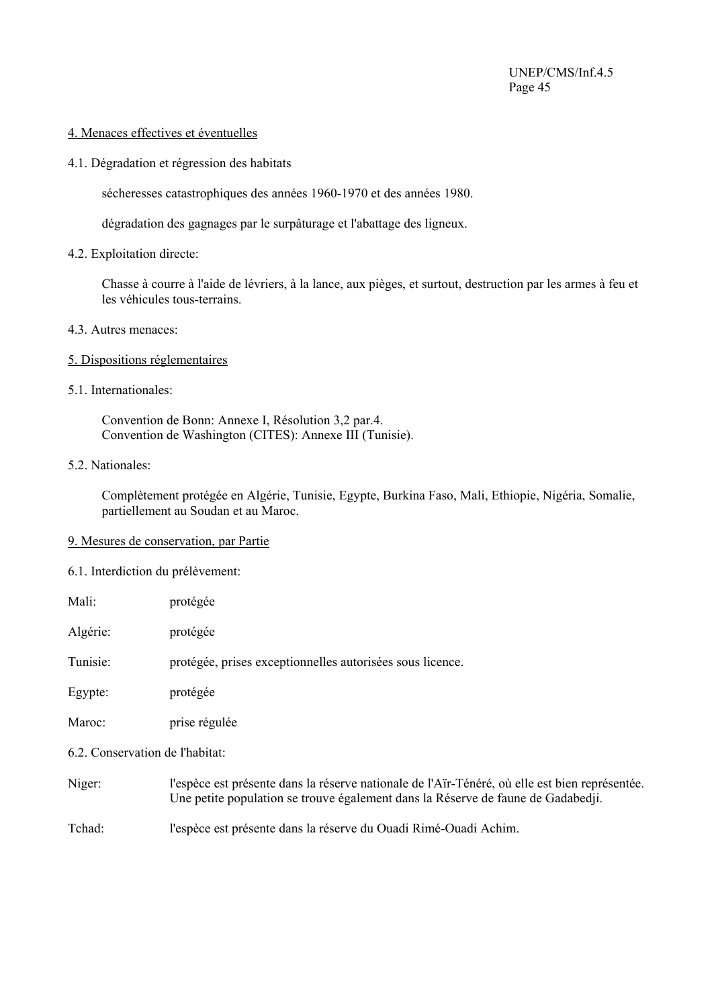#### 4. Menaces effectives et éventuelles

4.1. Dégradation et régression des habitats

sécheresses catastrophiques des années 1960-1970 et des années 1980.

dégradation des gagnages par le surpâturage et l'abattage des ligneux.

4.2. Exploitation directe:

Chasse à courre à l'aide de lévriers, à la lance, aux pièges, et surtout, destruction par les armes à feu et les véhicules tous-terrains.

- 4.3. Autres menaces:
- 5. Dispositions réglementaires
- 5.1. Internationales:

Convention de Bonn: Annexe I, Résolution 3,2 par.4. Convention de Washington (CITES): Annexe III (Tunisie).

5.2. Nationales:

Complètement protégée en Algérie, Tunisie, Egypte, Burkina Faso, Mali, Ethiopie, Nigéria, Somalie, partiellement au Soudan et au Maroc.

#### 9. Mesures de conservation, par Partie

6.1. Interdiction du prélèvement:

| Mali: | protégée |
|-------|----------|
|-------|----------|

Algérie: protégée

Tunisie: protégée, prises exceptionnelles autorisées sous licence.

Egypte: protégée

Maroc: prise régulée

6.2. Conservation de l'habitat:

Niger: l'espèce est présente dans la réserve nationale de l'Aïr-Ténéré, où elle est bien représentée. Une petite population se trouve également dans la Réserve de faune de Gadabedji.

Tchad: l'espèce est présente dans la réserve du Ouadi Rimé-Ouadi Achim.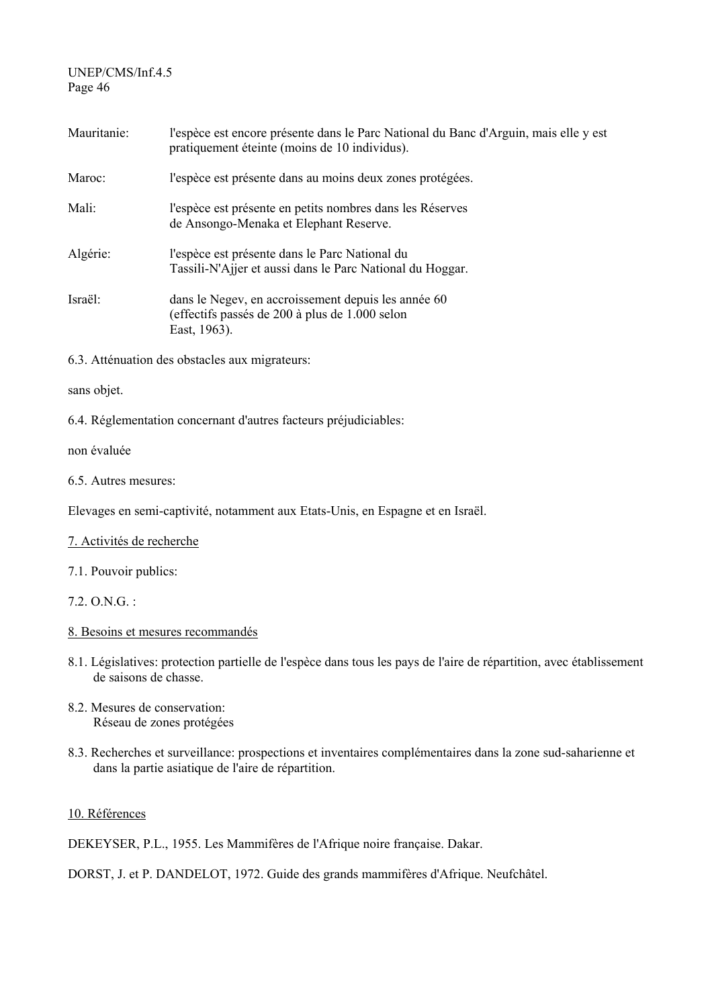| Mauritanie: | l'espèce est encore présente dans le Parc National du Banc d'Arguin, mais elle y est<br>pratiquement éteinte (moins de 10 individus). |
|-------------|---------------------------------------------------------------------------------------------------------------------------------------|
| Maroc:      | l'espèce est présente dans au moins deux zones protégées.                                                                             |
| Mali:       | l'espèce est présente en petits nombres dans les Réserves<br>de Ansongo-Menaka et Elephant Reserve.                                   |
| Algérie:    | l'espèce est présente dans le Parc National du<br>Tassili-N'Ajjer et aussi dans le Parc National du Hoggar.                           |
| Israël:     | dans le Negev, en accroissement depuis les année 60<br>(effectifs passés de 200 à plus de 1.000 selon<br>East, 1963).                 |

6.3. Atténuation des obstacles aux migrateurs:

#### sans objet.

6.4. Réglementation concernant d'autres facteurs préjudiciables:

#### non évaluée

#### 6.5. Autres mesures:

Elevages en semi-captivité, notamment aux Etats-Unis, en Espagne et en Israël.

#### 7. Activités de recherche

7.1. Pouvoir publics:

7.2. O.N.G. :

#### 8. Besoins et mesures recommandés

- 8.1. Législatives: protection partielle de l'espèce dans tous les pays de l'aire de répartition, avec établissement de saisons de chasse.
- 8.2. Mesures de conservation: Réseau de zones protégées
- 8.3. Recherches et surveillance: prospections et inventaires complémentaires dans la zone sud-saharienne et dans la partie asiatique de l'aire de répartition.

### 10. Références

DEKEYSER, P.L., 1955. Les Mammifères de l'Afrique noire française. Dakar.

DORST, J. et P. DANDELOT, 1972. Guide des grands mammifères d'Afrique. Neufchâtel.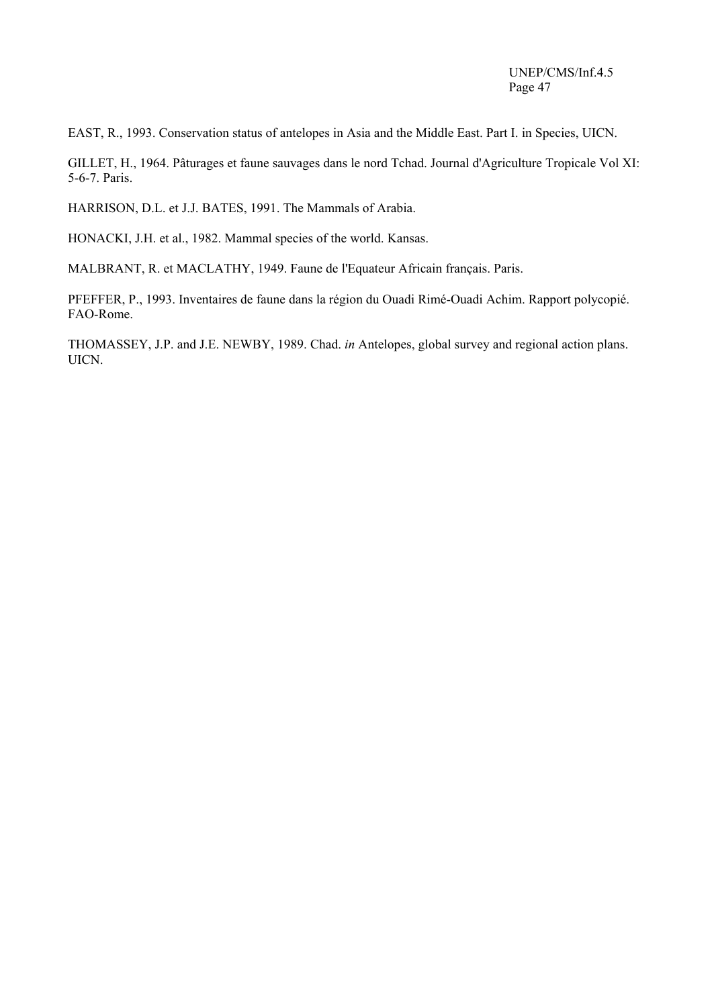EAST, R., 1993. Conservation status of antelopes in Asia and the Middle East. Part I. in Species, UICN.

GILLET, H., 1964. Pâturages et faune sauvages dans le nord Tchad. Journal d'Agriculture Tropicale Vol XI: 5-6-7. Paris.

HARRISON, D.L. et J.J. BATES, 1991. The Mammals of Arabia.

HONACKI, J.H. et al., 1982. Mammal species of the world. Kansas.

MALBRANT, R. et MACLATHY, 1949. Faune de l'Equateur Africain français. Paris.

PFEFFER, P., 1993. Inventaires de faune dans la région du Ouadi Rimé-Ouadi Achim. Rapport polycopié. FAO-Rome.

THOMASSEY, J.P. and J.E. NEWBY, 1989. Chad. *in* Antelopes, global survey and regional action plans. UICN.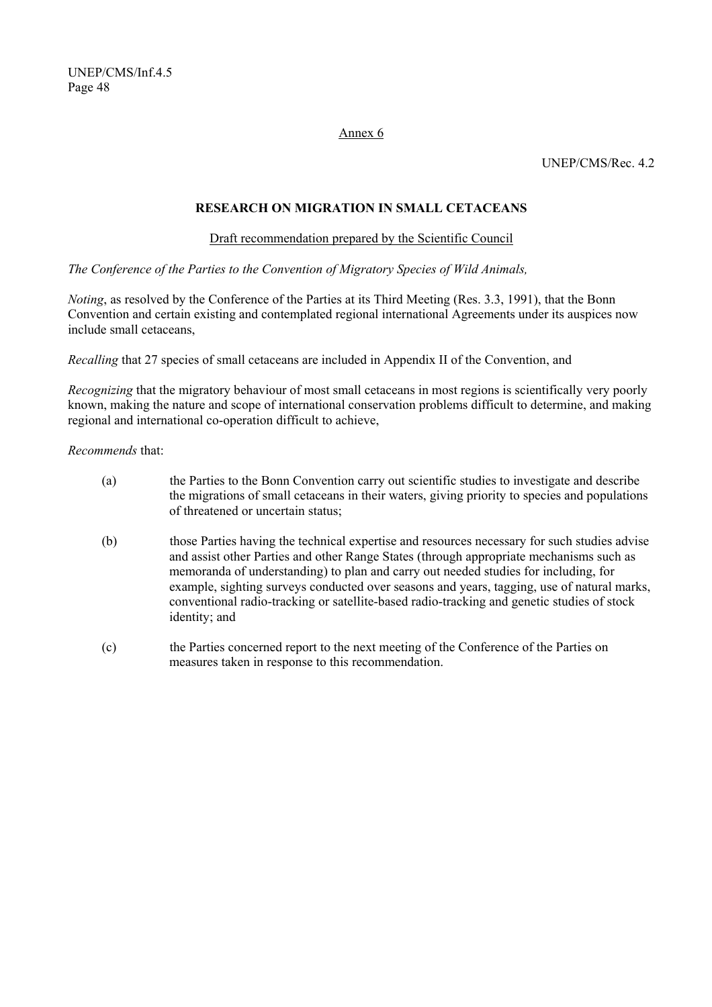#### Annex 6

UNEP/CMS/Rec. 4.2

# **RESEARCH ON MIGRATION IN SMALL CETACEANS**

#### Draft recommendation prepared by the Scientific Council

*The Conference of the Parties to the Convention of Migratory Species of Wild Animals,* 

*Noting*, as resolved by the Conference of the Parties at its Third Meeting (Res. 3.3, 1991), that the Bonn Convention and certain existing and contemplated regional international Agreements under its auspices now include small cetaceans,

*Recalling* that 27 species of small cetaceans are included in Appendix II of the Convention, and

*Recognizing* that the migratory behaviour of most small cetaceans in most regions is scientifically very poorly known, making the nature and scope of international conservation problems difficult to determine, and making regional and international co-operation difficult to achieve,

*Recommends* that:

- (a) the Parties to the Bonn Convention carry out scientific studies to investigate and describe the migrations of small cetaceans in their waters, giving priority to species and populations of threatened or uncertain status;
- (b) those Parties having the technical expertise and resources necessary for such studies advise and assist other Parties and other Range States (through appropriate mechanisms such as memoranda of understanding) to plan and carry out needed studies for including, for example, sighting surveys conducted over seasons and years, tagging, use of natural marks, conventional radio-tracking or satellite-based radio-tracking and genetic studies of stock identity; and
- (c) the Parties concerned report to the next meeting of the Conference of the Parties on measures taken in response to this recommendation.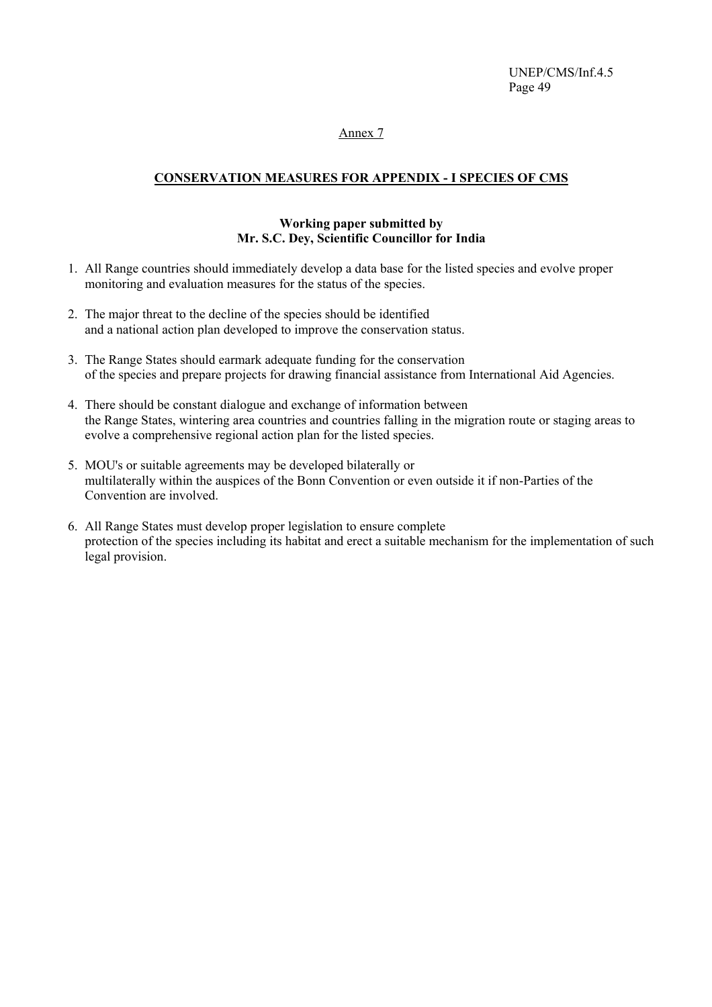#### Annex 7

# **CONSERVATION MEASURES FOR APPENDIX - I SPECIES OF CMS**

### **Working paper submitted by Mr. S.C. Dey, Scientific Councillor for India**

- 1. All Range countries should immediately develop a data base for the listed species and evolve proper monitoring and evaluation measures for the status of the species.
- 2. The major threat to the decline of the species should be identified and a national action plan developed to improve the conservation status.
- 3. The Range States should earmark adequate funding for the conservation of the species and prepare projects for drawing financial assistance from International Aid Agencies.
- 4. There should be constant dialogue and exchange of information between the Range States, wintering area countries and countries falling in the migration route or staging areas to evolve a comprehensive regional action plan for the listed species.
- 5. MOU's or suitable agreements may be developed bilaterally or multilaterally within the auspices of the Bonn Convention or even outside it if non-Parties of the Convention are involved.
- 6. All Range States must develop proper legislation to ensure complete protection of the species including its habitat and erect a suitable mechanism for the implementation of such legal provision.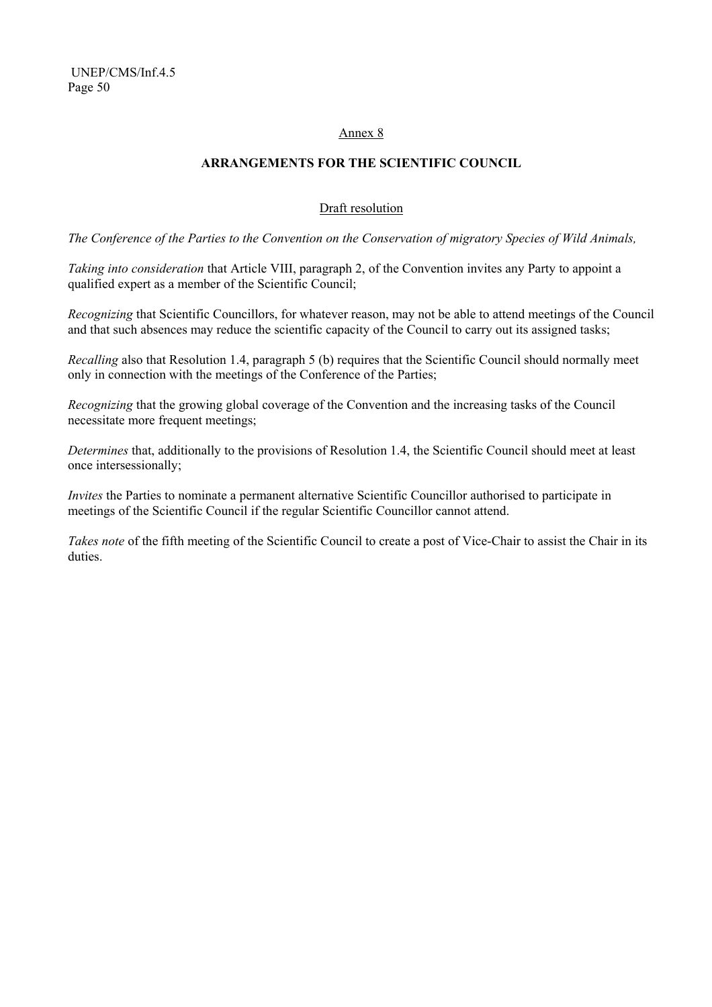### Annex 8

# **ARRANGEMENTS FOR THE SCIENTIFIC COUNCIL**

# Draft resolution

*The Conference of the Parties to the Convention on the Conservation of migratory Species of Wild Animals,* 

*Taking into consideration* that Article VIII, paragraph 2, of the Convention invites any Party to appoint a qualified expert as a member of the Scientific Council;

*Recognizing* that Scientific Councillors, for whatever reason, may not be able to attend meetings of the Council and that such absences may reduce the scientific capacity of the Council to carry out its assigned tasks;

*Recalling* also that Resolution 1.4, paragraph 5 (b) requires that the Scientific Council should normally meet only in connection with the meetings of the Conference of the Parties;

*Recognizing* that the growing global coverage of the Convention and the increasing tasks of the Council necessitate more frequent meetings;

*Determines* that, additionally to the provisions of Resolution 1.4, the Scientific Council should meet at least once intersessionally;

*Invites* the Parties to nominate a permanent alternative Scientific Councillor authorised to participate in meetings of the Scientific Council if the regular Scientific Councillor cannot attend.

*Takes note* of the fifth meeting of the Scientific Council to create a post of Vice-Chair to assist the Chair in its duties.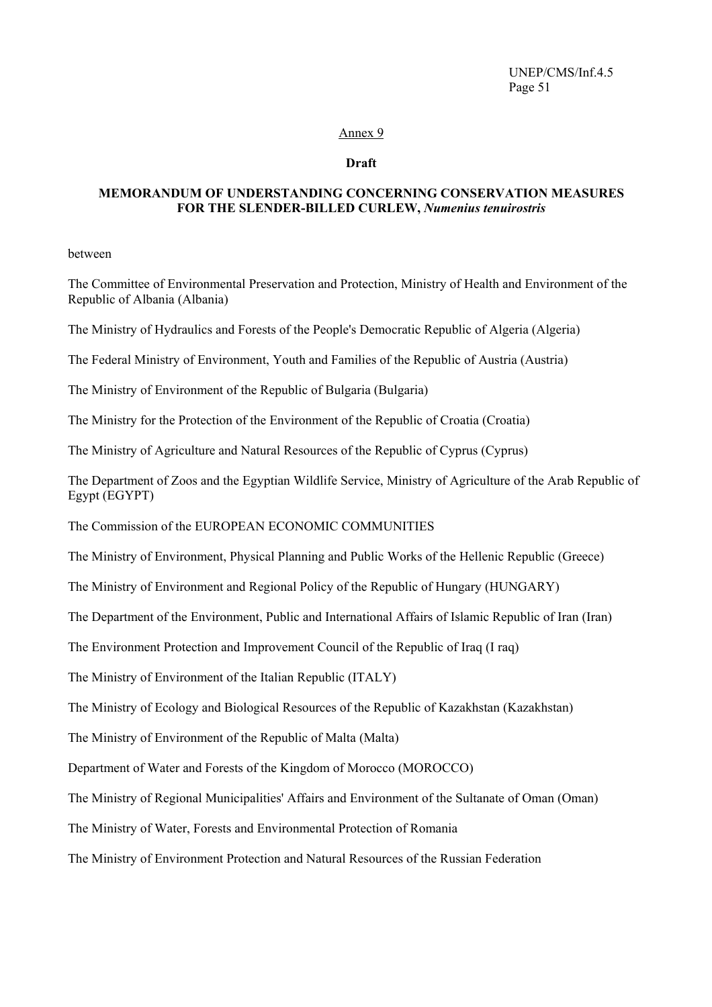#### Annex 9

#### **Draft**

#### **MEMORANDUM OF UNDERSTANDING CONCERNING CONSERVATION MEASURES FOR THE SLENDER-BILLED CURLEW,** *Numenius tenuirostris*

between

The Committee of Environmental Preservation and Protection, Ministry of Health and Environment of the Republic of Albania (Albania)

The Ministry of Hydraulics and Forests of the People's Democratic Republic of Algeria (Algeria)

The Federal Ministry of Environment, Youth and Families of the Republic of Austria (Austria)

The Ministry of Environment of the Republic of Bulgaria (Bulgaria)

The Ministry for the Protection of the Environment of the Republic of Croatia (Croatia)

The Ministry of Agriculture and Natural Resources of the Republic of Cyprus (Cyprus)

The Department of Zoos and the Egyptian Wildlife Service, Ministry of Agriculture of the Arab Republic of Egypt (EGYPT)

The Commission of the EUROPEAN ECONOMIC COMMUNITIES

The Ministry of Environment, Physical Planning and Public Works of the Hellenic Republic (Greece)

The Ministry of Environment and Regional Policy of the Republic of Hungary (HUNGARY)

The Department of the Environment, Public and International Affairs of Islamic Republic of Iran (Iran)

The Environment Protection and Improvement Council of the Republic of Iraq (I raq)

The Ministry of Environment of the Italian Republic (ITALY)

The Ministry of Ecology and Biological Resources of the Republic of Kazakhstan (Kazakhstan)

The Ministry of Environment of the Republic of Malta (Malta)

Department of Water and Forests of the Kingdom of Morocco (MOROCCO)

The Ministry of Regional Municipalities' Affairs and Environment of the Sultanate of Oman (Oman)

The Ministry of Water, Forests and Environmental Protection of Romania

The Ministry of Environment Protection and Natural Resources of the Russian Federation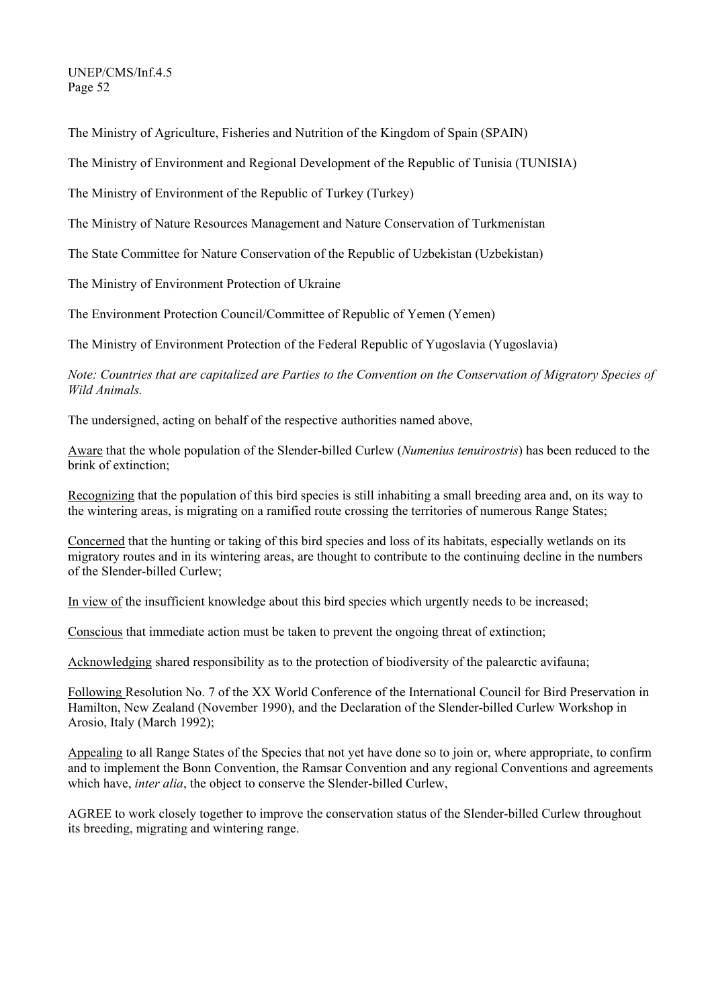The Ministry of Agriculture, Fisheries and Nutrition of the Kingdom of Spain (SPAIN)

The Ministry of Environment and Regional Development of the Republic of Tunisia (TUNISIA)

The Ministry of Environment of the Republic of Turkey (Turkey)

The Ministry of Nature Resources Management and Nature Conservation of Turkmenistan

The State Committee for Nature Conservation of the Republic of Uzbekistan (Uzbekistan)

The Ministry of Environment Protection of Ukraine

The Environment Protection Council/Committee of Republic of Yemen (Yemen)

The Ministry of Environment Protection of the Federal Republic of Yugoslavia (Yugoslavia)

*Note: Countries that are capitalized are Parties to the Convention on the Conservation of Migratory Species of Wild Animals.* 

The undersigned, acting on behalf of the respective authorities named above,

Aware that the whole population of the Slender-billed Curlew (*Numenius tenuirostris*) has been reduced to the brink of extinction;

Recognizing that the population of this bird species is still inhabiting a small breeding area and, on its way to the wintering areas, is migrating on a ramified route crossing the territories of numerous Range States;

Concerned that the hunting or taking of this bird species and loss of its habitats, especially wetlands on its migratory routes and in its wintering areas, are thought to contribute to the continuing decline in the numbers of the Slender-billed Curlew;

In view of the insufficient knowledge about this bird species which urgently needs to be increased;

Conscious that immediate action must be taken to prevent the ongoing threat of extinction;

Acknowledging shared responsibility as to the protection of biodiversity of the palearctic avifauna;

Following Resolution No. 7 of the XX World Conference of the International Council for Bird Preservation in Hamilton, New Zealand (November 1990), and the Declaration of the Slender-billed Curlew Workshop in Arosio, Italy (March 1992);

Appealing to all Range States of the Species that not yet have done so to join or, where appropriate, to confirm and to implement the Bonn Convention, the Ramsar Convention and any regional Conventions and agreements which have, *inter alia*, the object to conserve the Slender-billed Curlew.

AGREE to work closely together to improve the conservation status of the Slender-billed Curlew throughout its breeding, migrating and wintering range.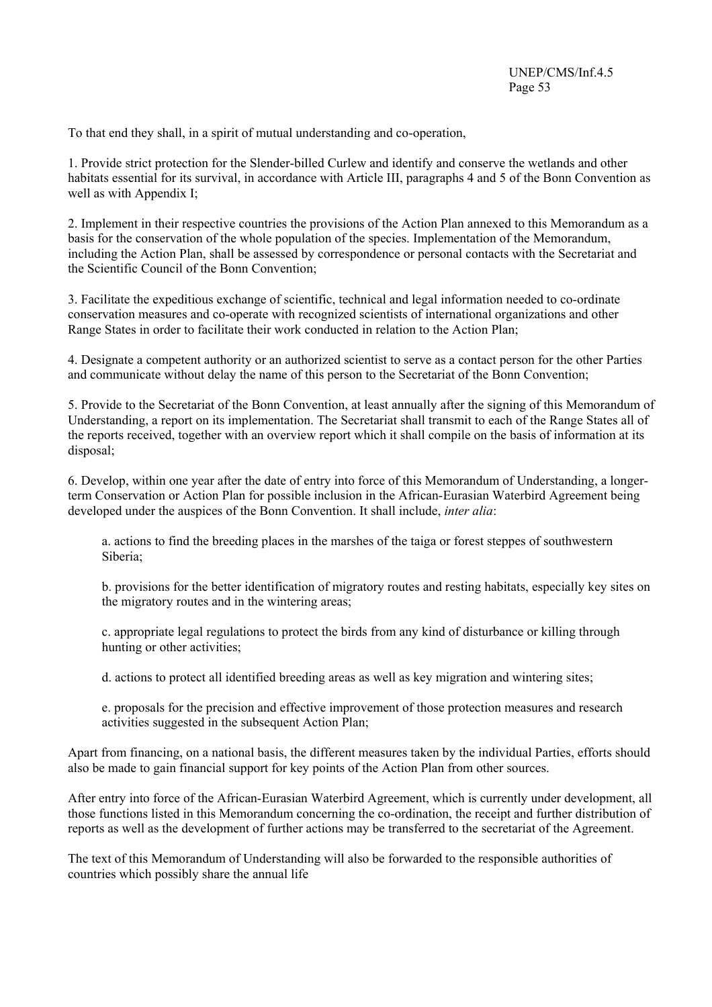To that end they shall, in a spirit of mutual understanding and co-operation,

1. Provide strict protection for the Slender-billed Curlew and identify and conserve the wetlands and other habitats essential for its survival, in accordance with Article III, paragraphs 4 and 5 of the Bonn Convention as well as with Appendix I;

2. Implement in their respective countries the provisions of the Action Plan annexed to this Memorandum as a basis for the conservation of the whole population of the species. Implementation of the Memorandum, including the Action Plan, shall be assessed by correspondence or personal contacts with the Secretariat and the Scientific Council of the Bonn Convention;

3. Facilitate the expeditious exchange of scientific, technical and legal information needed to co-ordinate conservation measures and co-operate with recognized scientists of international organizations and other Range States in order to facilitate their work conducted in relation to the Action Plan;

4. Designate a competent authority or an authorized scientist to serve as a contact person for the other Parties and communicate without delay the name of this person to the Secretariat of the Bonn Convention;

5. Provide to the Secretariat of the Bonn Convention, at least annually after the signing of this Memorandum of Understanding, a report on its implementation. The Secretariat shall transmit to each of the Range States all of the reports received, together with an overview report which it shall compile on the basis of information at its disposal;

6. Develop, within one year after the date of entry into force of this Memorandum of Understanding, a longerterm Conservation or Action Plan for possible inclusion in the African-Eurasian Waterbird Agreement being developed under the auspices of the Bonn Convention. It shall include, *inter alia*:

a. actions to find the breeding places in the marshes of the taiga or forest steppes of southwestern Siberia;

b. provisions for the better identification of migratory routes and resting habitats, especially key sites on the migratory routes and in the wintering areas;

c. appropriate legal regulations to protect the birds from any kind of disturbance or killing through hunting or other activities;

d. actions to protect all identified breeding areas as well as key migration and wintering sites;

e. proposals for the precision and effective improvement of those protection measures and research activities suggested in the subsequent Action Plan;

Apart from financing, on a national basis, the different measures taken by the individual Parties, efforts should also be made to gain financial support for key points of the Action Plan from other sources.

After entry into force of the African-Eurasian Waterbird Agreement, which is currently under development, all those functions listed in this Memorandum concerning the co-ordination, the receipt and further distribution of reports as well as the development of further actions may be transferred to the secretariat of the Agreement.

The text of this Memorandum of Understanding will also be forwarded to the responsible authorities of countries which possibly share the annual life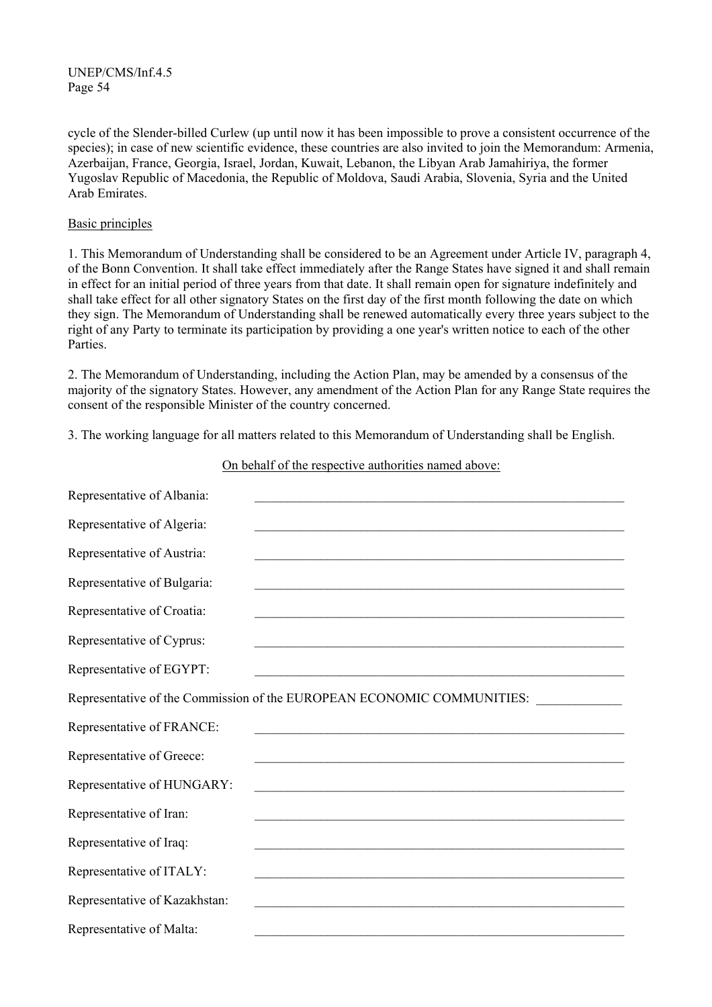cycle of the Slender-billed Curlew (up until now it has been impossible to prove a consistent occurrence of the species); in case of new scientific evidence, these countries are also invited to join the Memorandum: Armenia, Azerbaijan, France, Georgia, Israel, Jordan, Kuwait, Lebanon, the Libyan Arab Jamahiriya, the former Yugoslav Republic of Macedonia, the Republic of Moldova, Saudi Arabia, Slovenia, Syria and the United Arab Emirates.

#### Basic principles

1. This Memorandum of Understanding shall be considered to be an Agreement under Article IV, paragraph 4, of the Bonn Convention. It shall take effect immediately after the Range States have signed it and shall remain in effect for an initial period of three years from that date. It shall remain open for signature indefinitely and shall take effect for all other signatory States on the first day of the first month following the date on which they sign. The Memorandum of Understanding shall be renewed automatically every three years subject to the right of any Party to terminate its participation by providing a one year's written notice to each of the other Parties.

2. The Memorandum of Understanding, including the Action Plan, may be amended by a consensus of the majority of the signatory States. However, any amendment of the Action Plan for any Range State requires the consent of the responsible Minister of the country concerned.

3. The working language for all matters related to this Memorandum of Understanding shall be English.

| Representative of Albania:    |                                                                                                                       |
|-------------------------------|-----------------------------------------------------------------------------------------------------------------------|
| Representative of Algeria:    |                                                                                                                       |
| Representative of Austria:    |                                                                                                                       |
| Representative of Bulgaria:   |                                                                                                                       |
| Representative of Croatia:    |                                                                                                                       |
| Representative of Cyprus:     |                                                                                                                       |
| Representative of EGYPT:      | <u> 1989 - Johann Stoff, amerikansk politiker (d. 1989)</u>                                                           |
|                               | Representative of the Commission of the EUROPEAN ECONOMIC COMMUNITIES:                                                |
| Representative of FRANCE:     |                                                                                                                       |
| Representative of Greece:     | <u> 1989 - Jan James James James James James James James James James James James James James James James James J</u>  |
| Representative of HUNGARY:    | <u> 1989 - Johann Stoff, amerikansk politiker (d. 1989)</u>                                                           |
| Representative of Iran:       |                                                                                                                       |
|                               |                                                                                                                       |
| Representative of Iraq:       | <u> 1989 - Johann Harry Harry Harry Harry Harry Harry Harry Harry Harry Harry Harry Harry Harry Harry Harry Harry</u> |
| Representative of ITALY:      |                                                                                                                       |
| Representative of Kazakhstan: |                                                                                                                       |

On behalf of the respective authorities named above: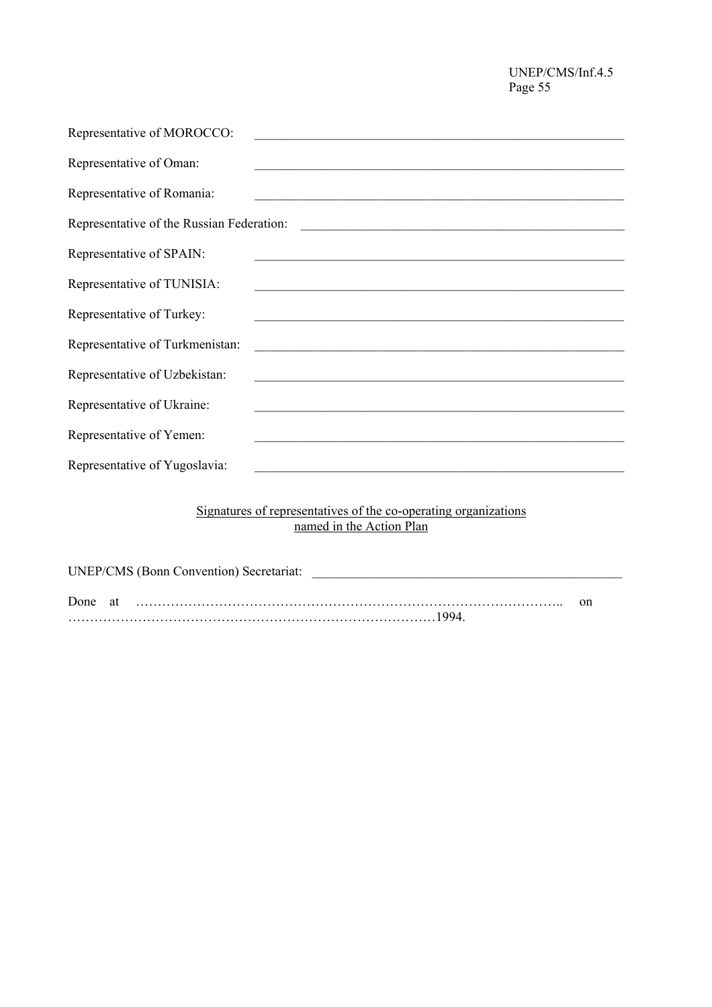| Representative of MOROCCO:                |                                                                                                                       |
|-------------------------------------------|-----------------------------------------------------------------------------------------------------------------------|
| Representative of Oman:                   |                                                                                                                       |
| Representative of Romania:                | <u> 1980 - Johann Stein, mars an de Frans and de Frans and de Frans and de Frans and de Frans and de Frans and de</u> |
| Representative of the Russian Federation: |                                                                                                                       |
| Representative of SPAIN:                  |                                                                                                                       |
| Representative of TUNISIA:                | <u> 1989 - Johann Harry Harry Harry Harry Harry Harry Harry Harry Harry Harry Harry Harry Harry Harry Harry Harry</u> |
| Representative of Turkey:                 |                                                                                                                       |
| Representative of Turkmenistan:           | <u> 2000 - Jan James James Barnett, amerikansk politik (d. 1888)</u>                                                  |
| Representative of Uzbekistan:             |                                                                                                                       |
| Representative of Ukraine:                |                                                                                                                       |
| Representative of Yemen:                  |                                                                                                                       |
| Representative of Yugoslavia:             |                                                                                                                       |
|                                           |                                                                                                                       |

#### Signatures of representatives of the co-operating organizations named in the Action Plan

| <b>UNEP/CMS (Bonn Convention) Secretariat:</b> |    |
|------------------------------------------------|----|
|                                                | on |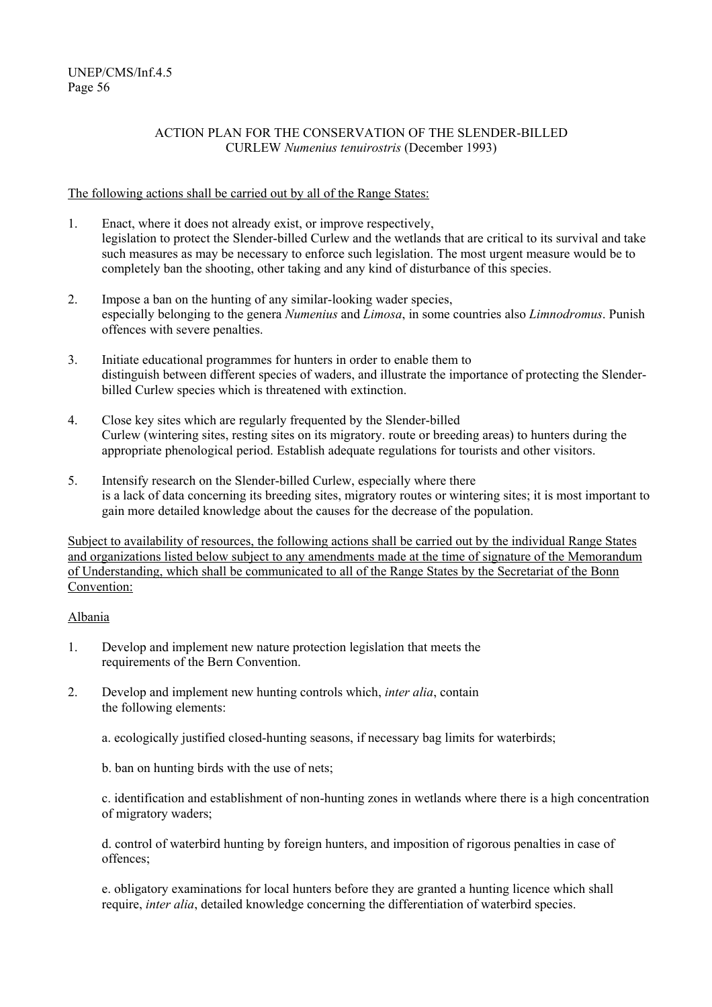# ACTION PLAN FOR THE CONSERVATION OF THE SLENDER-BILLED CURLEW *Numenius tenuirostris* (December 1993)

# The following actions shall be carried out by all of the Range States:

- 1. Enact, where it does not already exist, or improve respectively, legislation to protect the Slender-billed Curlew and the wetlands that are critical to its survival and take such measures as may be necessary to enforce such legislation. The most urgent measure would be to completely ban the shooting, other taking and any kind of disturbance of this species.
- 2. Impose a ban on the hunting of any similar-looking wader species, especially belonging to the genera *Numenius* and *Limosa*, in some countries also *Limnodromus*. Punish offences with severe penalties.
- 3. Initiate educational programmes for hunters in order to enable them to distinguish between different species of waders, and illustrate the importance of protecting the Slenderbilled Curlew species which is threatened with extinction.
- 4. Close key sites which are regularly frequented by the Slender-billed Curlew (wintering sites, resting sites on its migratory. route or breeding areas) to hunters during the appropriate phenological period. Establish adequate regulations for tourists and other visitors.
- 5. Intensify research on the Slender-billed Curlew, especially where there is a lack of data concerning its breeding sites, migratory routes or wintering sites; it is most important to gain more detailed knowledge about the causes for the decrease of the population.

Subject to availability of resources, the following actions shall be carried out by the individual Range States and organizations listed below subject to any amendments made at the time of signature of the Memorandum of Understanding, which shall be communicated to all of the Range States by the Secretariat of the Bonn Convention:

# Albania

- 1. Develop and implement new nature protection legislation that meets the requirements of the Bern Convention.
- 2. Develop and implement new hunting controls which, *inter alia*, contain the following elements:
	- a. ecologically justified closed-hunting seasons, if necessary bag limits for waterbirds;
	- b. ban on hunting birds with the use of nets;

c. identification and establishment of non-hunting zones in wetlands where there is a high concentration of migratory waders;

d. control of waterbird hunting by foreign hunters, and imposition of rigorous penalties in case of offences;

e. obligatory examinations for local hunters before they are granted a hunting licence which shall require, *inter alia*, detailed knowledge concerning the differentiation of waterbird species.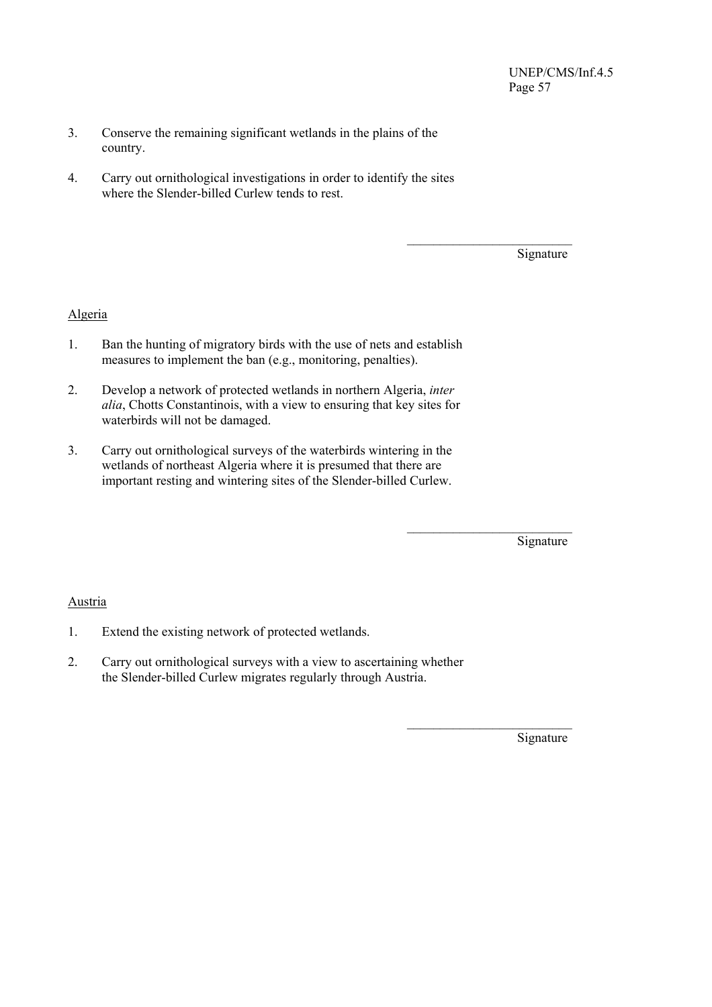- 3. Conserve the remaining significant wetlands in the plains of the country.
- 4. Carry out ornithological investigations in order to identify the sites where the Slender-billed Curlew tends to rest.

 $\mathcal{L}_\text{max}$  and  $\mathcal{L}_\text{max}$  and  $\mathcal{L}_\text{max}$  and  $\mathcal{L}_\text{max}$  and  $\mathcal{L}_\text{max}$ 

 $\mathcal{L}_\text{max}$  and  $\mathcal{L}_\text{max}$  and  $\mathcal{L}_\text{max}$  and  $\mathcal{L}_\text{max}$  and  $\mathcal{L}_\text{max}$ 

 $\mathcal{L}_\text{max}$  and  $\mathcal{L}_\text{max}$  and  $\mathcal{L}_\text{max}$  and  $\mathcal{L}_\text{max}$  and  $\mathcal{L}_\text{max}$ 

Signature

# Algeria

- 1. Ban the hunting of migratory birds with the use of nets and establish measures to implement the ban (e.g., monitoring, penalties).
- 2. Develop a network of protected wetlands in northern Algeria, *inter alia*, Chotts Constantinois, with a view to ensuring that key sites for waterbirds will not be damaged.
- 3. Carry out ornithological surveys of the waterbirds wintering in the wetlands of northeast Algeria where it is presumed that there are important resting and wintering sites of the Slender-billed Curlew.

Signature

# Austria

- 1. Extend the existing network of protected wetlands.
- 2. Carry out ornithological surveys with a view to ascertaining whether the Slender-billed Curlew migrates regularly through Austria.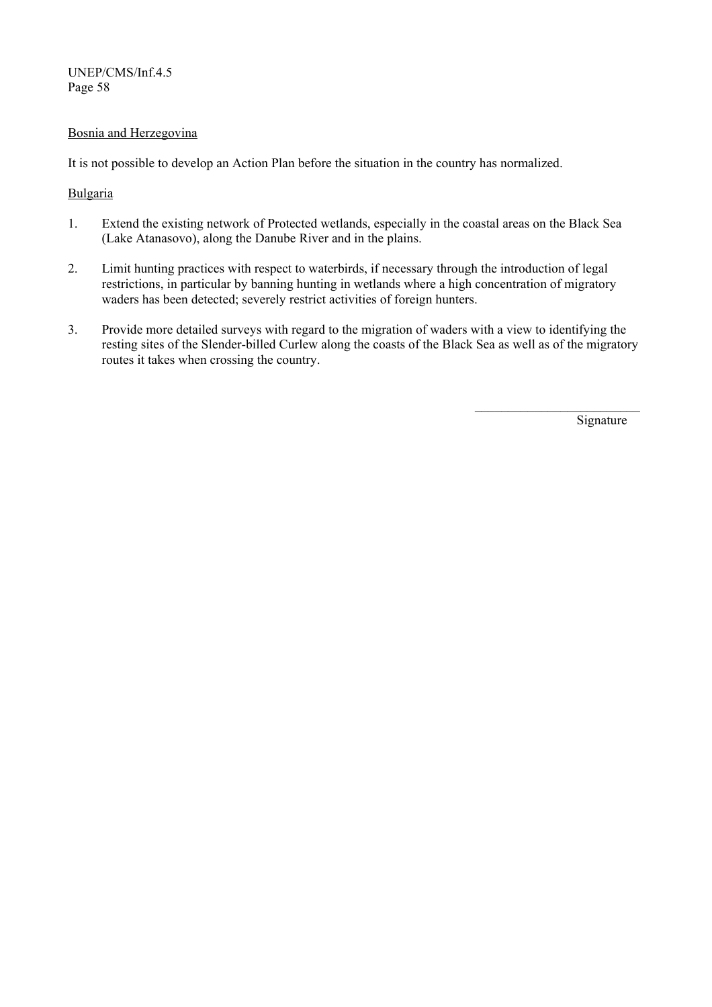# Bosnia and Herzegovina

It is not possible to develop an Action Plan before the situation in the country has normalized.

# Bulgaria

- 1. Extend the existing network of Protected wetlands, especially in the coastal areas on the Black Sea (Lake Atanasovo), along the Danube River and in the plains.
- 2. Limit hunting practices with respect to waterbirds, if necessary through the introduction of legal restrictions, in particular by banning hunting in wetlands where a high concentration of migratory waders has been detected; severely restrict activities of foreign hunters.
- 3. Provide more detailed surveys with regard to the migration of waders with a view to identifying the resting sites of the Slender-billed Curlew along the coasts of the Black Sea as well as of the migratory routes it takes when crossing the country.

 $\mathcal{L}_\text{max}$  and  $\mathcal{L}_\text{max}$  and  $\mathcal{L}_\text{max}$  and  $\mathcal{L}_\text{max}$  and  $\mathcal{L}_\text{max}$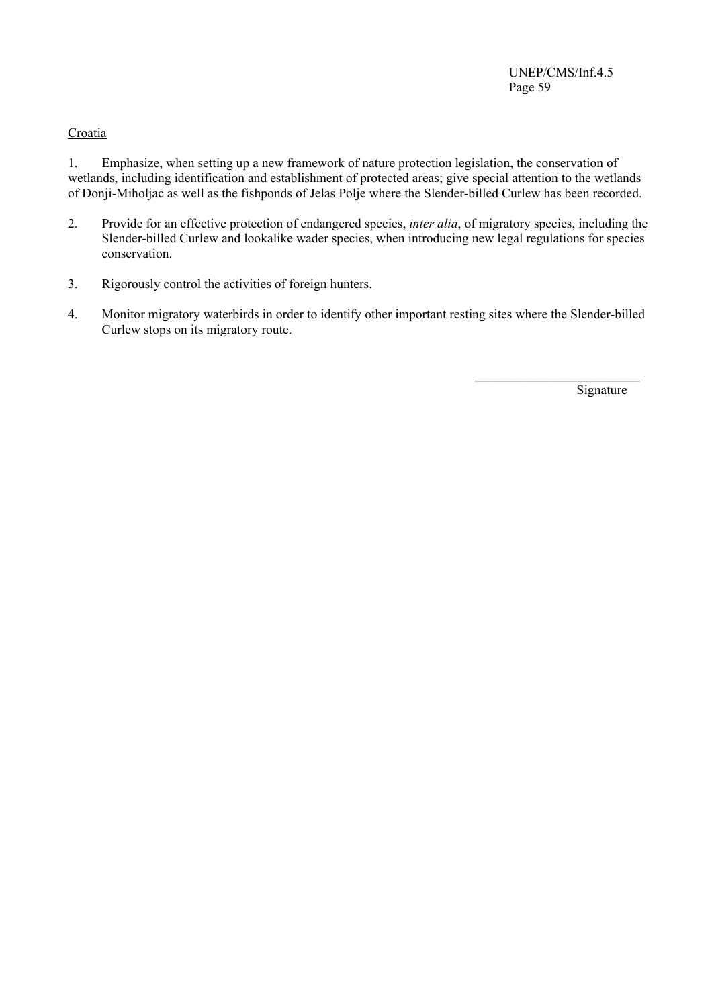# **Croatia**

1. Emphasize, when setting up a new framework of nature protection legislation, the conservation of wetlands, including identification and establishment of protected areas; give special attention to the wetlands of Donji-Miholjac as well as the fishponds of Jelas Polje where the Slender-billed Curlew has been recorded.

- 2. Provide for an effective protection of endangered species, *inter alia*, of migratory species, including the Slender-billed Curlew and lookalike wader species, when introducing new legal regulations for species conservation.
- 3. Rigorously control the activities of foreign hunters.
- 4. Monitor migratory waterbirds in order to identify other important resting sites where the Slender-billed Curlew stops on its migratory route.

 $\mathcal{L}_\text{max}$  and  $\mathcal{L}_\text{max}$  and  $\mathcal{L}_\text{max}$  and  $\mathcal{L}_\text{max}$  and  $\mathcal{L}_\text{max}$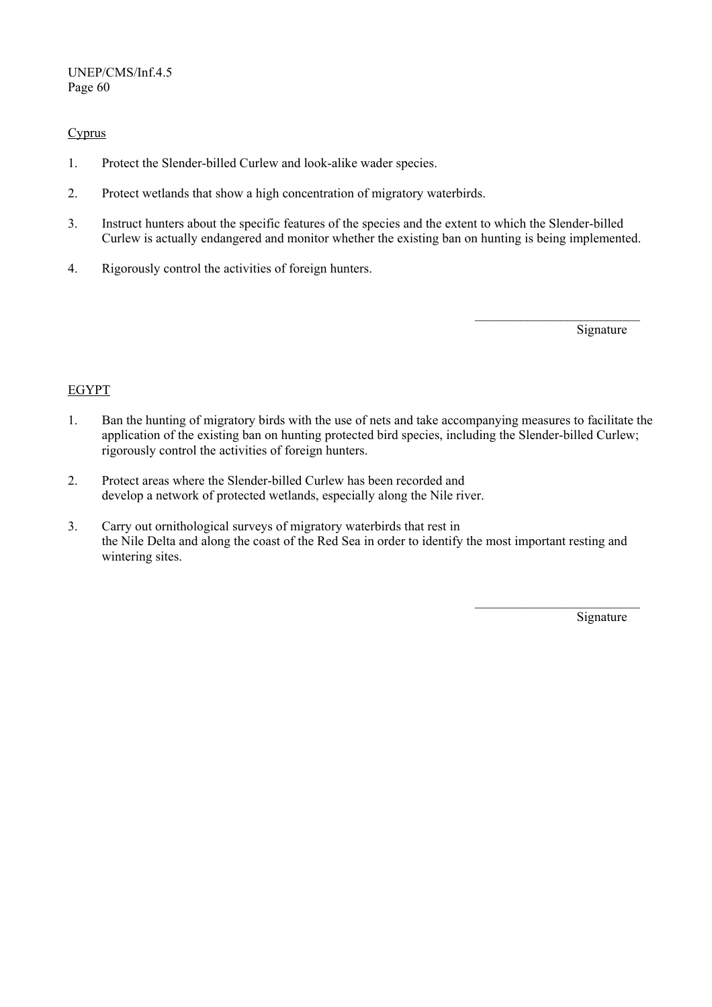# **Cyprus**

- 1. Protect the Slender-billed Curlew and look-alike wader species.
- 2. Protect wetlands that show a high concentration of migratory waterbirds.
- 3. Instruct hunters about the specific features of the species and the extent to which the Slender-billed Curlew is actually endangered and monitor whether the existing ban on hunting is being implemented.

 $\mathcal{L}_\text{max}$  and  $\mathcal{L}_\text{max}$  and  $\mathcal{L}_\text{max}$  and  $\mathcal{L}_\text{max}$  and  $\mathcal{L}_\text{max}$ 

4. Rigorously control the activities of foreign hunters.

**Signature** 

# EGYPT

- 1. Ban the hunting of migratory birds with the use of nets and take accompanying measures to facilitate the application of the existing ban on hunting protected bird species, including the Slender-billed Curlew; rigorously control the activities of foreign hunters.
- 2. Protect areas where the Slender-billed Curlew has been recorded and develop a network of protected wetlands, especially along the Nile river.
- 3. Carry out ornithological surveys of migratory waterbirds that rest in the Nile Delta and along the coast of the Red Sea in order to identify the most important resting and wintering sites.

 $\mathcal{L}_\text{max}$  and  $\mathcal{L}_\text{max}$  and  $\mathcal{L}_\text{max}$  and  $\mathcal{L}_\text{max}$  and  $\mathcal{L}_\text{max}$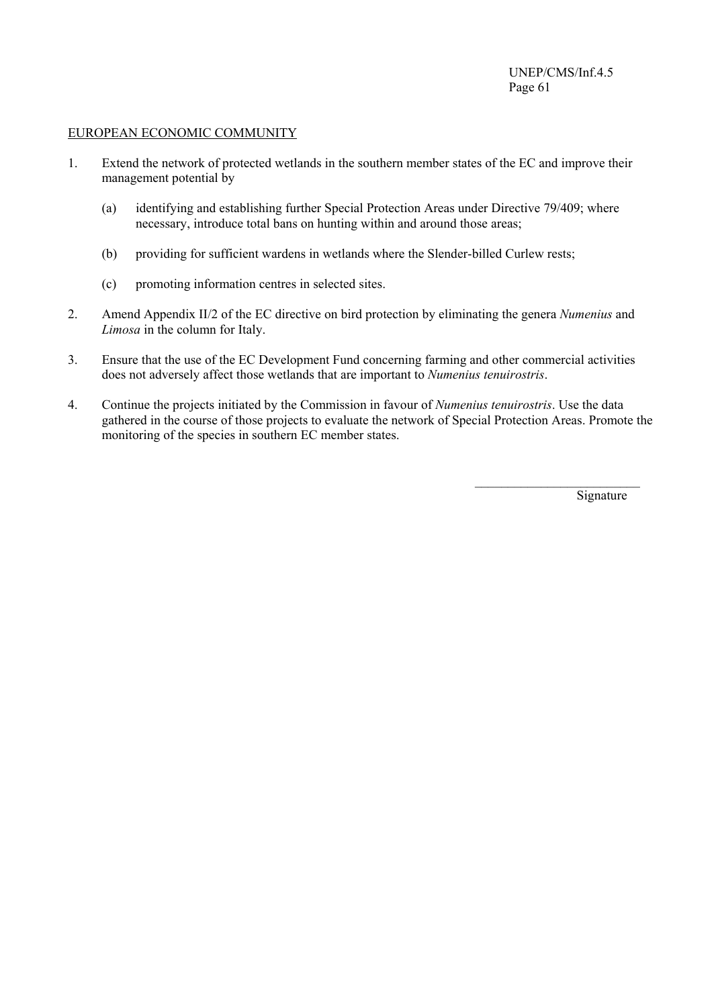#### EUROPEAN ECONOMIC COMMUNITY

- 1. Extend the network of protected wetlands in the southern member states of the EC and improve their management potential by
	- (a) identifying and establishing further Special Protection Areas under Directive 79/409; where necessary, introduce total bans on hunting within and around those areas;
	- (b) providing for sufficient wardens in wetlands where the Slender-billed Curlew rests;
	- (c) promoting information centres in selected sites.
- 2. Amend Appendix II/2 of the EC directive on bird protection by eliminating the genera *Numenius* and *Limosa* in the column for Italy.
- 3. Ensure that the use of the EC Development Fund concerning farming and other commercial activities does not adversely affect those wetlands that are important to *Numenius tenuirostris*.
- 4. Continue the projects initiated by the Commission in favour of *Numenius tenuirostris*. Use the data gathered in the course of those projects to evaluate the network of Special Protection Areas. Promote the monitoring of the species in southern EC member states.

 $\mathcal{L}_\text{max}$  and  $\mathcal{L}_\text{max}$  and  $\mathcal{L}_\text{max}$  and  $\mathcal{L}_\text{max}$  and  $\mathcal{L}_\text{max}$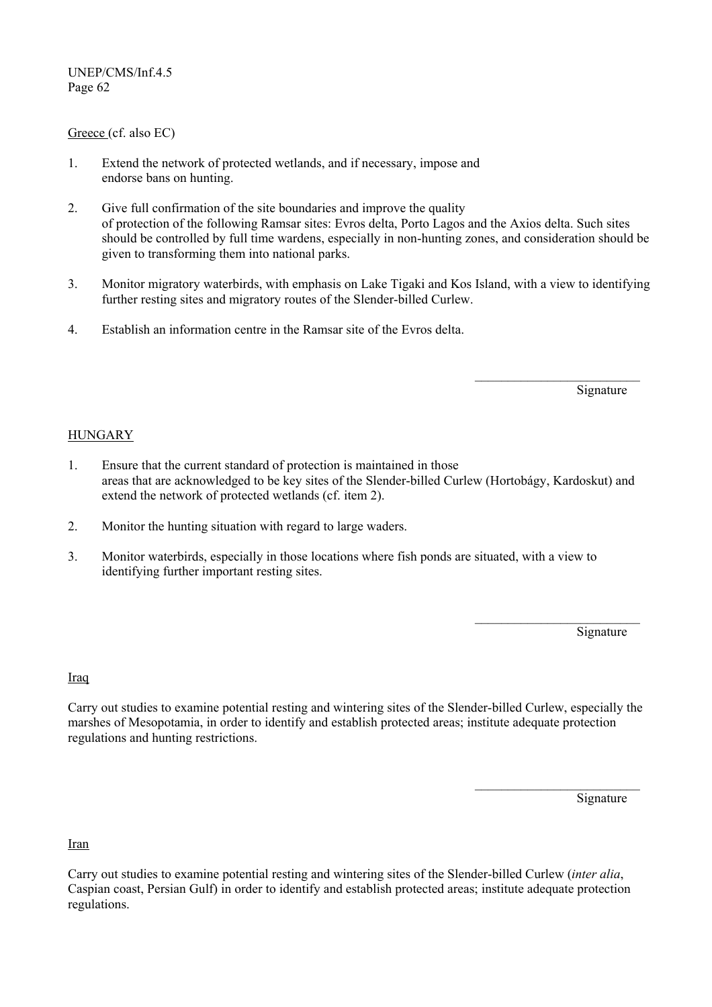### Greece (cf. also EC)

- 1. Extend the network of protected wetlands, and if necessary, impose and endorse bans on hunting.
- 2. Give full confirmation of the site boundaries and improve the quality of protection of the following Ramsar sites: Evros delta, Porto Lagos and the Axios delta. Such sites should be controlled by full time wardens, especially in non-hunting zones, and consideration should be given to transforming them into national parks.
- 3. Monitor migratory waterbirds, with emphasis on Lake Tigaki and Kos Island, with a view to identifying further resting sites and migratory routes of the Slender-billed Curlew.

 $\mathcal{L}_\text{max}$  and  $\mathcal{L}_\text{max}$  and  $\mathcal{L}_\text{max}$  and  $\mathcal{L}_\text{max}$  and  $\mathcal{L}_\text{max}$ 

4. Establish an information centre in the Ramsar site of the Evros delta.

Signature

# HUNGARY

- 1. Ensure that the current standard of protection is maintained in those areas that are acknowledged to be key sites of the Slender-billed Curlew (Hortobágy, Kardoskut) and extend the network of protected wetlands (cf. item 2).
- 2. Monitor the hunting situation with regard to large waders.
- 3. Monitor waterbirds, especially in those locations where fish ponds are situated, with a view to identifying further important resting sites.

Signature

Iraq

Carry out studies to examine potential resting and wintering sites of the Slender-billed Curlew, especially the marshes of Mesopotamia, in order to identify and establish protected areas; institute adequate protection regulations and hunting restrictions.

 $\mathcal{L}_\text{max}$  and  $\mathcal{L}_\text{max}$  and  $\mathcal{L}_\text{max}$  and  $\mathcal{L}_\text{max}$  and  $\mathcal{L}_\text{max}$ 

 $\mathcal{L}_\text{max}$  and  $\mathcal{L}_\text{max}$  and  $\mathcal{L}_\text{max}$  and  $\mathcal{L}_\text{max}$  and  $\mathcal{L}_\text{max}$ 

**Signature** 

Iran

Carry out studies to examine potential resting and wintering sites of the Slender-billed Curlew (*inter alia*, Caspian coast, Persian Gulf) in order to identify and establish protected areas; institute adequate protection regulations.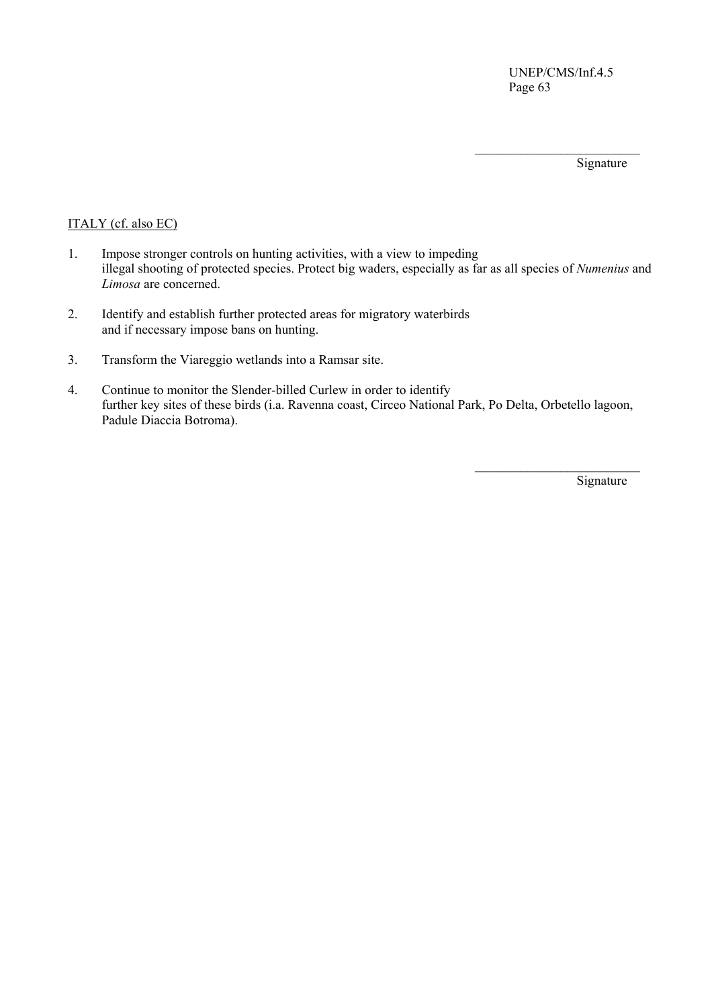Signature

# ITALY (cf. also EC)

1. Impose stronger controls on hunting activities, with a view to impeding illegal shooting of protected species. Protect big waders, especially as far as all species of *Numenius* and *Limosa* are concerned.

 $\mathcal{L}_\text{max}$  and  $\mathcal{L}_\text{max}$  and  $\mathcal{L}_\text{max}$  and  $\mathcal{L}_\text{max}$  and  $\mathcal{L}_\text{max}$ 

- 2. Identify and establish further protected areas for migratory waterbirds and if necessary impose bans on hunting.
- 3. Transform the Viareggio wetlands into a Ramsar site.
- 4. Continue to monitor the Slender-billed Curlew in order to identify further key sites of these birds (i.a. Ravenna coast, Circeo National Park, Po Delta, Orbetello lagoon, Padule Diaccia Botroma).

 $\mathcal{L}_\text{max}$  and  $\mathcal{L}_\text{max}$  and  $\mathcal{L}_\text{max}$  and  $\mathcal{L}_\text{max}$  and  $\mathcal{L}_\text{max}$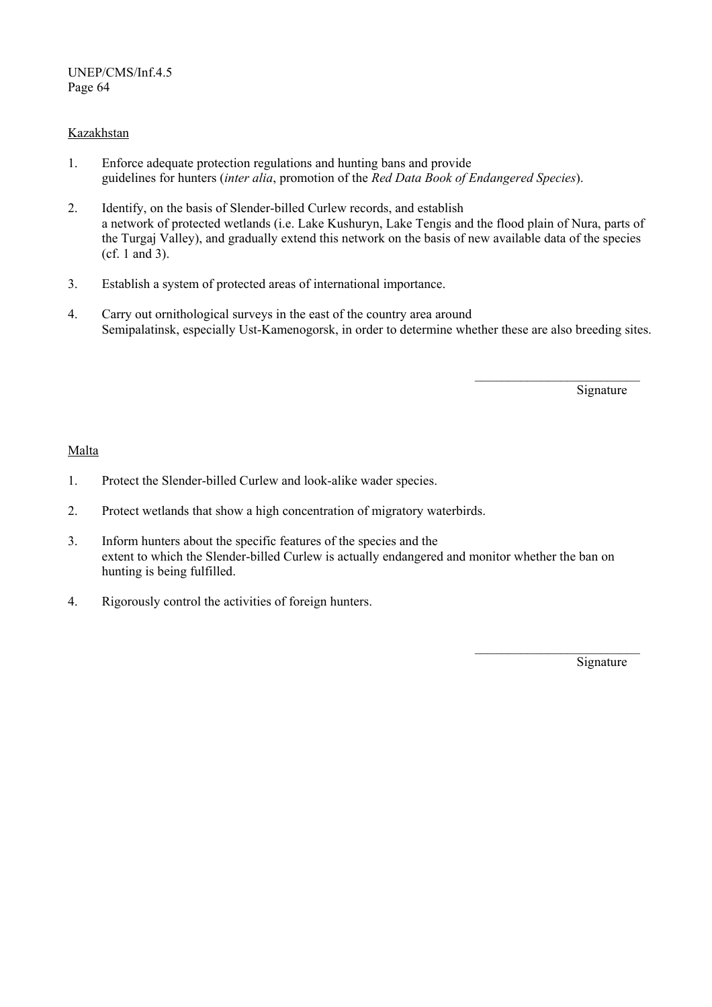# **Kazakhstan**

- 1. Enforce adequate protection regulations and hunting bans and provide guidelines for hunters (*inter alia*, promotion of the *Red Data Book of Endangered Species*).
- 2. Identify, on the basis of Slender-billed Curlew records, and establish a network of protected wetlands (i.e. Lake Kushuryn, Lake Tengis and the flood plain of Nura, parts of the Turgaj Valley), and gradually extend this network on the basis of new available data of the species (cf. 1 and 3).
- 3. Establish a system of protected areas of international importance.
- 4. Carry out ornithological surveys in the east of the country area around Semipalatinsk, especially Ust-Kamenogorsk, in order to determine whether these are also breeding sites.

 $\mathcal{L}_\text{max}$  and  $\mathcal{L}_\text{max}$  and  $\mathcal{L}_\text{max}$  and  $\mathcal{L}_\text{max}$  and  $\mathcal{L}_\text{max}$ 

Signature

# Malta

- 1. Protect the Slender-billed Curlew and look-alike wader species.
- 2. Protect wetlands that show a high concentration of migratory waterbirds.
- 3. Inform hunters about the specific features of the species and the extent to which the Slender-billed Curlew is actually endangered and monitor whether the ban on hunting is being fulfilled.

 $\mathcal{L}_\text{max}$  and  $\mathcal{L}_\text{max}$  and  $\mathcal{L}_\text{max}$  and  $\mathcal{L}_\text{max}$  and  $\mathcal{L}_\text{max}$ 

4. Rigorously control the activities of foreign hunters.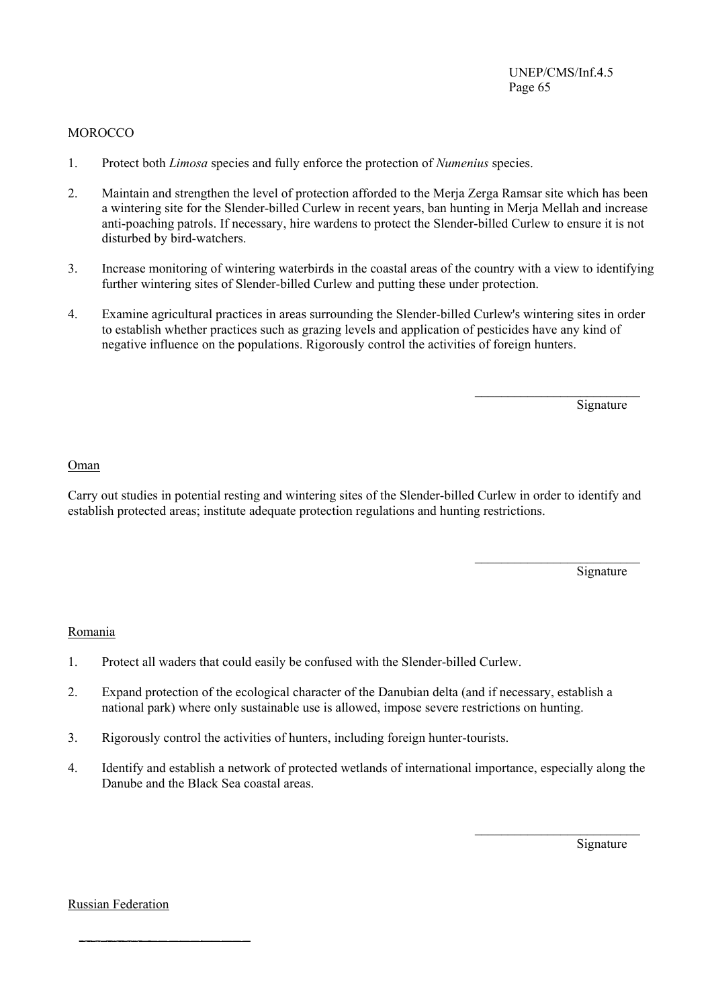### **MOROCCO**

- 1. Protect both *Limosa* species and fully enforce the protection of *Numenius* species.
- 2. Maintain and strengthen the level of protection afforded to the Merja Zerga Ramsar site which has been a wintering site for the Slender-billed Curlew in recent years, ban hunting in Merja Mellah and increase anti-poaching patrols. If necessary, hire wardens to protect the Slender-billed Curlew to ensure it is not disturbed by bird-watchers.
- 3. Increase monitoring of wintering waterbirds in the coastal areas of the country with a view to identifying further wintering sites of Slender-billed Curlew and putting these under protection.
- 4. Examine agricultural practices in areas surrounding the Slender-billed Curlew's wintering sites in order to establish whether practices such as grazing levels and application of pesticides have any kind of negative influence on the populations. Rigorously control the activities of foreign hunters.

 $\frac{1}{\sqrt{2}}$  , and the contract of the contract of the contract of the contract of the contract of the contract of the contract of the contract of the contract of the contract of the contract of the contract of the contra

**Signature** 

#### Oman

Carry out studies in potential resting and wintering sites of the Slender-billed Curlew in order to identify and establish protected areas; institute adequate protection regulations and hunting restrictions.

 $\mathcal{L}_\text{max}$  and  $\mathcal{L}_\text{max}$  and  $\mathcal{L}_\text{max}$  and  $\mathcal{L}_\text{max}$  and  $\mathcal{L}_\text{max}$ 

Signature

#### Romania

- 1. Protect all waders that could easily be confused with the Slender-billed Curlew.
- 2. Expand protection of the ecological character of the Danubian delta (and if necessary, establish a national park) where only sustainable use is allowed, impose severe restrictions on hunting.
- 3. Rigorously control the activities of hunters, including foreign hunter-tourists.
- 4. Identify and establish a network of protected wetlands of international importance, especially along the Danube and the Black Sea coastal areas.

 $\mathcal{L}_\text{max}$  and  $\mathcal{L}_\text{max}$  and  $\mathcal{L}_\text{max}$  and  $\mathcal{L}_\text{max}$  and  $\mathcal{L}_\text{max}$ 

Signature

Russian Federation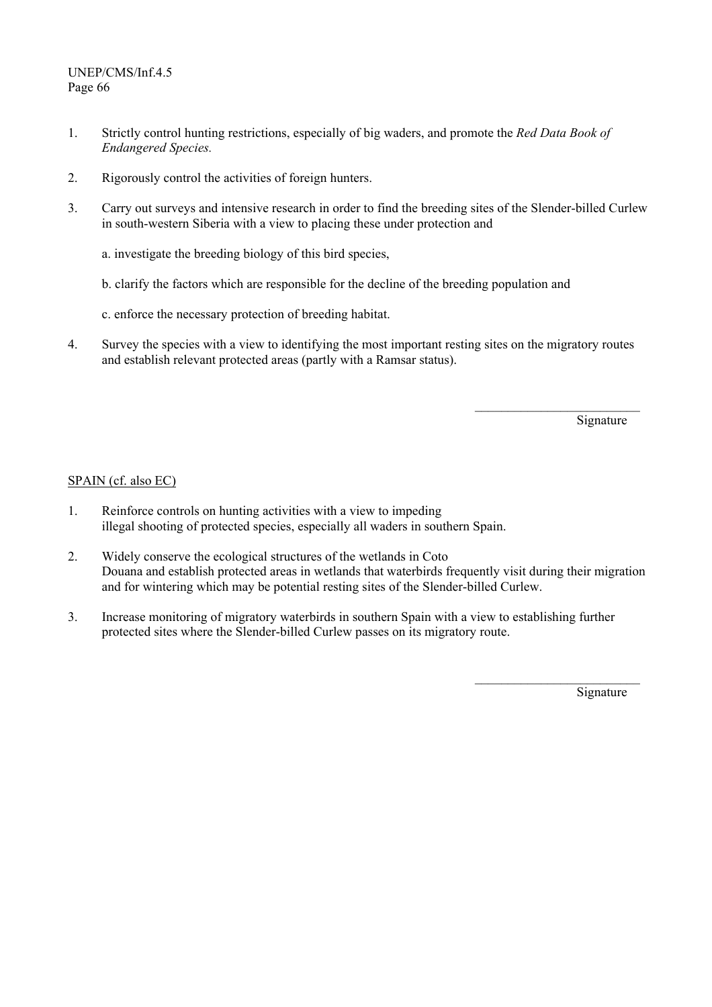- 1. Strictly control hunting restrictions, especially of big waders, and promote the *Red Data Book of Endangered Species.*
- 2. Rigorously control the activities of foreign hunters.
- 3. Carry out surveys and intensive research in order to find the breeding sites of the Slender-billed Curlew in south-western Siberia with a view to placing these under protection and
	- a. investigate the breeding biology of this bird species,
	- b. clarify the factors which are responsible for the decline of the breeding population and
	- c. enforce the necessary protection of breeding habitat.
- 4. Survey the species with a view to identifying the most important resting sites on the migratory routes and establish relevant protected areas (partly with a Ramsar status).

 $\mathcal{L}_\text{max}$  and  $\mathcal{L}_\text{max}$  and  $\mathcal{L}_\text{max}$  and  $\mathcal{L}_\text{max}$  and  $\mathcal{L}_\text{max}$ 

Signature

# SPAIN (cf. also EC)

- 1. Reinforce controls on hunting activities with a view to impeding illegal shooting of protected species, especially all waders in southern Spain.
- 2. Widely conserve the ecological structures of the wetlands in Coto Douana and establish protected areas in wetlands that waterbirds frequently visit during their migration and for wintering which may be potential resting sites of the Slender-billed Curlew.

 $\mathcal{L}_\text{max}$  and  $\mathcal{L}_\text{max}$  and  $\mathcal{L}_\text{max}$  and  $\mathcal{L}_\text{max}$  and  $\mathcal{L}_\text{max}$ 

3. Increase monitoring of migratory waterbirds in southern Spain with a view to establishing further protected sites where the Slender-billed Curlew passes on its migratory route.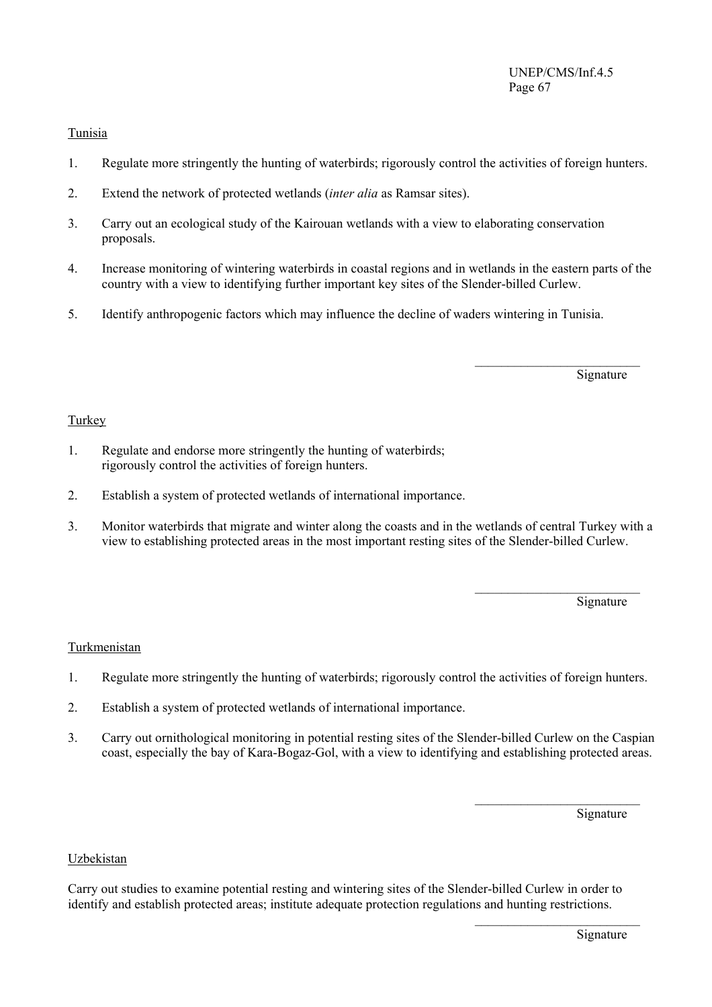# Tunisia

- 1. Regulate more stringently the hunting of waterbirds; rigorously control the activities of foreign hunters.
- 2. Extend the network of protected wetlands (*inter alia* as Ramsar sites).
- 3. Carry out an ecological study of the Kairouan wetlands with a view to elaborating conservation proposals.
- 4. Increase monitoring of wintering waterbirds in coastal regions and in wetlands in the eastern parts of the country with a view to identifying further important key sites of the Slender-billed Curlew.

 $\mathcal{L}_\text{max}$  and  $\mathcal{L}_\text{max}$  and  $\mathcal{L}_\text{max}$  and  $\mathcal{L}_\text{max}$  and  $\mathcal{L}_\text{max}$ 

5. Identify anthropogenic factors which may influence the decline of waders wintering in Tunisia.

**Signature** 

# **Turkey**

- 1. Regulate and endorse more stringently the hunting of waterbirds; rigorously control the activities of foreign hunters.
- 2. Establish a system of protected wetlands of international importance.
- 3. Monitor waterbirds that migrate and winter along the coasts and in the wetlands of central Turkey with a view to establishing protected areas in the most important resting sites of the Slender-billed Curlew.

 $\mathcal{L}_\text{max}$  and  $\mathcal{L}_\text{max}$  and  $\mathcal{L}_\text{max}$  and  $\mathcal{L}_\text{max}$  and  $\mathcal{L}_\text{max}$ 

Signature

# Turkmenistan

- 1. Regulate more stringently the hunting of waterbirds; rigorously control the activities of foreign hunters.
- 2. Establish a system of protected wetlands of international importance.
- 3. Carry out ornithological monitoring in potential resting sites of the Slender-billed Curlew on the Caspian coast, especially the bay of Kara-Bogaz-Gol, with a view to identifying and establishing protected areas.

 $\mathcal{L}_\text{max}$  and  $\mathcal{L}_\text{max}$  and  $\mathcal{L}_\text{max}$  and  $\mathcal{L}_\text{max}$  and  $\mathcal{L}_\text{max}$ 

Signature

### Uzbekistan

Carry out studies to examine potential resting and wintering sites of the Slender-billed Curlew in order to identify and establish protected areas; institute adequate protection regulations and hunting restrictions.

 $\mathcal{L}_\text{max}$  and  $\mathcal{L}_\text{max}$  and  $\mathcal{L}_\text{max}$  and  $\mathcal{L}_\text{max}$  and  $\mathcal{L}_\text{max}$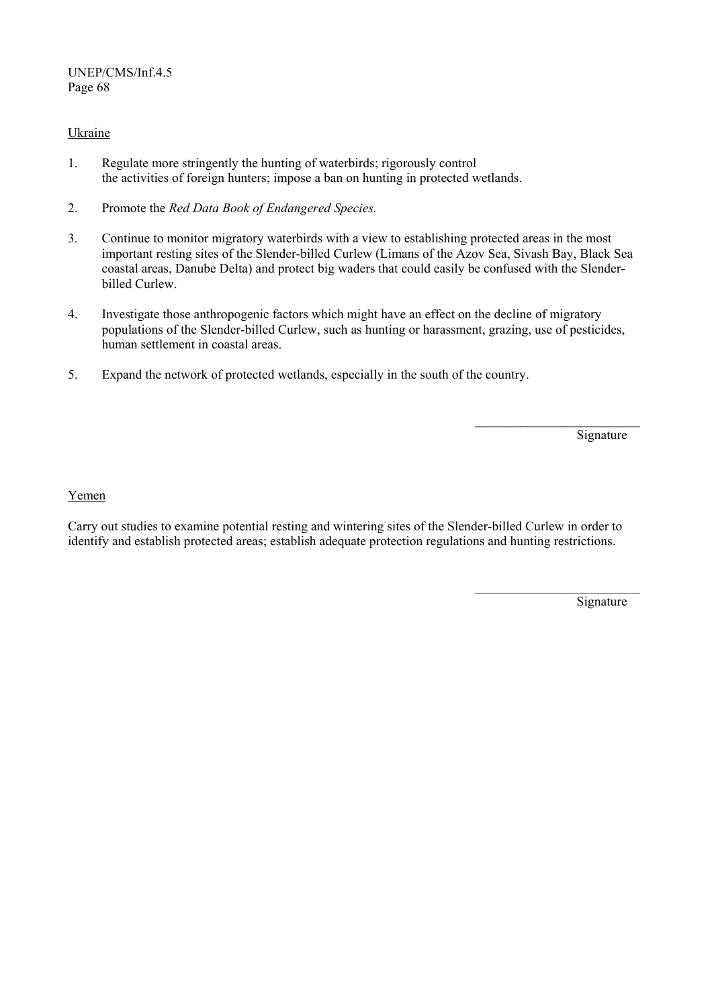# Ukraine

- 1. Regulate more stringently the hunting of waterbirds; rigorously control the activities of foreign hunters; impose a ban on hunting in protected wetlands.
- 2. Promote the *Red Data Book of Endangered Species.*
- 3. Continue to monitor migratory waterbirds with a view to establishing protected areas in the most important resting sites of the Slender-billed Curlew (Limans of the Azov Sea, Sivash Bay, Black Sea coastal areas, Danube Delta) and protect big waders that could easily be confused with the Slenderbilled Curlew.
- 4. Investigate those anthropogenic factors which might have an effect on the decline of migratory populations of the Slender-billed Curlew, such as hunting or harassment, grazing, use of pesticides, human settlement in coastal areas.

 $\mathcal{L}_\text{max}$  and  $\mathcal{L}_\text{max}$  and  $\mathcal{L}_\text{max}$  and  $\mathcal{L}_\text{max}$  and  $\mathcal{L}_\text{max}$ 

5. Expand the network of protected wetlands, especially in the south of the country.

**Signature** 

#### Yemen

Carry out studies to examine potential resting and wintering sites of the Slender-billed Curlew in order to identify and establish protected areas; establish adequate protection regulations and hunting restrictions.

 $\mathcal{L}_\text{max}$  and  $\mathcal{L}_\text{max}$  and  $\mathcal{L}_\text{max}$  and  $\mathcal{L}_\text{max}$  and  $\mathcal{L}_\text{max}$